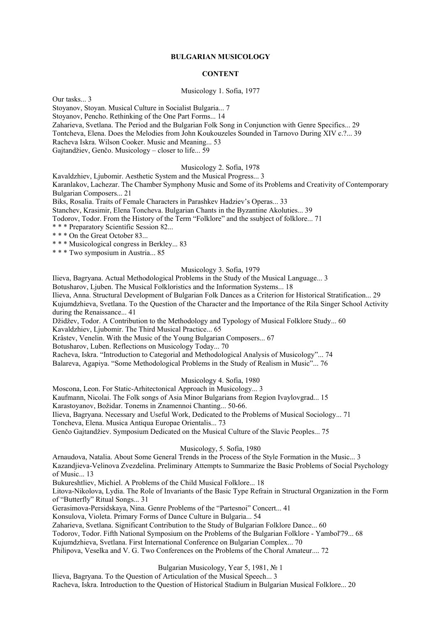### **BULGARIAN MUSICOLOGY**

### **CONTENT**

Musicology 1. Sofia, 1977

Our tasks... 3 Stoyanov, Stoyan. Musical Culture in Socialist Bulgaria... 7 Stoyanov, Pencho. Rethinking of the One Part Forms... 14 Zaharieva, Svetlana. The Period and the Bulgarian Folk Song in Conjunction with Genre Specifics... 29 Tontcheva, Elena. Does the Melodies from John Koukouzeles Sounded in Tarnovo During XIV c.?... 39 Racheva Iskra. Wilson Cooker. Music and Meaning... 53 Gajtandžiev, Genčo. Musicology – closer to life... 59

# Musicology 2. Sofia, 1978

Kavaldzhiev, Liubomir. Aesthetic System and the Musical Progress... 3 Karanlakov, Lachezar. The Chamber Symphony Music and Some of its Problems and Creativity of Contemporary Bulgarian Composers... 21 Biks, Rosalia. Traits of Female Characters in Parashkev Hadziev's Operas... 33 Stanchev, Krasimir, Elena Toncheva. Bulgarian Chants in the Byzantine Akoluties... 39 Todorov, Todor. From the History of the Term "Folklore" and the ssubject of folklore... 71 \* \* \* Preparatory Scientific Session 82... \* \* \* On the Great October 83... \* \* \* Musicological congress in Berkley... 83

\* \* \* Two symposium in Austria... 85

#### Musicology 3. Sofia, 1979

Ilieva, Bagryana. Actual Methodological Problems in the Study of the Musical Language... 3

Botusharov, Ljuben. The Musical Folkloristics and the Information Systems... 18

Ilieva, Anna. Structural Development of Bulgarian Folk Dances as a Criterion for Historical Stratification... 29 Kujumdzhieva, Svetlana. To the Question of the Character and the Importance of the Rila Singer School Activity during the Renaissance... 41

Džidžev, Todor. A Contribution to the Methodology and Typology of Musical Folklore Study... 60 Kavaldzhiev, Ljubomir. The Third Musical Practice... 65

Krâstev, Venelin. With the Music of the Young Bulgarian Composers... 67

Botusharov, Luben. Reflections on Musicology Today... 70

Racheva, Iskra. "Introduction to Categorial and Methodological Analysis of Musicology"... 74

Balareva, Agapiya. "Some Methodological Problems in the Study of Realism in Music"... 76

### Musicology 4. Sofia, 1980

Moscona, Leon. For Static-Arhitectonical Approach in Musicology... 3

Kaufmann, Nicolai. The Folk songs of Asia Minor Bulgarians from Region Ivaylovgrad... 15

Karastoyanov, Božidar. Tonems in Znamennoi Chanting... 50-66.

Ilieva, Bagryana. Necessary and Useful Work, Dedicated to the Problems of Musical Sociology... 71

Toncheva, Elena. Musica Antiqua Europae Orientalis... 73

Genčo Gajtandžiev. Symposium Dedicated on the Musical Culture of the Slavic Peoples... 75

### Musicology, 5. Sofia, 1980

Arnaudova, Natalia. About Some General Trends in the Process of the Style Formation in the Music... 3 Kazandjieva-Velinova Zvezdelina. Preliminary Attempts to Summarize the Basic Problems of Social Psychology of Music... 13

Bukureshtliev, Michiel. A Problems of the Child Musical Folklore... 18

Litova-Nikolova, Lydia. The Role of Invariants of the Basic Type Refrain in Structural Organization in the Form of "Butterfly" Ritual Songs... 31

Gerasimova-Persidskaya, Nina. Genre Problems of the "Partesnoi" Concert... 41

Konsulova, Violeta. Primary Forms of Dance Culture in Bulgaria... 54

Zaharieva, Svetlana. Significant Contribution to the Study of Bulgarian Folklore Dance... 60

Todorov, Todor. Fifth National Symposium on the Problems of the Bulgarian Folklore - Yambol'79... 68

Kujumdzhieva, Svetlana. First International Conference on Bulgarian Complex... 70

Philipova, Veselka and V. G. Two Conferences on the Problems of the Choral Amateur.... 72

### Bulgarian Musicology, Year 5, 1981, № 1

Ilieva, Bagryana. To the Question of Articulation of the Musical Speech... 3 Racheva, Iskra. Introduction to the Question of Historical Stadium in Bulgarian Musical Folklore... 20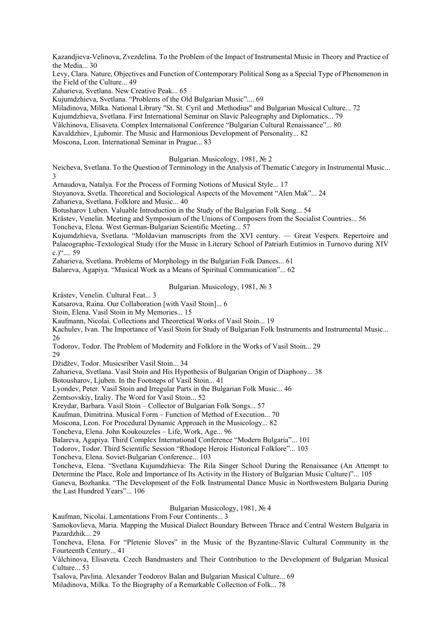Kazandjieva-Velinova, Zvezdelina. To the Problem of the Impact of Instrumental Music in Theory and Practice of the Media... 30

Levy, Clara. Nature, Objectives and Function of Contemporary Political Song as a Special Type of Phenomenon in the Field of the Culture... 49

Zaharieva, Svetlana. New Creative Peak... 65

Kujumdzhieva, Svetlana. "Problems of the Old Bulgarian Music".... 69

Miladinova, Milka. National Library "St. St. Cyril and .Methodius" and Bulgarian Musical Culture... 72

Kujumdzhieva, Svetlana. First International Seminar on Slavic Paleography and Diplomatics... 79

Vâlchinova, Elisaveta. Complex International Conference "Bulgarian Cultural Renaissance"... 80

Kavaldzhiev, Ljubomir. The Music and Harmonious Development of Personality... 82

Moscona, Leon. International Seminar in Prague... 83

### Bulgarian. Musicology, 1981, № 2

Neicheva, Svetlana. To the Question of Terminology in the Analysis of Thematic Category in Instrumental Music... 3

Arnaudova, Natalya. For the Process of Forming Notions of Musical Style... 17

Stoyanova, Svetla. Theoretical and Sociological Aspects of the Movement "Alen Mak"... 24 Zaharieva, Svetlana. Folklore and Music... 40

Botusharov Luben. Valuable Introduction in the Study of the Bulgarian Folk Song... 54

Krâstev, Venelin. Meeting and Symposium of the Unions of Composers from the Socialist Countries... 56

Toncheva, Elena. West German-Bulgarian Scientific Meeting... 57

Kujumdzhieva, Svetlana. "Moldavian manuscripts from the XVI century. — Great Vespers. Repertoire and Palaeographic-Textological Study (for the Music in Literary School of Patriarh Eutimios in Turnovo during XIV c.)".... 59

Zaharieva, Svetlana. Problems of Morphology in the Bulgarian Folk Dances... 61

Balareva, Agapiya. "Musical Work as a Means of Spiritual Communication"... 62

Bulgarian. Musicology, 1981, № 3

Krâstev, Venelin. Cultural Feat... 3

Katsarova, Raina. Our Collaboration [with Vasil Stoin]... 6

Stoin, Elena. Vasil Stoin in My Memories... 15

Kaufmann, Nicolai. Collections and Theoretical Works of Vasil Stoin... 19

Kachulev, Ivan. The Importance of Vasil Stoin for Study of Bulgarian Folk Instruments and Instrumental Music... 26

Todorov, Todor. The Problem of Modernity and Folklore in the Works of Vasil Stoin... 29 29

Džidžev, Todor. Musicsriber Vasil Stoin... 34

Zaharieva, Svetlana. Vasil Stoin and His Hypothesis of Bulgarian Origin of Diaphony... 38

Botousharov, Ljuben. In the Footsteps of Vasil Stoin... 41

Lyondev, Peter. Vasil Stoin and Irregular Parts in the Bulgarian Folk Music... 46

Zemtsovskiy, Izaliy. The Word for Vasil Stoin... 52

Kreydar, Barbara. Vasil Stoin – Collector of Bulgarian Folk Songs... 57

Kaufman, Dimitrina. Musical Form – Function of Method of Execution... 70

Moscona, Leon. For Procedural Dynamic Approach in the Musicology... 82

Toncheva, Elena. John Koukouzeles – Life, Work, Age... 96

Balareva, Agapiya. Third Complex International Conference "Modern Bulgaria"... 101

Todorov, Todor. Third Scientific Session "Rhodope Heroic Historical Folklore"... 103

Toncheva, Elena. Soviet-Bulgarian Conference... 103

Toncheva, Elena. "Svetlana Kujumdzhieva: The Rila Singer School During the Renaissance (An Attempt to Determine the Place, Role and Importance of Its Activity in the History of Bulgarian Music Culture)"... 105

Ganeva, Bozhanka. "The Development of the Folk Instrumental Dance Music in Northwestern Bulgaria During the Last Hundred Years"... 106

Bulgarian Musicology, 1981, № 4

Kaufman, Nicolai. Lamentations From Four Continents... 3

Samokovlieva, Maria. Mapping the Musical Dialect Boundary Between Thrace and Central Western Bulgaria in Pazardzhik... 29

Toncheva, Elena. For "Pletenie Sloves" in the Music of the Byzantine-Slavic Cultural Community in the Fourteenth Century... 41

Vâlchinova, Elisaveta. Czech Bandmasters and Their Contribution to the Development of Bulgarian Musical Culture... 53

Tsalova, Pavlina. Alexander Teodorov Balan and Bulgarian Musical Culture... 69

Miladinova, Milka. To the Biography of a Remarkable Collection of Folk... 78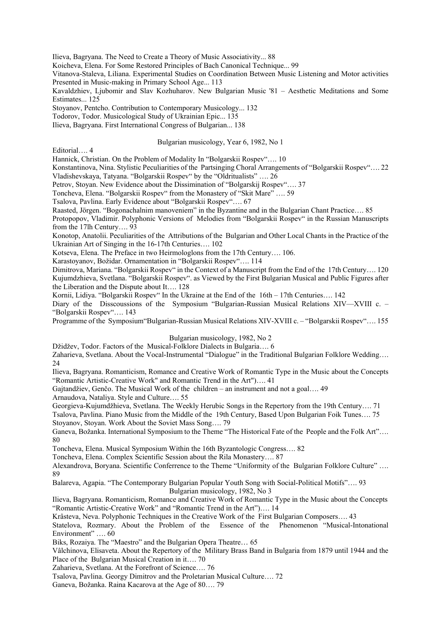Ilieva, Bagryana. The Need to Create a Theory of Music Associativity... 88

Koicheva, Elena. For Some Restored Principles of Bach Canonical Technique... 99

Vitanova-Staleva, Liliana. Experimental Studies on Coordination Between Music Listening and Motor activities Presented in Music-making in Primary School Age... 113

Kavaldzhiev, Ljubomir and Slav Kozhuharov. New Bulgarian Music '81 – Aesthetic Meditations and Some Estimates... 125

Stoyanov, Pentcho. Contribution to Contemporary Musicology... 132

Todorov, Todor. Musicological Study of Ukrainian Epic... 135

Ilieva, Bagryana. First International Congress of Bulgarian... 138

# Bulgarian musicology, Year 6, 1982, No 1

Editorial…. 4

Hannick, Christian. On the Problem of Modality In "Bolgarskii Rospev"…. 10

Konstantinova, Nina. Stylistic Peculiarities of the Partsinging Choral Arrangements of "Bolgarskii Rospev"…. 22 Vladishevskaya, Tatyana. "Bolgarskii Rospev" by the "Oldritualists" …. 26

Petrov, Stoyan. New Evidence about the Dissimination of "Bolgarskij Rospev"…. 37

Toncheva, Elena. "Bolgarskii Rospev" from the Monastery of "Skit Mare" …. 59

Tsalova, Pavlina. Early Evidence about "Bolgarskii Rospev"…. 67

Raasted, Jörgen. "Bogonachalnim manoveniem" in the Byzantine and in the Bulgarian Chant Practice…. 85

Protopopov, Vladimir. Polyphonic Versions of Melodies from "Bolgarskii Rospev" in the Russian Manuscripts from the 17lh Century…. 93

Konotop, Anatolii. Peculiarities of the Attributions of the Bulgarian and Other Local Chants in the Practice of the Ukrainian Art of Singing in the 16-17th Centuries…. 102

Kotseva, Elena. The Preface in two Heirmologlons from the 17th Century…. 106.

Karastoyanov, Božidar. Ornamentation in "Bolgarskii Rospev"…. 114

Dimitrova, Mariana. "Bolgarskii Rospev" in the Context of a Manuscript from the End of the 17th Century…. 120 Kujumdzhieva, Svetlana. "Bolgarskii Rospev". as Viewed by the First Bulgarian Musical and Public Figures after the Liberation and the Dispute about It…. 128

Kornii, Lidiya. "Bolgarskii Rospev" In the Ukraine at the End of the 16th – 17th Centuries…. 142

Diary of the Disscoussions of the Symposium "Bulgarian-Russian Musical Relations XIV—XVIII c. -"Bolgarskii Rospev"…. 143

Programme of the Symposium"Bulgarian-Russian Musical Relations XIV-XVIII c. – "Bolgarskii Rospev"…. 155

# Bulgarian musicology, 1982, No 2

Džidžev, Todor. Factors of the Musical-Folklore Dialects in Bulgaria…. 6

Zaharieva, Svetlana. About the Vocal-Instrumental "Dialogue" in the Traditional Bulgarian Folklore Wedding…. 24

Ilieva, Bagryana. Romanticism, Romance and Creative Work of Romantic Type in the Music about the Concepts "Romantic Artistic-Creative Work" and Romantic Trend in the Art")…. 41

Gajtandžiev, Genčo. The Musical Work of the children – an instrument and not a goal…. 49

Arnaudova, Nataliya. Style and Culture…. 55

Georgieva-Kujumdžhieva, Svetlana. The Weekly Herubic Songs in the Repertory from the 19th Century…. 71

Tsalova, Pavlina. Piano Music from the Middle of the 19th Century, Based Upon Bulgarian Foik Tunes…. 75 Stoyanov, Stoyan. Work About the Soviet Mass Song…. 79

Ganeva, Božanka. International Symposium to the Theme "The Historical Fate of the People and the Folk Art"…. 80

Toncheva, Elena. Musical Symposium Within the 16th Byzantologic Congress…. 82

Toncheva, Elena. Complex Scientific Session about the Rila Monastery…. 87

Alexandrova, Boryana. Scientific Conferrence to the Theme "Uniformity of the Bulgarian Folklore Culture" …. 89

Balareva, Agapia. "The Contemporary Bulgarian Popular Youth Song with Social-Political Motifs"…. 93 Bulgarian musicology, 1982, No 3

Ilieva, Bagryana. Romanticism, Romance and Creative Work of Romantic Type in the Music about the Concepts "Romantic Artistic-Creative Work" and "Romantic Trend in the Art")…. 14

Krâsteva, Neva. Polyphonic Techniques in the Creative Work of the First Bulgarian Composers…. 43

Statelova, Rozmary. About the Problem of the Essence of the Phenomenon "Musical-Intonational Environment" …. 60

Biks, Rozaiya. The "Maestro" and the Bulgarian Opera Theatre… 65

Vâlchinova, Elisaveta. About the Repertory of the Military Brass Band in Bulgaria from 1879 until 1944 and the Place of the Bulgarian Musical Creation in it…. 70

Zaharieva, Svetlana. At the Forefront of Science…. 76

Tsalova, Pavlina. Georgy Dimitrov and the Proletarian Musical Culture…. 72

Ganeva, Božanka. Raina Kacarova at the Age of 80…. 79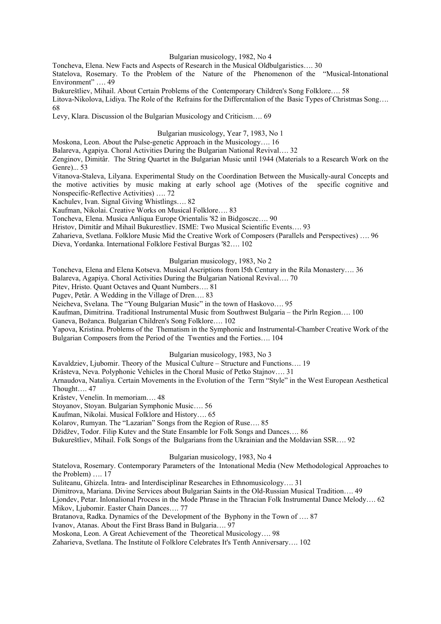### Bulgarian musicology, 1982, No 4

Toncheva, Elena. New Facts and Aspects of Research in the Musical Oldbulgaristics…. 30

Statelova, Rosemary. To the Problem of the Nature of the Phenomenon of the "Musical-Intonational Environment" .... 49

Bukureštliev, Mihail. About Certain Problems of the Contemporary Children's Song Folklore…. 58

Litova-Nikolova, Lidiya. The Role of the Refrains for the Differcntalion of the Basic Types of Christmas Song…. 68

Levy, Klara. Discussion ol the Bulgarian Musicology and Criticism…. 69

Bulgarian musicology, Year 7, 1983, No 1

Moskona, Leon. About the Pulse-genetic Approach in the Musicology…. 16

Balareva, Agapiya. Choral Activities During the Bulgarian National Revival…. 32

Zenginov, Dimitâr. The String Quartet in the Bulgarian Music until 1944 (Materials to a Research Work on the Genre)... 53

Vitanova-Staleva, Lilyana. Experimental Study on the Coordination Between the Musically-aural Concepts and the motive activities by music making at early school age (Motives of the specific cognitive and Nonspecific-Reflective Activities) …. 72

Kachulev, Ivan. Signal Giving Whistlings…. 82

Kaufman, Nikolai. Creative Works on Musical Folklore…. 83

Toncheva, Elena. Musica Anliqua Europe Orientalis '82 in Bidgosczc…. 90

Hristov, Dimitâr and Mihail Bukurestliev. ISME: Two Musical Scientific Events…. 93

Zaharieva, Svetlana. Folklore Music Mid the Creative Work of Composers (Parallels and Perspectives) …. 96 Dieva, Yordanka. International Folklore Festival Burgas '82…. 102

### Bulgarian musicology, 1983, No 2

Toncheva, Elena and Elena Kotseva. Musical Ascriptions from l5th Century in the Rila Monastery…. 36

Balareva, Agapiya. Choral Activities During the Bulgarian National Revival…. 70

Pitev, Hristo. Quant Octaves and Quant Numbers…. 81

Pugev, Petâr. A Wedding in the Village of Dren…. 83

Neicheva, Svelana. The "Young Bulgarian Music" in the town of Haskovo…. 95

Kaufman, Dimitrina. Traditional Instrumental Music from Southwest Bulgaria – the Pirln Region…. 100

Ganeva, Božanca. Bulgarian Children's Song Folklore…. 102

Yapova, Kristina. Problems of the Thematism in the Symphonic and Instrumental-Chamber Creative Work of the Bulgarian Composers from the Period of the Twenties and the Forties…. 104

### Bulgarian musicology, 1983, No 3

Kavaldziev, Ljubomir. Theory of the Musical Culture – Structure and Functions…. 19

Krâsteva, Neva. Polyphonic Vehicles in the Choral Music of Petko Stajnov…. 31

Arnaudova, Nataliya. Certain Movements in the Evolution of the Term "Style" in the West European Aesthetical Thought…. 47

Krâstev, Venelin. In memoriam…. 48

Stoyanov, Stoyan. Bulgarian Symphonic Music…. 56

Kaufman, Nikolai. Musical Folklore and History…. 65

Kolarov, Rumyan. The "Lazarian" Songs from the Region of Ruse…. 85

Džidžev, Todor. Filip Kutev and the State Ensamble lor Folk Songs and Dances…. 86

Bukureštliev, Mihail. Folk Songs of the Bulgarians from the Ukrainian and the Moldavian SSR…. 92

# Bulgarian musicology, 1983, No 4

Statelova, Rosemary. Contemporary Parameters of the Intonational Media (New Methodological Approaches to the Problem) …. 17

Suliteanu, Ghizela. Intra- and Interdisciplinar Researches in Ethnomusicology…. 31

Dimitrova, Mariana. Divine Services about Bulgarian Saints in the Old-Russian Musical Tradition…. 49

Ljondev, Petar. Inlonalional Process in the Mode Phrase in the Thracian Folk Instrumental Dance Melody…. 62 Mikov, Ljubomir. Easter Chain Dances…. 77

Bratanova, Radka. Dynamics of the Development of the Byphony in the Town of …. 87

Ivanov, Atanas. About the First Brass Band in Bulgaria…. 97

Moskona, Leon. A Great Achievement of the Theoretical Musicology…. 98

Zaharieva, Svetlana. The Institute ol Folklore Celebrates It's Tenth Anniversary…. 102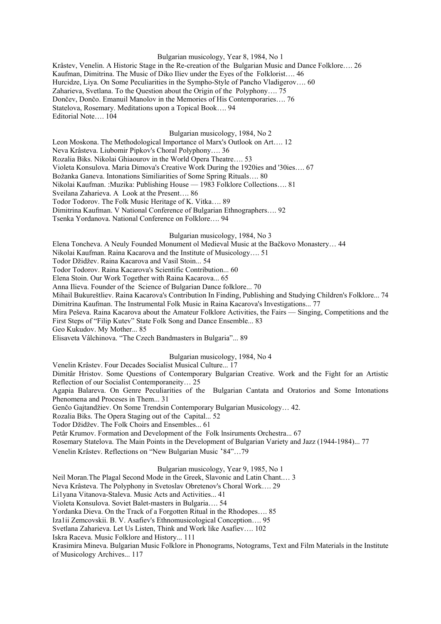#### Bulgarian musicology, Year 8, 1984, No 1

Krâstev, Venelin. A Historic Stage in the Re-creation of the Bulgarian Music and Dance Folklore…. 26 Kaufman, Dimitrina. The Music of Diko Iliev under the Eyes of the Folklorist…. 46 Hurcidze, Liya. On Some Peculiarities in the Sympho-Style of Pancho Vladigerov…. 60 Zaharieva, Svetlana. To the Question about the Origin of the Polyphony…. 75 Dončev, Dončo. Emanuil Manolov in the Memories of His Contemporaries…. 76 Statelova, Rosemary. Meditations upon a Topical Book…. 94 Editorial Note…. 104

### Bulgarian musicology, 1984, No 2

Leon Moskona. The Methodological Importance ol Marx's Outlook on Art…. 12 Neva Krâsteva. Liubomir Pipkov's Choral Polyphony…. 36 Rozalia Biks. Nikolai Ghiaourov in the World Opera Theatre…. 53 Violeta Konsulova. Maria Dimova's Creative Work During the 1920ies and '30ies…. 67 Božanka Ganeva. Intonations Similiarities of Some Spring Rituals…. 80 Nikolai Kaufman. :Muzika: Publishing House — 1983 Folklore Collections…. 81 Sveilana Zaharieva. A Look at the Present…. 86 Todor Todorov. The Folk Music Heritage of K. Vitka…. 89 Dimitrina Kaufman. V National Conference of Bulgarian Ethnographers…. 92

Tsenka Yordanova. National Conference on Folklore…. 94

### Bulgarian musicology, 1984, No 3

Elena Toncheva. A Neuly Founded Monument ol Medieval Music at the Bačkovo Monastery… 44

Nikolai Kaufman. Raina Kacarova and the Institute of Musicology…. 51

Todor Džidžev. Raina Kacarova and Vasil Stoin... 54

Todor Todorov. Raina Kacarova's Scientific Contribution... 60

Elena Stoin. Our Work Together with Raina Kacarova... 65

Anna Ilieva. Founder of the Science of Bulgarian Dance folklore... 70

Mihail Bukureštliev. Raina Kacarova's Contribution In Finding, Publishing and Studying Children's Folklore... 74 Dimitrina Kaufman. The Instrumental Folk Music in Raina Kacarova's Investigations... 77

Mira Peševa. Raina Kacarova about the Amateur Folklore Activities, the Fairs — Singing, Competitions and the First Steps of "Filip Kutev" State Folk Song and Dance Ensemble... 83

Geo Kukudov. My Mother... 85

Elisaveta Vâlchinova. "The Czech Bandmasters in Bulgaria"... 89

# Bulgarian musicology, 1984, No 4

Venelin Krâstev. Four Decades Socialist Musical Culture... 17

Dimitâr Hristov. Some Questions of Contemporary Bulgarian Creative. Work and the Fight for an Artistic Reflection of our Socialist Contemporaneity… 25

Agapia Balareva. On Genre Peculiarities of the Bulgarian Cantata and Oratorios and Some Intonations Phenomena and Proceses in Them... 31

Genčo Gajtandžiev. On Some Trendsin Contemporary Bulgarian Musicology… 42.

Rozalia Biks. The Opera Staging out of the Capital... 52

Todor Džidžev. The Folk Choirs and Ensembles... 61

Petâr Krumov. Formation and Development of the Folk lnsiruments Orchestra... 67

Rosemary Statelova. The Main Points in the Development of Bulgarian Variety and Jazz (1944-1984)... 77

Venelin Krâstev. Reflections on "New Bulgarian Music '84"…79

### Bulgarian musicology, Year 9, 1985, No 1

Neil Moran.The Plagal Second Mode in the Greek, Slavonic and Latin Chant.… 3

Neva Krâsteva. The Polyphony in Svetoslav Obretenov's Choral Work…. 29

Li1yana Vitanova-Staleva. Music Acts and Activities... 41

Violeta Konsulova. Soviet Balet-masters in Bulgaria…. 54

Yordanka Dieva. On the Track of a Forgotten Ritual in the Rhodopes…. 85

Iza1ii Zemcovskii. B. V. Asafiev's Ethnomusicological Conception…. 95

Svetlana Zaharieva. Let Us Listen, Think and Work like Asafiev…. 102

Iskra Raceva. Music Folklore and History... 111

Krasimira Mineva. Bulgarian Music Folklore in Phonograms, Notograms, Text and Film Materials in the Institute of Musicology Archives... 117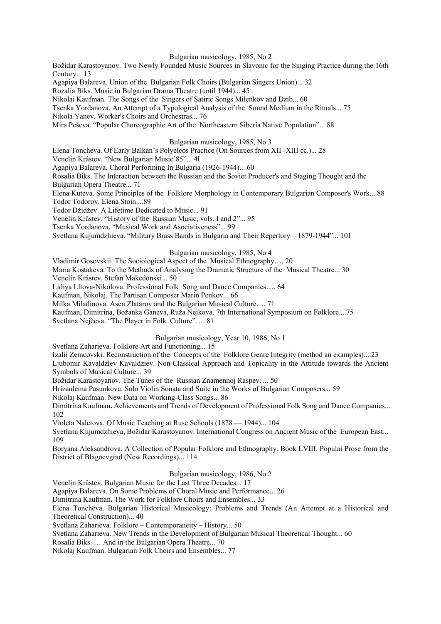### Bulgarian musicology, 1985, No 2

Božidar Karastoyanov. Two Newly Founded Music Sources in Slavonic for the Singing Practice during the 16th Century... 13

Agapiya Balareva. Union of the Bulgarian Folk Choirs (Bulgarian Singers Union)... 32

Rozalia Biks. Music in Bulgarian Drama Theatre (until 1944)... 45

Nikolai Kaufman. The Songs of the Singers of Satiric Songs Milenkov and Dzib... 60

Tsenka Yordanova. An Attempt of a Typological Analysis of the Sound Medium in the Rituals... 75

Nikola Yanev. Worker's Choirs and Orchestras... 76

Mira Peševa. "Popular Choreographic Art of the Northeastern Siberia Native Population"... 88

Bulgarian musicology, 1985, No 3

Elena Toncheva. Of Early Balkan's Polyeleos Practice (On Sources from XII -XIII cc.)... 28

Venelin Krâstev. "New Bulgarian Music'85"... 4l

Agapiya Balareva. Choral Performing In Bulgaria (1926-1944)... 60

Rosalia Biks. The Interaction between the Russian and the Soviet Producer's and Staging Thought and thc Bulgarian Opera Theatre... 71

Elena Kuteva. Some Principles of the Folklore Morphology in Contemporary Bulgarian Composer's Work... 88 Todor Todorov. Elena Stoin....89

Todor Džidžev. A Lifetime Dedicated to Music... 91

Venelin Krâstev. "History of the Russian Music, vols. I and 2"... 95

Tsenka Yordanova. "Musical Work and Asociativeness"... 99

Svetlana Kujumdzhieva. "Military Brass Bands in Bulgaria and Their Repertory – 1879-1944"... 101

### Bulgarian musicology, 1985, No 4

Vladimir Gosovskii. The Sociological Aspect of the Musical Ethnography…. 20

Maria Kostakeva. To the Methods of Analysing the Dramatic Structure of the Musical Theatre... 30

Venelin Krâstev. Stefan Makedonski... 50

Lidiya Lltova-Nikolova. Professional Folk Song and Dance Companies…. 64

Kaufman, Nikolaj. The Partisan Composer Marin Penkov... 66

Milka Miladinova. Asen Zlatarov and the Bulgarian Musical Culture…. 71

Kaufman, Dimitrina, Božanka Ganeva, Ruža Nejkova. 7th International Symposium on Folklore....75

Svetlana Nejčeva. "The Player in Folk Culture"…. 81

# Bulgarian musicology, Year 10, 1986, No 1

Svetlana Zaharieva. Folklore Art and Functioning... 15

Izalii Zemcovski. Reconstruction of the Concepts of the Folklore Genre Integrity (method an examples)....23

Ljubomir Kavaldzlev Kavaldziev. Non-Classical Approach and Topicality in the Attitude towards the Ancient Symbols of Musical Culture... 39

Božidar Karastoyanov. The Tunes of the Russian Znamennoj Raspev…. 50

Hrizanlema Pasunkova. Solo Violin Sonata and Suite in the Works of Bulgarian Composers... 59

Nikolaj Kaufman. New Data on Working-Class Songs... 86

Dimitrina Kaufman**.** Achievements and Trends of Development of Professional Folk Song and Dance Companies... 102

Violeta Naletova. Of Music Teaching at Ruse Schools (1878 — 1944)... 104

Svetlana Kujumdzhieva, Božidar Karastoyanov. International Congress on Ancient Music of the European East... 109

Boryana Aleksandrova. A Collection of Popular Folklore and Ethnography. Book LVIII. Populai Prose from the District of Blagoevgrad (New Recordings)... 114

# Bulgarian musicology, 1986, No 2

Venelin Krâstev. Bulgarian Music for the Last Three Decades... 17

Agapiya Balareva. On Some Problems of Choral Music and Performance... 26

Dimitrina Kaufman**.** The Work for Folklore Choirs and Ensembles... 33

Elena Toncheva. Bulgarian Historical Musicology: Problems and Trends (An Attempt at a Historical and Theoretical Construction)... 40

Svetlana Zaharieva. Folklore – Contemporaneity – History... 50

Svetlana Zaharieva. New Trends in the Development of Bulgarian Musical Theoretical Thought... 60

Rosalia Biks. … And in the Bulgarian Opera Theatre... 70

Nikolaj Kaufman. Bulgarian Folk Choirs and Ensembles... 77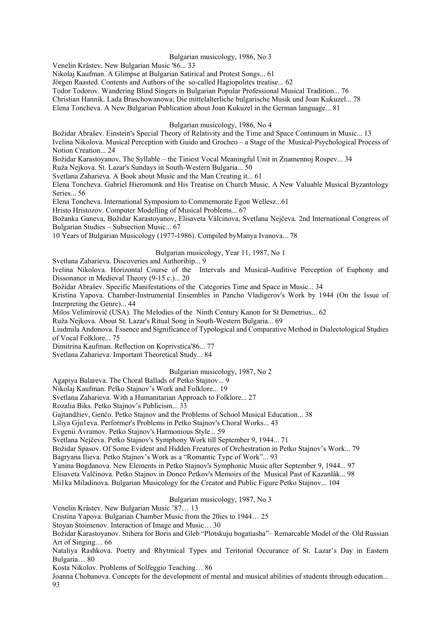### Bulgarian musicology, 1986, No 3

Venelin Krâstev. New Bulgarian Music '86... 33

Nikolaj Kaufman. A Glimpse at Bulgarian Satirical and Protest Songs... 61

Jörgen Raasted. Contents and Authors of the so-called Hagiopolites treatise... 62

Todor Todorov. Wandering Blind Singers in Bulgarian Popular Professional Musical Tradition... 76

Christian Hannik. Lada Braschowanowa; Die mittelalterliche bulgarische Musik und Joan Kukuzel... 78

Elena Toncheva. A New Bulgarian Publication about Joan Kukuzel in the German language... 81

# Bulgarian musicology, 1986, No 4

Božidar Abrašev. Einstein's Special Theory of Relativity and the Time and Space Continuum in Music... 13 Ivelina Nikolova. Musical Perception with Guido and Grocheo – a Stage of the Musical-Psychological Process of Notion Creation... 24

Božidar Karastoyanov. The Syllable – the Tiniest Vocal Meaningful Unit in Znamennoj Rospev... 34

Ruža Nejkova. St. Lazar's Sundays in South-Western Bulgaria... 50

Svetlana Zaharieva. A Book about Music and the Man Creating it... 61

Elena Toncheva. Gabriel Hieromonk and His Treatise on Church Music. A New Valuable Musical Byzantology Series... 56

Elena Toncheva. International Symposium to Commemorate Egon Wellesz...61

Hristo Hristozov. Computer Modelling of Musical Problems... 67

Božanka Ganeva, Božidar Karastoyanov, Elisaveta Vâlcinova, Svetlana Nejčeva. 2nd International Congress of Bulgarian Studies – Subsection Music... 67

10 Years of Bulgarian Musicology (1977-1986). Compiled byManya Ivanova... 78

# Bulgarian musicology, Year 11, 1987, No 1

Svetlana Zaharieva. Discoveries and Authorihip... 9

Ivelina Nikolova. Horizontal Course of the Intervals and Musical-Auditive Perception of Euphony and Dissonance in Medieval Theory (9-15 c.)... 20

Božidar Abrašev. Specific Manifestations of the Categories Time and Space in Music... 34

Kristina Yapova. Chamber-Instrumental Ensembles in Pancho Vladigerov's Work by 1944 (On the Issue of Interpreting the Genre)... 44

Milos Velimirovič (USA). The Melodies of the Ninth Century Kanon for St Demetrius... 62

Ruža Nejkova. About St. Lazar's Ritual Song in South-Western Bulgaria... 69

Liudmila Andonova. Essence and Significance of Typological and Comparative Method in Dialectological Studies of Vocal Folklore... 75

Dimitrina Kaufman. Reflection on Koprivstica'86... 77

Svetlana Zaharieva. Important Theoretical Study... 84

Bulgarian musicology, 1987, No 2

Agapiya Balareva. The Choral Ballads of Petko Stajnov... 9

Nikolaj Kaufman. Pelko Stajnov's Work and Folklore... 19

Svetlana Zaharieva. With a Humanitarian Approach to Folklore... 27

Rozalia Biks. Petko Stajnov's Publicism... 33

Gajtandžiev, Genčo. Petko Stajnov and the Problems of School Musical Education... 38

Liliya Gju1eva. Performer's Problems in Petko Stajnov's Choral Works... 43

Evgenii Avramov. Petko Stajnov's Harmonious Style... 59

Svetlana Nejčeva. Petko Stajnov's Symphony Work till September 9, 1944... 71

Božidar Spasov. Of Some Evident and Hidden Freatures of Orchestration in Petko Stajnov's Work... 79

Bagryana Ilieva. Petko Stajnov's Work as a "Romantic Type of Work"... 93

Yanina Bogdanova. New Elements in Petko Stajnov's Symphonic Music after September 9, 1944... 97

Elisaveta Valčinova. Petko Stajnov in Donco Petkov's Memoirs of the Musical Past of Kazanlâk... 98

Mi1ka Miladinova. Bulgarian Musicology for the Creator and Public Figure Petko Stajnov... 104

Bulgarian musicology, 1987, No 3

Venelin Krâstev. New Bulgarian Music '87… 13

Cristina Yapova. Bulgarian Chamber Music from the 20ies to 1944… 25

Stoyan Stoimenov. Interaction of Image and Music… 30

Božidar Karastoyanov. Stihera for Boris and Gleb "Plotskuju bogatiasha"– Remarcable Model of the Old Russian Art of Singing… 66

Nataliya Rashkova. Poetry and Rhytmical Types and Teritorial Occurance of St. Lazar's Day in Eastern Bulgaria… 80

Kosta Nikolov. Problems of Solfeggio Teaching… 86

Joanna Chobanova. Concepts for the development of mental and musical abilities of students through education... 93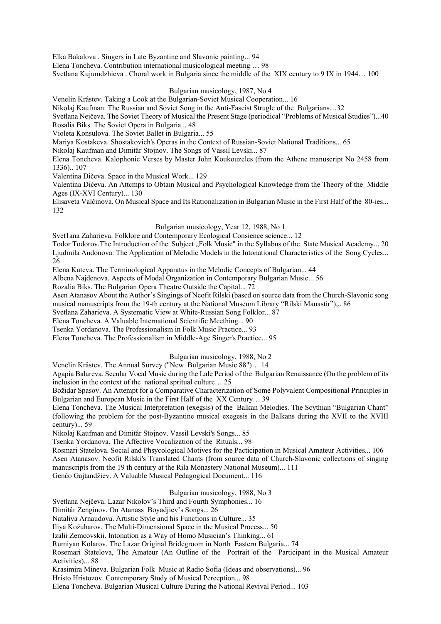Elka Bakalova . Singers in Late Byzantine and Slavonic painting... 94

Elena Toncheva. Contribution international musicological meeting … 98

Svetlana Kujumdzhieva . Choral work in Bulgaria since the middle of the XIX century to 9 IX in 1944… 100

### Bulgarian musicology, 1987, No 4

Venelin Krâstev. Taking a Look at the Bulgarian-Soviet Musical Cooperation... 16

Nikolaj Kaufman. The Russian and Soviet Song in the Anti-Fascist Strugle of the Bulgarians…32

Svetlana Nejčeva. The Soviet Theory of Musical the Present Stage (periodical "Problems of Musical Studies")...40 Rosalia Biks. The Soviet Opera in Bulgaria... 48

Violeta Konsulova. The Soviet Ballet in Bulgaria... 55

Mariya Kostakeva. Shostakovich's Operas in the Context of Russian-Soviet National Traditions... 65

Nikolaj Kaufman and Dimitâr Stojnov. The Songs of Vassil Levski... 87

Elena Toncheva. Kalophonic Verses by Master John Koukouzeles (from the Athene manuscript No 2458 from 1336).. 107

Valentina Dičeva. Space in the Musical Work... 129

Valentina Dičeva. An Attcmps to Obtain Musical and Psychological Knowledge from the Theory of the Middle Ages (IX-XVI Century)... 130

Elisaveta Valčinova. On Musical Space and Its Rationalization in Bulgarian Music in the First Half of the 80-ies... 132

### Bulgarian musicology, Year 12, 1988, No 1

Svet1ana Zaharieva. Folklore and Contemporary Ecological Consience science... 12

Todor Todorov. The Introduction of the Subject "Folk Music" in the Syllabus of the State Musical Academy... 20 Ljudmila Andonova. The Application of Melodic Models in the Intonational Characteristics of the Song Cycles... 26

Elena Kuteva. The Terminological Apparatus in the Melodic Concepts of Bulgarian... 44

Albena Najdcnova. Aspects of Modal Organization in Contemporary Bulgarian Music... 56

Rozalia Biks. The Bulgarian Opera Theatre Outside the Capital... 72

Asen Atanasov About the Author's Singings of Neofit Rilski (based on source data from the Church-Slavonic song

musical manuscripts from the 19-th century at the National Museum Library "Rilski Manastir"),,. 86

Svetlana Zaharieva. A Systematic View at White-Russian Song Folklor... 87

Elena Toncheva. A Valuable International Scientific Mcething... 90

Tsenka Yordanova. The Professionalism in Folk Music Practice... 93

Elena Toncheva. The Professionalism in Middle-Age Singer's Practice... 95

# Bulgarian musicology, 1988, No 2

Venelin Krâstev. The Annual Survey ("New Bulgarian Music 88")… 14

Agapia Balareva. Secular Vocal Music during the Lale Period of the Bulgarian Renaissance (On the problem of its inclusion in the context of the national spritual culture… 25

Božidar Spasov. An Attempt for a Comparative Characterization of Some Polyvalent Compositional Principles in Bulgarian and European Music in the First Half of the XX Century… 39

Elena Toncheva. The Musical Interpretation (exegsis) of the Balkan Melodies. The Scythian "Bulgarian Chant" (following the problem for the post-Byzantine musical exegesis in the Balkans during the XVII to the XVIII century)... 59

Nikolaj Kaufman and Dimitâr Stojnov. Vassil Levski's Songs... 85

Tsenka Yordanova. The Affective Vocalization of the Rituals... 98

Rosmari Statelova. Social and Phsycological Motives for the Pacticipation in Musical Amateur Activities... 106 Asen Atanasov. Neofit Rilski's Translated Chants (from source data of Church-Slavonic collections of singing manuscripts from the 19 th century at the Rila Monastery National Museum)... 111

Genčo Gajtandžiev. A Valuable Musical Pedagogical Document... 116

Bulgarian musicology, 1988, No 3

Svetlana Nejčeva. Lazar Nikolov's Third and Fourth Symphonies... 16

Dimitâr Zenginov. On Atanass Boyadjiev's Songs... 26

Nataliya Arnaudova. Artistic Style and his Functions in Culture... 35

Iliya Kožuharov. The Multi-Dimensional Space in the Musical Process... 50

Izalii Zemcovskii. Intonation as a Way of Homo Musician's Thinking... 61

Rumiyan Kolarov. The Lazar Original Bridegroom in North Eastern Bulgaria... 74

Rosemari Statelova, The Amateur (An Outline of the Portrait of the Participant in the Musical Amateur Activities)... 88

Krasimira Mineva. Bulgarian Folk Music at Radio Sofia (Ideas and observations)... 96

Hristo Hristozov. Contemporary Study of Musical Perception... 98

Elena Toncheva. Bulgarian Musical Culture During the National Revival Period... 103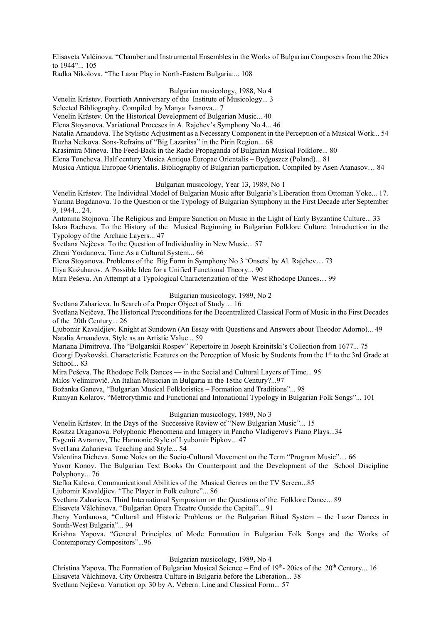Elisaveta Valčinova. "Chamber and Instrumental Ensembles in the Works of Bulgarian Composers from the 20ies to 1944"... 105

Radka Nikolova. "The Lazar Play in North-Eastern Bulgaria:... 108

### Bulgarian musicology, 1988, No 4

Venelin Krâstev. Fourtieth Anniversary of the Institute of Musicology... 3

Selected Bibliography. Compiled by Manya Ivanova... 7

Venelin Krâstev. On the Historical Development of Bulgarian Music... 40

Elena Stoyanova. Variational Proceses in A. Rajchev's Symphony No 4... 46

Natalia Arnaudova. The Stylistic Adjustment as a Necessary Component in the Perception of a Musical Work... 54 Ruzha Neikova. Sons-Refrains of "Big Lazaritsa" in the Pirin Region... 68

Krasimira Mineva. The Feed-Back in the Radio Propaganda of Bulgarian Musical Folklore... 80

Elena Toncheva. Half century Musica Antiqua Europae Orientalis – Bydgoszcz (Poland)... 81

Musica Antiqua Europae Orientalis. Bibliography of Bulgarian participation. Compiled by Asen Atanasov… 84

### Bulgarian musicology, Year 13, 1989, No 1

Venelin Krâstev. The Individual Model of Bulgarian Music after Bulgaria's Liberation from Ottoman Yoke... 17. Yanina Bogdanova. To the Question or the Typology of Bulgarian Symphony in the First Decade after September 9, 1944... 24.

Antonina Stojnova. The Religious and Empire Sanction on Music in the Light of Early Byzantine Culture... 33 Iskra Racheva. To the History of the Musical Beginning in Bulgarian Folklore Culture. Introduction in the Typology of the Archaic Layers... 47

Svetlana Nejčeva. To the Question of Individuality in New Music... 57

Zheni Yordanova. Time As a Cultural System... 66

Elena Stoyanova. Problems of the Big Form in Symphony No 3 "Onsets" by Al. Rajchev... 73

Iliya Kožuharov. A Possible Idea for a Unified Functional Theory... 90

Mira Peševa. An Attempt at a Typological Characterization of the West Rhodope Dances… 99

# Bulgarian musicology, 1989, No 2

Svetlana Zaharieva. In Search of a Proper Object of Study… 16

Svetlana Nejčeva. The Historical Preconditions for the Decentralized Classical Form of Music in the First Decades of the 20th Century... 26

Ljubomir Kavaldjiev. Knight at Sundown (An Essay with Questions and Answers about Theodor Adorno)... 49 Natalia Arnaudova. Style as an Artistic Value... 59

Mariana Dimitrova. The "Bolgarskii Rospev" Repertoire in Joseph Kreinitski's Collection from 1677... 75

Georgi Dyakovski. Characteristic Features on the Perception of Music by Students from the 1<sup>st</sup> to the 3rd Grade at School... 83

Mira Peševa. The Rhodope Folk Dances — in the Social and Cultural Layers of Time... 95

Milos Velimirovič. An Italian Musician in Bulgaria in the 18thc Century?...97

Božanka Ganeva, "Bulgarian Musical Folkloristics – Formation and Traditions"... 98

Rumyan Kolarov. "Metrorythmic and Functional and Intonational Typology in Bulgarian Folk Songs"... 101

# Bulgarian musicology, 1989, No 3

Venelin Krâstev. In the Days of the Successive Review of "New Bulgarian Music"... 15

Rositza Draganova. Polyphonic Phenomena and Imagery in Pancho Vladigerov's Piano Plays...34

Evgenii Avramov, The Harmonic Style of Lyubomir Pipkov... 47

Svet1ana Zaharieva. Teaching and Style... 54

Valcntina Dicheva. Some Notes on the Socio-Cultural Movement on the Term "Program Music"… 66

Yavor Konov. The Bulgarian Text Books On Counterpoint and the Development of the School Discipline Polyphony... 76

Stefka Kaleva. Communicational Abilities of the Musical Genres on the TV Screen...85

Ljubomir Kavaldjiev. "The Player in Folk culture"... 86

Svetlana Zaharieva. Third International Symposium on the Questions of the Folklore Dance... 89

Elisaveta Vâlchinova. "Bulgarian Opera Theatre Outside the Capital"... 91

Jheny Yordanova, "Cultural and Historic Problems or the Bulgarian Ritual System – the Lazar Dances in South-West Bulgaria"... 94

Krishna Yapova. "General Principles of Mode Formation in Bulgarian Folk Songs and the Works of Contemporary Compositors"...96

# Bulgarian musicology, 1989, No 4

Christina Yapova. The Formation of Bulgarian Musical Science – End of  $19<sup>th</sup>$ - 20ies of the  $20<sup>th</sup>$  Century... 16

Elisaveta Vâlchinova. City Orchestra Culture in Bulgaria before the Liberation... 38

Svetlana Nejčeva. Variation op. 30 by A. Vebern. Line and Classical Form... 57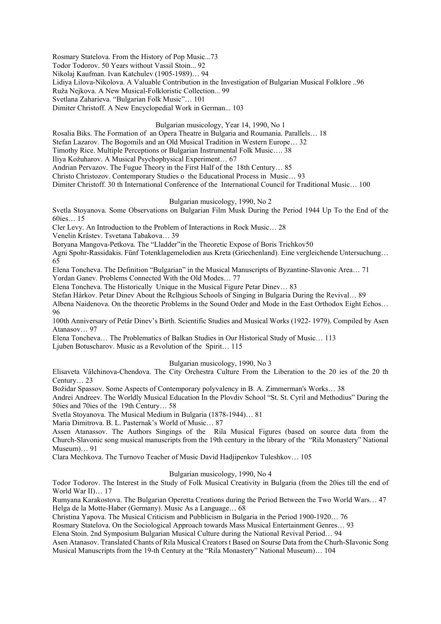Rosmary Statelova. From the History of Pop Music...73

Todor Todorov. 50 Years without Vassil Stoin... 92

Nikolaj Kaufman. Ivan Katchulev (1905-1989)… 94

Lidiya Lilova-Nikolova. A Valuable Contribution in the Investigation of Bulgarian Musical Folklore ..96

Ruža Nejkova. A New Musical-Folkloristic Collection... 99

Svetlana Zaharieva. "Bulgarian Folk Music"… 101

Dimiter Christoff. A New Encyclopedial Work in German... 103

# Bulgarian musicology, Year 14, 1990, No 1

Rosalia Biks. The Formation of an Opera Theatre in Bulgaria and Roumania. Parallels… 18

Stefan Lazarov. The Bogomils and an Old Musical Tradition in Western Europe… 32

Timothy Rice. Multiple Perceptions or Bulgarian Instrumental Folk Music…. 38

Iliya Kožuharov. A Musical Psychophysical Experiment… 67

Andrian Pervazov. The Fugue Theory in the First Half of the 18th Century… 85

Christo Christozov. Contemporary Studies o the Educational Process in Music… 93

Dimiter Christoff. 30 th International Conference of the International Council for Traditional Music… 100

### Bulgarian musicology, 1990, No 2

Svetla Stoyanova. Some Observations on Bulgarian Film Musk During the Period 1944 Up To the End of the 60ies… 15

Cler Levy. An Introduction to the Problem of Interactions in Rock Music… 28

Venelin Krâstev. Tsvetana Tabakova… 39

Boryana Mangova-Petkova. The "Lladder"in the Theoretic Expose of Boris Trichkov50

Agni Spohr-Rassidakis. Fünf Totenklagemelodien aus Kreta (Griechenland). Eine vergleichende Untersuchung… 65

Elena Toncheva. The Definition "Bulgarian" in the Musical Manuscripts of Byzantine-Slavonic Area… 71 Yordan Ganev. Problems Connected With the Old Modes… 77

Elena Toncheva. The Historically Unique in the Musical Figure Petar Dinev… 83

Stefan Hârkov. Petar Dinev About the Rclhgious Schools of Singing in Bulgaria During the Revival… 89

Albena Naidenova. On the theoretic Problems in the Sound Order and Mode in the East Orthodox Eight Echos… 96

100th Anniversary of Petâr Dinev's Birth. Scientific Studies and Musical Works (1922- 1979). Compiled by Asen Atanasov… 97

Elena Toncheva… The Problematics of Balkan Studies in Our Historical Study of Music… 113

Ljuben Botuscharov. Music as a Revolution of the Spirit… 115

### Bulgarian musicology, 1990, No 3

Еlisavеta Vâlchinova-Chendova. The City Orchestra Culture From the Liberation to the 20 ies of thе 20 th Century… 23

Božidar Spassov. Some Aspects of Contemporary polyvalency in B. A. Zimmerman's Works… 38

Andrei Andreev. The Worldly Musical Education In the Plovdiv School "St. St. Cyril and Methodius" During the 50ies and 70ies of the 19th Century… 58

Svetla Stoyanova. The Musical Medium in Bulgaria (1878-1944)… 81

Maria Dimitrova. B. L. Pasternak's World of Music… 87

Assen Atanassov. The Authors Singings of the Rila Musical Figures (based on source data from the Church-Slavonic song musical manuscripts from the 19th century in the library of the "Rila Monastery" National Museum)… 91

Clara Mechkova. The Turnovo Teacher of Music David Hadjipenkov Tuleshkov… 105

### Bulgarian musicology, 1990, No 4

Todor Todorov. The Interest in the Study of Folk Musical Creativity in Bulgaria (from the 20ies till the end of World War II)... 17

Rumyana Karakostova. The Bulgarian Operetta Creations during the Period Between the Two World Wars… 47 Helga de la Motte-Haber (Germany). Music As a Language… 68

Christina Yapova. The Musical Criticism and Pubblicism in Bulgaria in the Period 1900-1920… 76

Rosmary Statelova. On the Sociological Approach towards Mass Musical Entertainment Genres… 93

Elena Stoin. 2nd Symposium Bulgarian Musical Culture during the National Revival Period… 94

Asen Atanasov. Translated Chants of Rila Musical Creators t Based on Sourse Data from the Churh-SIavonic Song Musical Manuscripts from the 19-th Century at the "Rila Monastery" National Museum)… 104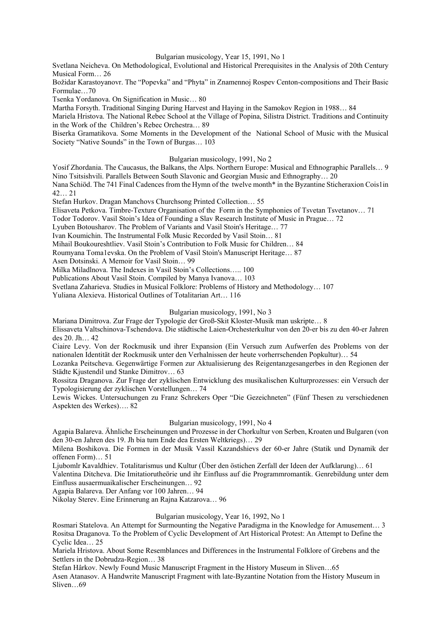### Bulgarian musicology, Year 15, 1991, No 1

Svetlana Neicheva. On Methodological, Evolutional and Historical Prerequisites in the Analysis of 20th Century Musical Form… 26

Božidar Karastoyanovr. The "Popevka" and "Phyta" in Znamennoj Rospev Centon-compositions and Their Basic Formulae…70

Tsenka Yordanova. On Signification in Music… 80

Martha Forsyth. Traditional Singing During Harvest and Haying in the Samokov Region in 1988… 84

Mariela Hristova. The National Rebec School at the Village of Popina, Silistra District. Traditions and Continuity in the Work of the Children's Rebec Orchestra… 89

Biserka Gramatikova. Some Moments in the Development of the National School of Music with the Musical Society "Native Sounds" in the Town of Burgas… 103

# Bulgarian musicology, 1991, No 2

Yosif Zhordania. The Caucasus, the Balkans, the Alps. Northern Europe: Musical and Ethnographic Parallels… 9 Nino Tsitsishvili. Parallels Between South Slavonic and Georgian Music and Ethnography… 20

Nana Schiöd. The 741 Final Cadences from the Hymn of the twelve month\* in the Byzantine Sticheraxion Cois1in 42… 21

Stefan Hurkov. Dragan Manchovs Churchsong Printed Collection… 55

Elisaveta Petkova. Timbre-Texture Organisation of the Form in the Symphonies of Tsvetan Tsvetanov… 71

Todor Todorov. Vasil Stoin's Idea of Founding a Slav Research Institute of Music in Prague… 72

Lyuben Botousharov. The Problem of Variants and Vasil Stoin's Heritage… 77

Ivan Koumichin. The Instrumental Folk Music Recorded by Vasil Stoin… 81

Mihail Boukoureshtliev. Vasil Stoin's Contribution to Folk Music for Children… 84

Roumyana Toma1evska. On the Problem of Vasil Stoin's Manuscript Heritage… 87

Asen Dotsinski. A Memoir for Vasil Stoin… 99

Milka Miladlnova. The Indexes in Vasil Stoin's Collections….. 100

Publications About Vasil Stoin. Compiled by Manya Ivanova… 103

Svetlana Zaharieva. Studies in Musical Folklore: Problems of History and Methodology… 107

Yuliana Alexieva. Historical Outlines of Totalitarian Art… 116

# Bulgarian musicology, 1991, No 3

Mariana Dimitrova. Zur Frage der Typologie der Groß-Skit Kloster-Musik man uskripte… 8

Elissaveta Valtschinova-Tschendova. Die städtische Laien-Orchesterkultur von den 20-er bis zu den 40-er Jahren des 20. Jh… 42

Ciaire Levy. Von der Rockmusik und ihrer Expansion (Ein Versuch zum Aufwerfen des Problems von der nationalen Identität der Rockmusik unter den Verhalnissen der heute vorherrschenden Popkultur)… 54

Lozanka Peitscheva. Gegenwärtige Formen zur Aktualisierung des Reigentanzgesangerbes in den Regionen der Städte Kjustendil und Stanke Dimitrov… 63

Rossitza Draganova. Zur Frage der zyklischen Entwicklung des musikalischen Kulturprozesses: ein Versuch der Typologisierung der zyklischen Vorstellungen… 74

Lewis Wickes. Untersuchungen zu Franz Schrekers Oper "Die Gezeichneten" (Fünf Thesen zu verschiedenen Aspekten des Werkes)…. 82

# Bulgarian musicology, 1991, No 4

Agapia Balareva. Ähnliche Erscheinungen und Prozesse in der Chorkultur von Serben, Kroaten und Bulgaren (von den 30-en Jahren des 19. Jh bia tum Ende dea Ersten Weltkriegs)… 29

Milena Boshikova. Die Formen in der Musik Vassil Kazandshievs der 60-er Jahre (Statik und Dynamik der offenen Form)… 51

Ljubomlr Kavaldhiev. Totalitarismus und Kultur (Über den östichen Zerfall der Ideen der Aufklarung)… 61

Valentina Ditcheva. Die Imitatiorutheörie und ihr Einfluss auf die Programmromantik. Genrebildung unter dem Einfluss ausaermuaikalischer Erscheinungen… 92

Agapia Balareva. Der Anfang vor 100 Jahren… 94

Nikolay Sterev. Eine Erinnerung an Rajna Katzarova… 96

# Bulgarian musicology, Year 16, 1992, No 1

Rosmari Statеlova. An Attempt for Surmounting the Negative Paradigma in the Knowledge for Amusement… 3 Rositsa Draganova. To the Problem of Cyclic Development of Art Historical Protest: An Attempt to Define the Cyclic Idea… 25

Mariela Hristova. About Some Resemblances and Differences in the Instrumental Folklore of Grebens and the Settlers in the Dobrudza-Region… 38

Stefan Hârkov. Newly Found Music Manuscript Fragment in the History Museum in Sliven…65

Asen Atanasov. A Handwrite Manuscript Fragment with late-Byzantine Notation from the History Museum in Sliven…69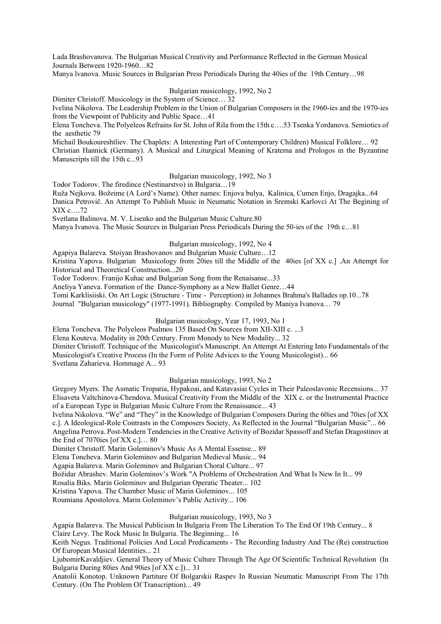Lada Brashovanova. The Bulgarian Musical Creativity and Performance Reflected in the German Musical Journals Between 1920-1960…82

Manya lvanova. Music Sources in Bulgarian Press Periodicals During the 40ies of the 19th Century…98

# Bulgarian musicology, 1992, No 2

Dimiter Christoff. Musicology in the System of Science… 32

Ivelina Nikolova. The Leadership Problem in the Union of Bulgarian Composers in the 1960-ies and the 1970-ies from the Viewpoint of Publicity and Public Space…41

Elena Toncheva. The Polyeleos Refrains for St. John of Rila from the 15th c….53 Tsenka Yordanova. Semiotics of the aesthetic 79

Michail Boukoureshtliev. The Chaplets: A Interesting Part of Contemporary Children) Musical Folklore… 92 Christian Hannick (Germany). A Musical and Liturgical Meaning of Kratema and Prologos in the Byzantine Manuscripts till the 15th c...93

#### Bulgarian musicology, 1992, No 3

Todor Todorov. The firedince (Nestinarstvo) in Bulgaria…19

Ruža Nejkova. Božeime (A Lord's Name). Other names: Enjova bulya, Kalinica, Cumen Enjo, Dragajka...64 Danica Petrovič. An Attempt To Publish Music in Neumatic Notation in Sremski Karlovci At The Begining of XIX c….72

Svetlana Balinova. M. V. Lisenko and the Bulgarian Music Culture.80

Manya Ivanova. The Music Sources in Bulgarian Press Periodicals During the 50-ies of the 19th c…81

# Bulgarian musicology, 1992, No 4

Agapiya Balareva. Stoiyan Brashovanov and Bulgarian Music Culture…12

Kristina Yapova. Bulgarian Musicology from 20ies till the Middle of the 40ies [of XX c.] .An Attempt for Historical and Theoretical Construction...20

Todor Todorov. Franijo Kuhac and Bulgarian Song from the Renaisanse...33

Anеliya Yanеva. Formation of the Dance-Symphony as a New Ballet Genre…44

Tomi Karklisiiski. On Art Logic (Structure - Time - Perception) in Johannes Brahma's Ballades op.10...78

Journal "Bulgarian musicology" (1977-1991). Bibliography. Compiled by Maniya Ivanova… 79

### Bulgarian musicology, Year 17, 1993, No 1

Elena Toncheva. The Polyeleos Psalmos 135 Based On Sources from XII-XIII c. ...3

Elena Kouteva. Modality in 20th Century. From Monody to New Modality... 32

Dimiter Christoff. Technique of the Musicologist's Manuscript. An Attempt At Entering Into Fundamentals of the Musicologist's Creative Process (In the Form of Polite Advices to the Young Musicologist)... 66 Svetlana Zaharieva. Hommage A... 93

### Bulgarian musicology, 1993, No 2

Gregory Myers. The Asmatic Troparia, Hypakoai, and Katavasiai Cycles in Their Paleoslavonic Recensions... 37 Elisaveta Valtchinova-Chendova. Musical Creativity From the Middle of the XIX c. or the Instrumental Practice of a European Type in Bulgarian Music Culture From the Renaissance... 43

Ivelina Nikolova. "We" and "They" in the Knowledge of Bulgarian Composers During the 60ies and 70ies [of XX c.]. A Ideological-Role Contrasts in the Composers Society, As Reflected in the Journal "Bulgarian Music"... 66 Angelina Petrova. Post-Modern Tendencies in the Creative Activity of Bozidar Spassoff and Stefan Dragostinov at the End of 7070ies [of XX c.]… 80

Dimiter Christoff. Marin Goleminov's Music As A Mental Essense... 89

Elena Toncheva. Marin Goleminov and Bulgarian Medieval Music... 94

Agapia Balareva. Marin Goleminov and Bulgarian Choral Culture... 97

Božidar Abrashev. Marin Goleminov's Work "A Problems of Orchestration And What Is New In It... 99

Rosalia Biks. Marin Goleminov and Bulgarian Operatic Theater... 102

Kristina Yapova. The Chamber Music of Marin Goleminov... 105

Roumiana Apostolova. Marin Goleminov's Public Activity... 106

# Bulgarian musicology, 1993, No 3

Agapia Balareva. The Musical Publicism In Bulgaria From The Liberation To The End Of 19th Century... 8

Claire Levy. The Rock Music In Bulgaria. The Beginning... 16

Keith Negus. Traditional Policies And Local Predicaments - The Recording Industry And The (Re) construction Of European Musical Identities... 21

LjubomirKavaldjiev. General Theory of Music Culture Through The Age Of Scientific Technical Revolution (In Bulgaria During 80ies And 90ies [of XX c.])... 31

Anatolii Konotop. Unknown Partiture Of Bolgarskii Raspev In Russian Neumatic Manuscript From The 17th Century. (On The Problem Of Transcription)... 49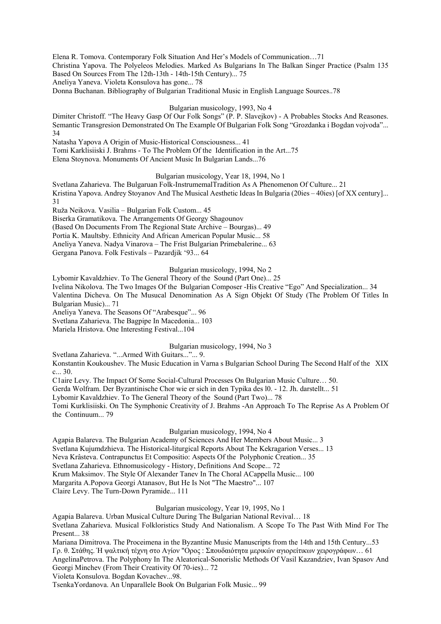Elena R. Tomova. Contemporary Folk Situation And Her's Models of Communication…71

Christina Yapova. The Polyeleos Melodies. Marked As Bulgarians In The Balkan Singer Practice (Psalm 135 Based On Sources From The 12th-13th - 14th-15th Century)... 75

Aneliya Yaneva. Violeta Konsulova has gone... 78

Donna Buchanan. Bibliography of Bulgarian Traditional Music in English Language Sources..78

#### Bulgarian musicology, 1993, No 4

Dimitеr Christoff. "The Heavy Gasp Of Our Folk Songs" (P. P. Slavejkov) - A Probables Stocks And Reasones. Semantic Transgresion Demonstrated On The Example Of Bulgarian Folk Song "Grozdanka i Bogdan vojvoda"... 34

Natasha Yapova A Origin of Music-Historical Consciousness... 41

Tomi Karklisiiski J. Brahms - To The Problem Of the Identification in the Art...75

Elena Stoynova. Monuments Of Ancient Music In Bulgarian Lands...76

Bulgarian musicology, Year 18, 1994, No 1

Svetlana Zaharieva. The Bulgaruan Folk-InstrumemalTradition As A Phenomenon Of Culture... 21 Kristina Yapova. Andrey Stoyanov And The Musical Aesthetic Ideas In Bulgaria (20ies – 40ies) [of XX century]... 31

Ruža Neikova. Vasilia – Bulgarian Folk Custom... 45

Biserka Gramatikova. The Arrangements Of Georgy Shagounov

(Based On Documents From The Regional State Archive – Bourgas)... 49

Portia K. Maultsby. Ethnicity And African American Popular Music... 58

Aneliya Yaneva. Nadya Vinarova – The Frist Bulgarian Primebalerine... 63

Gergana Panova. Folk Festivals – Pazardjik '93... 64

Bulgarian musicology, 1994, No 2

Lybomir Kavaldzhiev. To The General Theory of the Sound (Part One)... 25

Ivelina Nikolova. The Two Images Of the Bulgarian Composer -His Creative "Ego" And Specialization... 34

Valentina Dicheva. On The Musucal Denomination As A Sign Objekt Of Study (The Problem Of Titles In Bulgarian Music)... 71

Aneliya Yaneva. The Seasons Of "Arabesque"... 96

Svetlana Zaharieva. The Bagpipe In Macedonia... 103

Mariela Hristova. One Interesting Festival...104

# Bulgarian musicology, 1994, No 3

Svetlana Zaharieva. "...Armed With Guitars..."... 9.

Konstantin Koukoushev. The Music Education in Varna s Bulgarian School During The Second Half of the XIX c... 30.

C1aire Levy. The Impact Of Some Social-Cultural Processes On Bulgarian Music Culture… 50.

Gerda Wolfram. Der Byzantinische Chor wie er sich in den Typika des l0. - 12. Jh. darstellt... 51

Lybomir Kavaldzhiev. To The General Theory of the Sound (Part Two)... 78

Tomi Kurklisiiski. On The Symphonic Creativity of J. Brahms -An Approach To The Reprise As A Problem Of the Continuum... 79

### Bulgarian musicology, 1994, No 4

Agapia Balareva. The Bulgarian Academy of Sciences And Her Members About Music... 3 Svetlana Kujumdzhieva. The Historical-liturgical Reports About The Kekragarion Verses... 13 Neva Krâsteva. Contrapunctus Et Compositio: Aspects Of the Polyphonic Creation... 35 Svetlana Zaharieva. Ethnomusicology - History, Definitions And Scope... 72 Krum Maksimov. The Style Of Alexander Tanev In The Choral ACappella Music... 100 Margarita A.Popova Georgi Atanasov, But He Is Not "The Maestro"... 107 Claire Levy. The Turn-Down Pyramide... 111

# Bulgarian musicology, Year 19, 1995, No 1

Agapia Balareva. Urban Musical Culture During The Bulgarian National Revival… 18 Svetlana Zaharieva. Musical Folkloristics Study And Nationalism. A Scope To The Past With Mind For The

Present... 38

Mariana Dimitrova. The Proceimena in the Byzantine Music Manuscripts from the 14th and 15th Century...53 Γρ. θ. Στάθης. Ή ψαλτική τέχνη στο Αγίον "Ορος : Σπουδαιότητα μερικών αγιορείτικων χειρογράφων… 61 AngelinaPetrova. The Polyphony In The Aleatorical-Sonorislic Methods Of Vasil Kazandziev, Ivan Spasov And Georgi Minchev (From Their Creativity Of 70-ies)... 72

Violeta Konsulova. Bogdan Kovachev...98.

TsenkaYordanova. An Unparallele Book On Bulgarian Folk Music... 99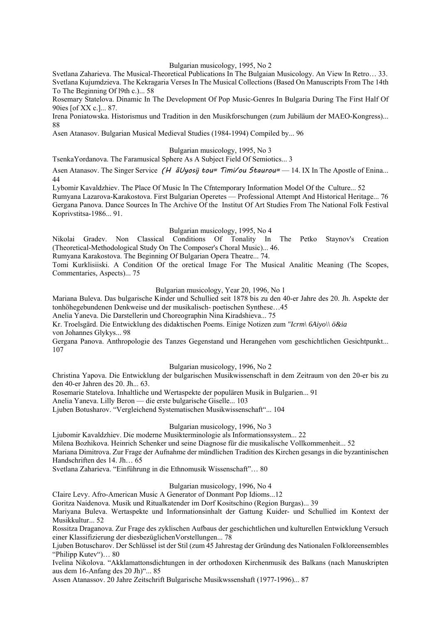### Bulgarian musicology, 1995, No 2

Svеtlana Zaharieva. The Musical-Theoretical Publications In The Bulgaian Musicology. An View In Retro… 33. Svetlana Kujumdzieva. The Kekragaria Verses In The Musical Collections (Based On Manuscripts From The 14th To The Beginning Of l9th c.)... 58

Rosemary Statelova. Dinamic In The Development Of Pop Music-Genres In Bulgaria During The First Half Of 90ies [of XX c.]... 87.

Irena Poniatowska. Historismus und Tradition in den Musikforschungen (zum Jubiläum der MAEO-Kongress)... 88

Asen Atanasov. Bulgarian Musical Medieval Studies (1984-1994) Compiled by... 96

### Bulgarian musicology, 1995, No 3

TsenkaYordanova. The Faramusical Sphere As A Subject Field Of Semiotics... 3

Asen Atanasov. The Singer Service (H  $\tilde{a}Uyosij$  tou= Timi/ou Staurou= - 14. IX In The Apostle of Enina... 44

Lybomir Kavaldzhiev. The Place Of Music In The Cfntemporary Information Model Of the Culture... 52

Rumyana Lazarova-Karakostova. First Bulgarian Operetes — Professional Attempt And Historical Heritage... 76 Gergana Panova. Dance Sources In The Archive Of the Institut Of Art Studies From The National Folk Festival Koprivstitsa-1986... 91.

### Bulgarian musicology, 1995, No 4

Nikolai Gradev. Non Classical Conditions Of Tonality In The Petko Staynov's Creation (Theoretical-Methodological Study On The Composer's Choral Music)... 46.

Rumyana Karakostova. The Beginning Of Bulgarian Opera Theatre... 74.

Tomi Kurklisiiski. A Condition Of the oretical Image For The Musical Analitic Meaning (The Scopes, Commentaries, Aspects)... 75

# Bulgarian musicology, Year 20, 1996, No 1

Mariana Buleva. Das bulgarische Kinder und Schullied seit 1878 bis zu den 40-er Jahre des 20. Jh. Aspekte der tonhöhegebundenen Denkweise und der musikalisch- poetischen Synthese…45

Anelia Yaneva. Die Darstellerin und Choreographin Nina Kiradshieva... 75

Kr. Troelsgärd. Die Entwicklung des didaktischen Poems. Einige Notizen zum *"Icrm\ 6Aiyo\\ ö&ia*

von Johannes Glykys... 98

Gergana Panova. Anthropologie des Tanzes Gegenstand und Herangehen vom geschichtlichen Gesichtpunkt... 107

# Bulgarian musicology, 1996, No 2

Christina Yapova. Die Entwicklung der bulgarischen Musikwissenschaft in dem Zeitraum von den 20-er bis zu den 40-er Jahren des 20. Jh... 63.

Rosemarie Statelova. Inhaltliche und Wertaspekte der populären Musik in Bulgarien... 91

Anelia Yaneva. Lilly Beron — die erste bulgarische Giselle... 103

Ljuben Botusharov. "Vergleichend Systematischen Musikwissenschaft"... 104

# Bulgarian musicology, 1996, No 3

Ljubomir Kavaldzhiev. Die moderne Musikterminologie als Informationssystem... 22

Milena Bozhikova. Heinrich Schenker und seine Diagnose für die musikalische Vollkommenheit... 52

Mariana Dimitrova. Zur Frage der Aufnahme der mündlichen Tradition des Kirchen gesangs in die byzantinischen Handschriften des 14. Jh… 65

Svetlana Zaharieva. "Einführung in die Ethnomusik Wissenschaft"… 80

# Bulgarian musicology, 1996, No 4

CIaire Levy. Afro-American Music A Generator of Donmant Pop Idioms...12

Goritza Naidenova. Musik und Ritualkatender im Dorf Kositschino (Region Burgas)... 39

Mariyana Buleva. Wertaspekte und Informationsinhalt der Gattung Kuider- und Schullied im Kontext der Musikkultur... 52

Rossitza Draganova. Zur Frage des zyklischen Aufbaus der geschichtlichen und kulturellen Entwicklung Versuch einer Klassifizierung der diesbezüglichenVorstellungen... 78

Ljuben Botuscharov. Der Schlüssel ist der Stil (zum 45 Jahrestag der Gründung des Nationalen Folkloreensembles "Philipp Kutev")… 80

Ivelina Nikolova. "Akklamattonsdichtungen in der orthodoxen Kirchenmusik des Balkans (nach Manuskripten aus dem 16-Anfang des 20 Jh)"... 85

Assen Atanassov. 20 Jahre Zeitschrift Bulgarische Musikwssenshaft (1977-1996)... 87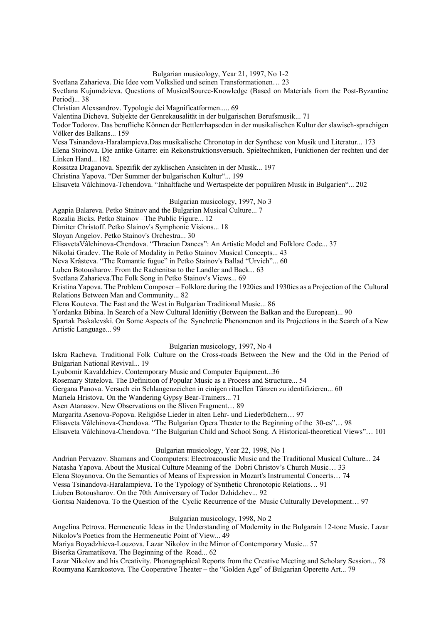Bulgarian musicology, Year 21, 1997, No 1-2

Svetlana Zaharieva. Die Idee vom Volkslied und seinen Transformationen… 23

Svetlana Kujumdzieva. Questions of MusicalSource-Knowledge (Based on Materials from the Post-Byzantine Period)... 38

Christian Alexsandrov. Typologie dei Magnificatformen..... 69

Valentina Dicheva. Subjekte der Genrekausalität in der bulgarischen Berufsmusik... 71

Todor Todorov. Das berufliche Können der Bettlerrhapsoden in der musikalischen Kultur der slawisch-sprachigen Völker des Balkans... 159

Vesa Tsinandova-Haralampieva.Das musikalische Chronotop in der Synthese von Musik und Literatur... 173

Elena Stoinova. Die antike Gitarre: ein Rekonstruktionsversuch. Spieltechniken, Funktionen der rechten und der Linken Hand... 182

Rossitza Draganova. Spezifik der zyklischen Ansichten in der Musik... 197

Christina Yapova. "Der Summer der bulgarischen Kultur"... 199

Elisaveta Vâlchinova-Tchendova. "Inhaltfache und Wertaspekte der populären Musik in Bulgarien"... 202

### Bulgarian musicology, 1997, No 3

Agapia Balareva. Petko Stainov and the Bulgarian Musical Culture... 7

Rozalia Bicks. Petko Stainov –The Public Figure... 12

Dimiter Christoff. Petko Slainov's Symphonic Visions... 18

Sloyan Angelov. Petko Stainov's Orchestra... 30

ElisavetaVâlchinova-Chendova. "Thraciun Dances": An Artistic Model and Folklore Code... 37

Nikolai Gradev. The Role of Modality in Petko Stainov Musical Concepts... 43

Neva Krâsteva. "The Romantic fugue" in Petko Stainov's Ballad "Urvich"... 60

Luben Botousharov. From the Rachenitsa to the Landler and Back... 63

Svetlana Zaharieva.The Folk Song in Petko Stainov's Views... 69

Kristina Yapova. The Problem Composer – Folklore during the 1920ies and 1930ies as a Projection of the Cultural Relations Between Man and Community... 82

Elena Kouteva. The East and the West in Bulgarian Traditional Music... 86

Yordanka Bibina. In Search of a New Cultural Ideniitiy (Between the Balkan and the European)... 90

Spartak Paskalevski. On Some Aspects of the Synchretic Phenomenon and its Projections in the Search of a New Artistic Language... 99

# Bulgarian musicology, 1997, No 4

Iskra Racheva. Traditional Folk Culture on the Cross-roads Between the New and the Old in the Period of Bulgarian National Revival... 19

Lyubomir Kavaldzhiev. Contemporary Music and Computer Equipment...36

Rosemary Statelova. The Definition of Popular Music as a Process and Structure... 54

Gergana Panova. Versuch ein Schlangenzeichen in einigen rituellen Tänzen zu identifizieren... 60

Mariela Hristova. On the Wandering Gypsy Bear-Trainers... 71

Asen Atanasov. New Observations on the Sliven Fragment… 89

Margarita Asenova-Popova. Religiöse Lieder in alten Lehr- und Liederbüchern… 97

Elisaveta Vâlchinova-Chendova. "The Bulgarian Opera Theater to the Beginning of the 30-es"… 98

Elisaveta Vâlchinova-Chendova. "The Bulgarian Child and School Song. A Historical-theoretical Views"… 101

### Bulgarian musicology, Year 22, 1998, No 1

Andrian Pervazov. Shamans and Coomputers: Electroacouslic Music and the Traditional Musical Culture... 24 Natasha Yapova. About the Musical Culture Meaning of the Dobri Christov's Church Music… 33 Elena Stoyanova. On the Semantics of Means of Expression in Mozart's Instrumental Concerts… 74 Vessa Tsinandova-Haralampieva. To the Typology of Synthetic Chronotopic Relations… 91

Liuben Botousharov. On the 70th Anniversary of Todor Dzhidzhev... 92

Goritsa Naidenova. To the Question of the Cyclic Recurrence of the Music Culturally Development… 97

# Bulgarian musicology, 1998, No 2

Angelina Petrova. Hermeneutic Ideas in the Understanding of Modernity in the Bulgarain 12-tone Music. Lazar Nikolov's Poetics from the Hermeneutic Point of View... 49

Mariya Boyadzhieva-Louzova. Lazar Nikolov in the Mirror of Contemporary Music... 57

Biserka Gramatikova. The Beginning of the Road... 62

Lazar Nikolov and his Creativity. Phonographical Reports from the Creative Meeting and Scholary Session... 78 Roumyana Karakostova. The Cooperative Theater – the "Golden Age" of Bulgarian Operette Art... 79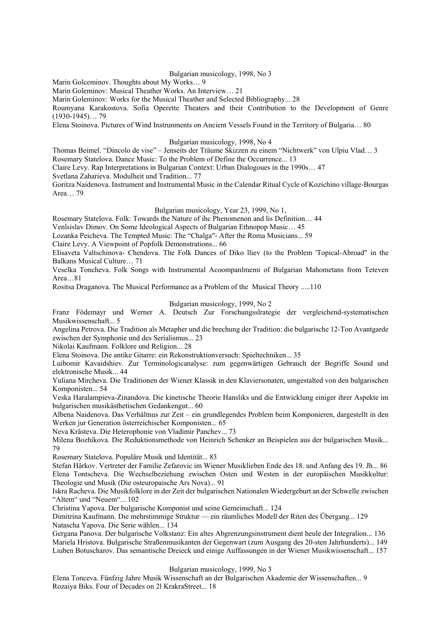#### Bulgarian musicology, 1998, No 3

Marin Golceminov. Thoughts about My Works… 9

Marin Goleminov: Musical Theather Works. An Interview… 21

Marin Goleminov: Works for the Musical Theather and Selected Bibliography... 28

Roumyana Karakostova. Sofia Operette Theaters and their Contribution to the Development of Genre (1930-1945)… 79

Elena Stoinova. Pictures of Wind Instrunments on Ancient Vessels Found in the Territory of Bulgaria… 80

#### Bulgarian musicology, 1998, No 4

Thomas Beimel. "Dincolo de vise" – Jenseits der Träume Skizzen zu einem "Nichtwerk" von Ulpiu Vlad… 3

Rosemary Statelova. Dance Music: To the Problem of Define the Occurrence... 13

Claire Levy. Rap Interpretations in Bulgarian Context: Urban Dialogoues in the 1990s… 47

Svetlana Zaharieva. Modulheit und Tradition... 77

Goritza Naidenova. Instrument and Instrumental Music in the Calendar Ritual Cycle of Kozichino village-Bourgas Area… 79

### Bulgarian musicology, Year 23, 1999, No 1,

Rosemary Statelova. Folk: Towards the Nature of ihc Phenomenon and lis Definition… 44

Venlsislav Dimov. On Some Ideological Aspects of Bulgarian Ethnopop Music… 45

Lozanka Peicheva. The Tempted Music: The "Chalga"- After the Roma Musicians... 59

Claire Levy. A Viewpoint of Popfolk Demonstrations... 66

EIisaveta Valtschinova- Chendova. The Folk Dances of Diko lliev (to the Problem 'Topical-Abroad" in the Balkans Musical Culture… 71

Veselka Toncheva. Folk Songs with Instrumental Acoompanlmemi of Bulgarian Mahometans from Teteven Area…81

Rositsa Draganova. The Musical Performance as a Problem of the Musical Theory .....110

### Bulgarian musicology, 1999, No 2

Franz Födemayr und Werner A. Deutsch Zur Forschungsslrategie der vergleichend-systematischen Musikwissenschaft... 5

Angelina Petrova. Die Tradition als Metapher und die brechung der Tradition: die bulgarische 12-Ton Avantgarde zwischen der Symphonie und des Serialismus... 23

Nikolai Kaufmann. Folklore und Religion... 28

Elena Stoinova. Die antike Gitarre: ein Rekonstruktionversuch: Spieltechniken... 35

Luibomir Kavaidshiev. Zur Terminologicanalyse: zum gegenwärtigen Gebrauch der Begriffe Sound und elektronische Musik... 44

Yuliana Mircheva. Die Traditionen der Wiener Klassik in den Klaviersonaten, umgestalted von den bulgarischen Komponisten... 54

Veska Haralampieva-Zinandova. Die kinetische Theorie Hansliks und die Entwicklung einiger ihrer Aspekte im bulgarischen musikästhetischen Gedankengut... 60

Albena Naidenova. Das Verhältnus zur Zeit – ein grundlegendes Problem beim Komponieren, dargestellt in den Werken jur Generation österreichischer Komponisten... 65

Neva Krâsteva. Die Heterophonie von Vladimir Panchev... 73

Milena Bozhikova. Die Reduktionsmethode von Heinrich Schenker an Beispielen aus der bulgarischen Musik... 79

Rosemary Statelova. Populäre Musik und Identität... 83

Stefan Hârkov. Vertreter der Familie Zefarovic im Wiener Musiklieben Ende des 18. und Anfang des 19. Jh... 86 Elena Tontscheva. Die Wechselbeziehung zwischen Osten und Westen in der europäischen Musikkultur: Theologie und Musik (Die osteuropaische Ars Nova)... 91

Iskra Racheva. Die Musikfolklore in der Zeit der bulgarischen Nationalen Wiedergeburt an der Schwelle zwischen "Altem" und "Neuem"... 102

Christina Yapova. Der bulgarische Komponist und seine Gemeinschaft... 124

Dimitrina Kaufmann. Die mehrstimmige Struktur — ein räumliches Modell der Riten des Übergang... 129 Natascha Yapova. Die Serie wählen... 134

Gergana Panova. Der bulgarische Volkstanz: Ein altes Abgrenzungsinstrument dient heule der Integralion... 136 Mariela Hristova. Bulgarische Straßenmusikanten der Gegenwart (zum Ausgang des 20-sten Jahrhunderts)... 149 Liuben Botuscharov. Das semantische Dreieck und einige Auffassungen in der Wiener Musikwissenschaft... 157

#### Bulgarian musicology, 1999, No 3

Elena Tonceva. Fünfzig Jahre Musik Wissenschaft an der Bulgarischen Akademie der Wissenschaften... 9 Rozaiya Biks. Four of Decades on 2l KrakraStreet... 18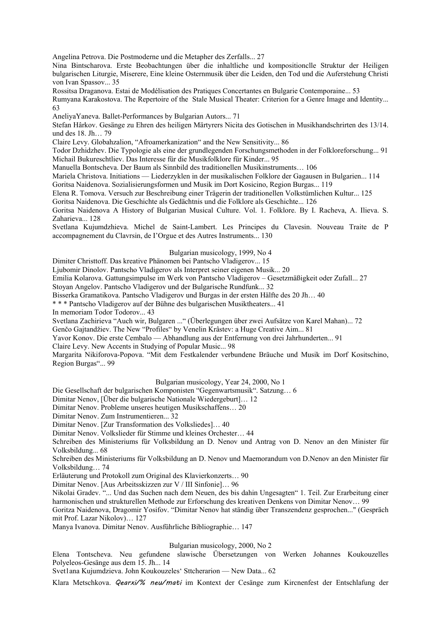Angelina Petrova. Die Postmoderne und die Metapher des Zerfalls... 27

Nina Bintscharova. Erste Beobachtungen über die inhaltliche und kompositionclle Struktur der Heiligen bulgarischen Liturgie, Miserere, Eine kleine Osternmusik über die Leiden, den Tod und die Auferstehung Christi von Ivan Spassov... 35

Rossitsa Draganova. Estai de Modélisation des Pratiques Concertantes en Bulgarie Contemporaine... 53

Rumyana Karakostova. The Repertoire of the Stale Musical Theater: Criterion for a Genre Image and Identity... 63

AneliyaYaneva. Ballet-Performances by Bulgarian Autors... 71

Stefan Hârkov. Gesänge zu Ehren des heiligen Märtyrers Nicita des Gotischen in Musikhandschrirten des 13/14. und des 18. Jh… 79

Claire Levy. Globahzalion, "Afroamerkanization" and the New Sensitivity... 86

Todor Dzhidzhev. Die Typologie als eine der grundlegenden Forschungsmethoden in der Folkloreforschung... 91 Michail Bukureschtliev. Das Interesse für die Musikfolklore für Kinder... 95

Manuella Bontscheva. Der Baum als Sinnbild des traditionellen Musikinstruments… 106

Mariela Christova. Initiations — Liederzyklen in der musikalischen Folklore der Gagausen in Bulgarien... 114

Goritsa Naidenova. Sozialisierungsformen und Musik im Dort Kosicino, Region Burgas... 119

Elena R. Tomova. Versuch zur Beschreibung einer Trägerin der traditionellen Volkstümlichen Kultur... 125

Goritsa Naidenova. Die Geschichte als Gedächtnis und die Folklore als Geschichte... 126

Goritsa Naidenova A History of Bulgarian Musical Culture. Vol. 1. Folklore. By I. Racheva, A. Ilieva. S. Zaharieva... 128

Svetlana Kujumdzhieva. Michel de Saint-Lambert. Les Principes du Clavesin. Nouveau Traite de P accompagnement du Clavrsin, de I'Orgue et des Autres Instruments... 130

#### Bulgarian musicology, 1999, No 4

Dimiter Christtoff. Das kreative Phänomen bei Pantscho Vladigerov... 15

Ljubomir Dinolov. Pantscho Vladigerov als Interpret seiner eigenen Musik... 20

Emilia Kolarova. Gattungsimpulse im Werk von Pantscho Vladigerov – Gesetzmäßigkeit oder Zufall... 27

Stoyan Angelov. Pantscho Vladigerov und der Bulgarische Rundfunk... 32

Bisserka Gramatikova. Pantscho Vladigerov und Burgas in der ersten Hälfte des 20 Jh… 40

\* \* \* Pantscho Vladigerov auf der Bühne des bulgarischen Musiktheaters... 41

In memoriam Todor Todorov... 43

Svetlana Zachirieva "Auch wir, Bulgaren ..." (Überlegungen über zwei Aufsätze von Karel Mahan)... 72

Genčo Gajtandžiev. The New "Profiles" by Venelin Krâstev: a Huge Creative Aim... 81

Yavor Konov. Die erste Cembalo — Abhandlung aus der Entfernung von drei Jahrhunderten... 91

Claire Levy. New Accents in Studying of Popular Music... 98

Margarita Nikiforova-Popova. "Mit dem Festkalender verbundene Bräuche und Musik im Dorf Kositschino, Region Burgas"... 99

Bulgarian musicology, Year 24, 2000, No 1

Die Gesellschaft der bulgarischen Komponisten "Gegenwartsmusik". Satzung… 6

Dimitar Nenov, [Über die bulgarische Nationale Wiedergeburt]… 12

Dimitar Nenov. Probleme unseres heutigen Musikschaffens… 20

Dimitar Nenov. Zum Instrumentieren... 32

Dimitar Nenov. [Zur Transformation des Volksliedes]… 40

Dimitar Nenov. Volkslieder für Stimme und kleines Orchester… 44

Schreiben des Ministeriums für Volksbildung an D. Nenov und Antrag von D. Nenov an den Minister für Volksbildung... 68

Schreiben des Ministeriums für Volksbildung an D. Nenov und Maemorandum von D.Nenov an den Minister für Volksbildung… 74

Erläuterung und Protokoll zum Original des Klavierkonzerts… 90

Dimitar Nenov. [Aus Arbeitsskizzen zur V / III Sinfonie]… 96

Nikolai Gradev. "... Und das Suchen nach dem Neuen, des bis dahin Ungesagten" 1. Teil. Zur Erarbeitung einer harmonischen und strukturellen Methode zur Erforschung des kreativen Denkens von Dimitar Nenov… 99

Goritza Naidenova, Dragomir Yosifov. "Dimitar Nenov hat ständig über Transzendenz gesprochen..." (Gespräch mit Prof. Lazar Nikolov)… 127

Manya Ivanova. Dimitar Nenov. Ausführliche Bibliographie… 147

### Bulgarian musicology, 2000, No 2

Elena Tontscheva. Neu gefundene slawische Übersetzungen von Werken Johannes Koukouzelles Polyeleos-Gesänge aus dem 15. Jh... 14

Svet1ana Kujumdzieva. John Koukouzeles' Sttcherarion — New Data... 62

Klara Metschkova. Qearxi/% neu/mati im Kontext der Cesänge zum Kircnenfest der Entschlafung der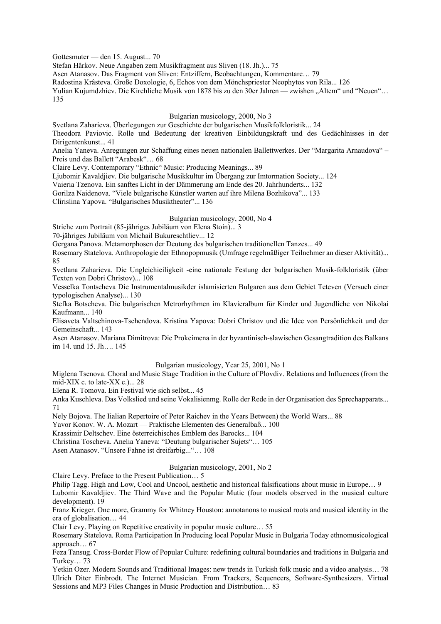Gottesmuter — den 15. August... 70

Stefan Hârkov. Neue Angaben zem Musikfragment aus Sliven (18. Jh.)... 75

Asen Atanasov. Das Fragment von Sliven: Entziffern, Beobachtungen, Kommentare… 79

Radostina Krâsteva. Große Doxologie, 6, Echos von dem Mönchspriester Neophytos von Rila... 126

Yulian Kujumdzhiev. Die Kirchliche Musik von 1878 bis zu den 30er Jahren — zwishen "Altem" und "Neuen"... 135

### Bulgarian musicology, 2000, No 3

Svetlana Zaharieva. Überlegungen zur Geschichte der bulgarischen Musikfolkloristik... 24

Theodora Paviovic. Rolle und Bedeutung der kreativen Einbildungskraft und des Gedächlnisses in der Dirigentenkunst... 41

Anelia Yaneva. Anregungen zur Schaffung eines neuen nationalen Ballettwerkes. Der "Margarita Arnaudova" – Preis und das Ballett "Arabesk"… 68

Claire Levy. Contemporary "Ethnic" Music: Producing Meanings... 89

Ljubomir Kavaldjiev. Die bulgarische Musikkultur im Übergang zur Imtormation Society... 124

Vaieria Tzenova. Ein sanftes Licht in der Dämmerung am Ende des 20. Jahrhunderts... 132

Gorilza Naidenova. "Viele bulgarische Künstler warten auf ihre Milena Bozhikova"... 133

Clirislina Yapova. "Bulgarisches Musiktheater"... 136

### Bulgarian musicology, 2000, No 4

Striche zum Portrait (85-jähriges Jubiläum von Elena Stoin)... 3

70-jähriges Jubiläum von Michail Bukureschtliev... 12

Gergana Panova. Metamorphosen der Deutung des bulgarischen traditionellen Tanzes... 49

Rosemary Statelova. Anthropologie der Ethnopopmusik (Umfrage regelmäßiger Teilnehmer an dieser Aktivität)... 85

Svetlana Zaharieva. Die Ungleichieiligkeit -eine nationale Festung der bulgarischen Musik-folkloristik (über Texten von Dobri Christov)... 108

Vesselka Tontscheva Die Instrumentalmusikder islamisierten Bulgaren aus dem Gebiet Teteven (Versuch einer typologischen Analyse)... 130

Stefka Botscheva. Die bulgarischen Metrorhythmen im Klavieralbum für Kinder und Jugendliche von Nikolai Kaufmann... 140

Elisaveta Valtschinova-Tschendova. Kristina Yapova: Dobri Christov und die Idee von Persönlichkeit und der Gemeinschaft... 143

Asen Atanasov. Mariana Dimitrova: Die Prokeimena in der byzantinisch-slawischen Gesangtradition des Balkans im 14. und 15. Jh…. 145

# Bulgarian musicology, Year 25, 2001, No 1

Miglena Tsenova. Choral and Music Stage Tradition in the Culture of Plovdiv. Relations and Influences (from the mid-XIX c. to late-XX c.)... 28

Elena R. Tomova. Ein Festival wie sich selbst... 45

Anka Kuschleva. Das Volkslied und seine Vokalisienmg. Rolle der Rede in der Organisation des Sprechapparats... 71

Nely Bojova. The Iialian Repertoire of Peter Raichev in the Years Between) the World Wars... 88

Yavor Konov. W. A. Mozart — Praktische Elementen des Generalbaß... 100

Krassimir Deltschev. Eine österreichisches Emblem des Barocks... 104

Christina Toscheva. Anelia Yaneva: "Deutung bulgarischer Sujets"… 105

Asen Atanasov. "Unsere Fahne ist dreifarbig..."… 108

# Bulgarian musicology, 2001, No 2

Claire Levy. Preface to the Present Publication… 5

Philip Tagg. High and Low, Cool and Uncool, aesthetic and historical falsifications about music in Europe… 9

Lubomir Kavaldjiev. The Third Wave and the Popular Mutic (four models observed in the musical culture development). 19

Franz Krieger. One more, Grammy for Whitney Houston: annotanons to musical roots and musical identity in the era of globalisation… 44

Clair Levy. Playing on Repetitive creativity in popular music culture… 55

Rosemary Statelova. Roma Participation In Producing local Popular Music in Bulgaria Today ethnomusicological approach… 67

Feza Tansug. Cross-Border Flow of Popular Culture: redefining cultural boundaries and traditions in Bulgaria and Turkey… 73

Yetkin Ozer. Modern Sounds and Traditional Images: new trends in Turkish folk music and a video analysis… 78 Ulrich Diter Einbrodt. The Internet Musician. From Trackers, Sequencers, Software-Synthesizers. Virtual Sessions and MP3 Files Changes in Music Production and Distribution… 83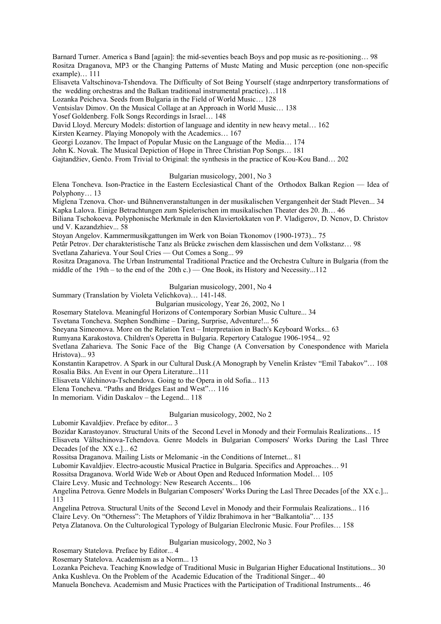Barnard Turner. America s Band [again]: the mid-seventies beach Boys and pop music as re-positioning… 98 Rositza Draganova, MP3 or the Changing Patterns of Mustc Mating and Music perception (one non-specific example)… 111

Elisaveta Valtschinova-Tshendova. The Difficulty of Sot Being Yourself (stage andnrpertory transformations of the wedding orchestras and the Balkan traditional instrumental practice)…118

Lozanka Peicheva. Seeds from Bulgaria in the Field of World Music… 128

Ventsislav Dimov. On the Musical Collage at an Approach in World Music… 138

Yosef Goldenberg. Folk Songs Recordings in Israel… 148

David Lloyd. Mercury Models: distortion of language and identity in new heavy metal… 162

Kirsten Kearney. Playing Monopoly with the Academics… 167

Georgi Lozanov. The Impact of Popular Music on the Language of the Media… 174

John K. Novak. The Musical Depiction of Hope in Three Christian Pop Songs… 181

Gajtandžiev, Genčo. From Trivial to Original: the synthesis in the practice of Kou-Kou Band… 202

Bulgarian musicology, 2001, No 3

Elena Toncheva. Ison-Practice in the Eastern Ecclesiastical Chant of the Orthodox Balkan Region — Idea of Polyphony… 13

Miglena Tzenova. Chor- und Bühnenveranstaltungen in der musikalischen Vergangenheit der Stadt Pleven... 34 Kapka Lalova. Einige Betrachtungen zum Spielerischen im musikalischen Theater des 20. Jh… 46

Biliana Tschokoeva. Polyphonische Merkmale in den Klaviertokkaten von P. Vladigerov, D. Ncnov, D. Christov und V. Kazandzhiev... 58

Stoyan Angelov. Kammermusikgattungen im Werk von Boian Tkonomov (1900-1973)... 75

Petâr Petrov. Der charakteristische Tanz als Brücke zwischen dem klassischen und dem Volkstanz… 98

Svetlana Zaharieva. Your Soul Cries — Out Comes a Song... 99

Rositza Draganova. The Urban Instrumental Traditional Practice and the Orchestra Culture in Bulgaria (from the middle of the 19th – to the end of the 20th c.) — One Book, its History and Necessity...112

Bulgarian musicology, 2001, No 4

Summary (Translation by Violeta Velichkova)… 141-148.

Bulgarian musicology, Year 26, 2002, No 1

Rosemary Statelova. Meaningful Horizons of Contemporary Sorbian Music Culture... 34

Tsvetana Toncheva. Stephen Sondhime – Daring, Surprise, Adventure!... 56

Sneyana Simeonova. More on the Relation Text – Interpretaiion in Bach's Keyboard Works... 63

Rumyana Karakostova. Children's Operetta in Bulgaria. Repertory Catalogue 1906-1954... 92

Svetlana Zaharieva. The Sonic Face of the Big Change (A Conversation by Conespondence with Mariela Hristova)... 93

Konstantin Karapetrov. A Spark in our Cultural Dusk.(A Monograph by Venelin Krâstev "Emil Tabakov"… 108 Rosalia Biks. An Event in our Opera Literature...111

Elisaveta Vâlchinova-Tschendova. Going to the Opera in old Sofia... 113

Elena Toncheva. "Paths and Bridges East and West"… 116

In memoriam. Vidin Daskalov – the Legend... 118

### Bulgarian musicology, 2002, No 2

Lubomir Kavaldjiev. Preface by editor... 3

Bozidar Karastoyanov. Structural Units of the Second Level in Monody and their Formulais Realizations... 15 Elisaveta Vâltschinova-Tchendova. Genre Models in Bulgarian Composers' Works During the Lasl Three Decades [of the XX c.]... 62

Rossitsa Draganova. Mailing Lists or Melomanic -in the Conditions of Internet... 81

Lubomir Kavaldjiev. Electro-acoustic Musical Practice in Bulgaria. Specifics and Approaches… 91

Rossitsa Draganova. World Wide Web or About Open and Reduced Information Model… 105

Claire Levy. Music and Technology: New Research Accents... 106

Angelina Petrova. Genre Models in Bulgarian Composers' Works During the Lasl Three Decades [of the XX c.]... 113

Angelina Petrova. Structural Units of the Second Level in Monody and their Formulais Realizations... 116 Claire Levy. On "Otherness": The Metaphors of Yildiz Ibrahimova in her "Balkantolia"… 135 Petya Zlatanova. On the Culturological Typology of Bulgarian Eleclronic Music. Four Profiles… 158

# Bulgarian musicology, 2002, No 3

Rosemary Statelova. Preface by Editor... 4

Rosemary Statelova. Academism as a Norm... 13

Lozanka Peicheva. Teaching Knowledge of Traditional Music in Bulgarian Higher Educational Institutions... 30 Anka Kushleva. On the Problem of the Academic Education of the Traditional Singer... 40

Manuela Boncheva. Academism and Music Practices with the Participation of Traditional Instruments... 46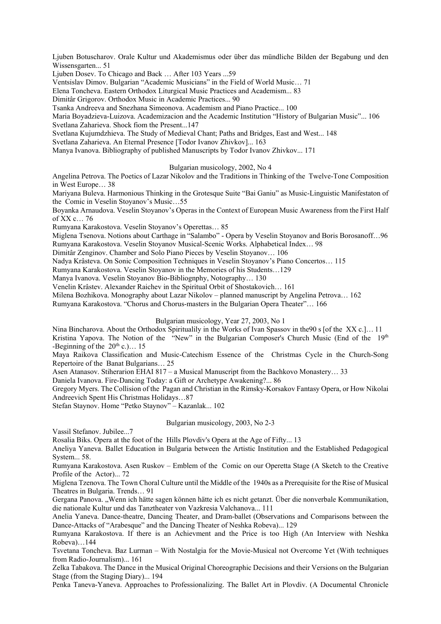Ljuben Botuscharov. Orale Kultur und Akademismus oder über das mündliche Bilden der Begabung und den Wissensgarten... 51

Ljuben Dosev. To Chicago and Back … After 103 Years ...59

Ventsislav Dimov. Bulgarian "Academic Musicians" in the Field of World Music… 71

Elena Toncheva. Eastern Orthodox Liturgical Music Practices and Academism... 83

Dimitâr Grigorov. Orthodox Music in Academic Practices... 90

Tsanka Andreeva and Snezhana Simeonova. Academism and Piano Practice... 100

Maria Boyadzieva-Luizova. Academizacion and the Academic Institution "History of Bulgarian Music"... 106 Svetlana Zaharieva. Shock fiom the Present...147

Svetlana Kujumdzhieva. The Study of Medieval Chant; Paths and Bridges, East and West... 148

Svetlana Zaharieva. An Eternal Presence [Todor Ivanov Zhivkov]... 163

Manya Ivanova. Bibliography of published Manuscripts by Todor Ivanov Zhivkov... 171

### Bulgarian musicology, 2002, No 4

Angelina Petrova. The Poetics of Lazar Nikolov and the Traditions in Thinking of the Twelve-Tone Composition in West Europe… 38

Mariyana Buleva. Harmonious Thinking in the Grotesque Suite "Bai Ganiu" as Music-Linguistic Manifestaton of the Comic in Veselin Stoyanov's Music…55

Boyanka Arnaudova. Veselin Stoyanov's Operas in the Context of European Music Awareness from the First Half of XX c… 76

Rumyana Karakostova. Veselin Stoyanov's Operettas… 85

Miglena Tsenova. Notions about Carthage in "Salambo" - Opera by Veselin Stoyanov and Boris Borosanoff…96 Rumyana Karakostova. Veselin Stoyanov Musical-Scenic Works. Alphabetical Index… 98

Dimitâr Zenginov. Chamber and Solo Piano Pieces by Veselin Stoyanov… 106

Nadya Krâsteva. On Sonic Composition Techniques in Veselin Stoyanov's Piano Concertos… 115

Rumyana Karakostova. Veselin Stoyanov in the Memories of his Students…129

Manya Ivanova. Veselin Stoyanov Bio-Bibliognphy, Notography… 130

Venelin Krâstev. Alexander Raichev in the Spiritual Orbit of Shostakovich… 161

Milena Bozhikova. Monography about Lazar Nikolov – planned manuscript by Angelina Petrova… 162

Rumyana Karakostova. "Chorus and Chorus-masters in the Bulgarian Opera Theater"… 166

### Bulgarian musicology, Year 27, 2003, No 1

Nina Bincharova. About the Orthodox Spiritualily in the Works of Ivan Spassov in the90 s [of the XX c.]... 11 Kristina Yapova. The Notion of the "New" in the Bulgarian Composer's Church Music (End of the 19th -Beginning of the  $20<sup>th</sup>$  c.)... 15

Maya Raikova Classification and Music-Catechism Essence of the Christmas Cycle in the Church-Song Repertoire of the Banat Bulgarians… 25

Asen Atanasov. Stiherarion EHAI 817 – a Musical Manuscript from the Bachkovo Monastery… 33

Daniela Ivanova. Fire-Dancing Today: a Gift or Archetype Awakening?... 86

Gregory Myers. The Collision of the Pagan and Christian in the Rimsky-Korsakov Fantasy Opera, or How Nikolai Andreevich Spent His Christmas Holidays…87

Stefan Staynov. Home "Petko Staynov" – Kazanlak... 102

Bulgarian musicology, 2003, No 2-3

Vassil Stefanov. Jubilee...7

Rosalia Biks. Opera at the foot of the Hills Plovdiv's Opera at the Age of Fifty... 13

Aneliya Yaneva. Ballet Education in Bulgaria between the Artistic Institution and the Established Pedagogical System... 58.

Rumyana Karakostova. Asen Ruskov – Emblem of the Comic on our Operetta Stage (A Sketch to the Creative Profile of the Actor)... 72

Miglena Tzenova. The Town Choral Culture until the Middle of the 1940s as a Prerequisite for the Rise of Musical Theatres in Bulgaria. Trends… 91

Gergana Panova. "Wenn ich hätte sagen können hätte ich es nicht getanzt. Über die nonverbale Kommunikation, die nationale Kultur und das Tanztheater von Vazkresia Valchanova... 111

Anelia Yaneva. Dance-theatre, Dancing Theater, and Dram-ballet (Observations and Comparisons between the Dance-Attacks of "Arabesque" and the Dancing Theater of Neshka Robeva)... 129

Rumyana Karakostova. If there is an Achievment and the Price is too High (An Interview with Neshka Robeva)…144

Tsvetana Toncheva. Baz Lurman – With Nostalgia for the Movie-Musical not Overcome Yet (With techniques from Radio-Journalism)... 161

Zelka Tabakova. The Dance in the Musical Original Choreographic Decisions and their Versions on the Bulgarian Stage (from the Staging Diary)... 194

Penka Taneva-Yaneva. Approaches to Professionalizing. The Ballet Art in Plovdiv. (A Documental Chronicle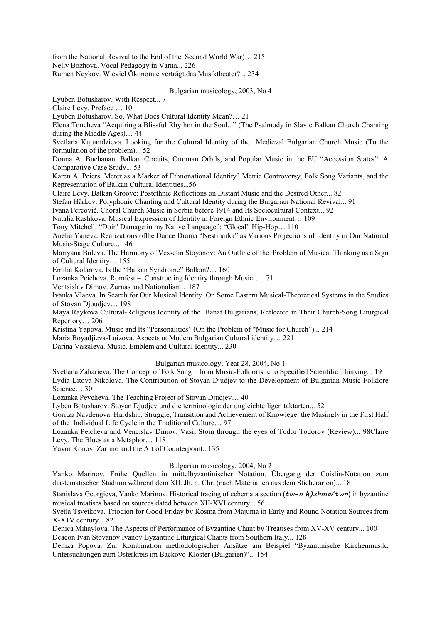from the National Revival to the End of the Second World War)… 215 Nelly Bozhova. Vocal Pedagogy in Varna... 226 Rumen Neykov. Wieviel Ökonomie verträgt das Musiktheater?... 234

#### Bulgarian musicology, 2003, No 4

Lyuben Botusharov. With Respect... 7

Claire Levy. Preface … 10

Lyuben Botusharov. So, What Does Cultural Identity Mean?… 21

Elena Toncheva "Acquiring a Blissful Rhythm in the Soul..." (The Psalmody in Slavic Balkan Church Chanting during the Middle Ages)… 44

Svetlana Kujumdzieva. Looking for the Cultural Identity of the Medieval Bulgarian Church Music (To the formulation of ihe problem)... 52

Donna A. Buchanan. Balkan Circuits, Ottoman Orbils, and Popular Music in the EU "Accession States": A Comparative Case Study... 53

Karen A. Peiers. Meter as a Marker of Ethnonational Identity? Metric Controversy, Folk Song Variants, and the Representation of Balkan Cultural Identities...56

Claire Levy. Balkan Groove: Postethnic Reflections on Distant Music and the Desired Other... 82

Stefan Hârkov. Polyphonic Chanting and Cultural Identity during the Bulgarian National Revival... 91

Ivana Percovič. Choral Church Music in Serbia before 1914 and Its Sociocultural Context... 92

Natalia Rashkova. Musical Expression of Identity in Foreign Ethnic Environment… 109

Tony Mitchell. "Doin' Damage in my Native Language": "Glocal" Hip-Hop… 110

Anelia Yaneva. Realizations oflhe Dance Drama "Nestinarka" as Various Projections of Identity in Our National Music-Stage Culture... 146

Mariyana Buleva. The Harmony of Vesselin Stoyanov: An Outline of the Problem of Musical Thinking as a Sign of Cultural Identity… 155

Emilia Kolarova. Is the "Balkan Syndrome" Balkan?… 160

Lozanka Peicheva. Romfest – Constructing Identity through Music… 171

Ventsislav Dimov. Zurnas and Nationalism…187

Ivanka Vlaeva. In Search for Our Musical Identity. On Some Eastern Musical-Theoretical Systems in the Studies of Stoyan Djoudjev… 198

Maya Raykova Cultural-Religious Identity of the Banat Bulgarians, Reflected in Their Church-Song Liturgical Repertory… 206

Kristina Yapova. Music and Its "Personalities" (On the Problem of "Music for Church")... 214

Maria Boyadjieva-Luizova. Aspects ot Modem Bulgarian Cultural identity… 221

Darina Vassileva. Music, Emblem and Cultural Identity... 230

# Bulgarian musicology, Year 28, 2004, No 1

Svetlana Zaharieva. The Concept of Folk Song – from Music-Folkloristic to Specified Scientific Thinking... 19 Lydia Litova-Nikolova. The Contribution of Stoyan Djudjev to the Development of Bulgarian Music Folklore Science… 30

Lozanka Peycheva. The Teaching Project of Stoyan Djudjev… 40

Lyben Botusharov. Stoyan Djudjev und die terminologie der ungleichteiligen taktarten... 52

Goritza Navdenova. Hardship, Struggle, Transition and Achievement of Knowlege: the Musingly in the First Half of the Individual Life Cycle in the Traditional Culture… 97

Lozanka Peicheva and Vencislav Dimov. Vasil Stoin through the eyes of Todor Todorov (Review)... 98Claire Levy. The Blues as a Metaphor… 118

Yavor Konov. Zarlino and the Art of Counterpoint...135

# Bulgarian musicology, 2004, No 2

Yanko Marinov. Frühe Quellen in mittelbyzantinischer Notation. Übergang der Coislin-Notation zum diastematischen Stadium während dem XII. Jh. n. Chr. (nach Materialien aus dem Sticherarion)... 18

Stanislava Georgieva, Yanko Marinov. Historical tracing of echemata section  $(tw=n h)x h m a/t w n$  in byzantine musical treatises based on sources dated between XII-XVI century... 56

Svetla Tsvetkova. Triodion for Good Friday by Kosma from Majuma in Early and Round Notation Sources from X-X1V century... 82

Denica Mihaylova. The Aspects of Performance of Byzantine Chant by Treatises from XV-XV century... 100 Deacon Ivan Stovanov Ivanov Byzantine Liturgical Chants from Southern Italy... 128

Deniza Popova. Zur Kombination methodologischer Ansätze am Beispiel "Byzantinische Kirchenmusik. Untersuchungen zum Osterkreis im Backovo-Kloster (Bulgarien)"... 154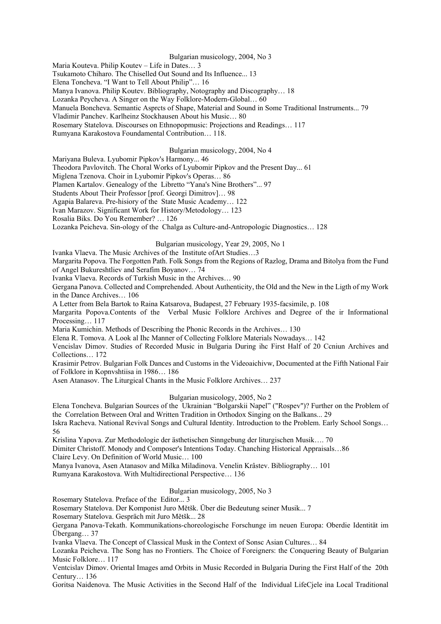### Bulgarian musicology, 2004, No 3

Maria Kouteva. Philip Koutev – Life in Dates… 3

Tsukamoto Chiharo. The Chiselled Out Sound and Its Influence... 13

Elena Toncheva. "I Want to Tell About Philip"… 16

Manya Ivanova. Philip Koutev. Bibliography, Notography and Discography… 18

Lozanka Peycheva. A Singer on the Way Folklore-Modern-Global… 60

Manuela Boncheva. Semantic Asprcts of Shape, Material and Sound in Some Traditional Instruments... 79

Vladimir Panchev. Karlheinz Stockhausen About his Music… 80

Rosemary Statelova. Discourses on Ethnopopmusic: Projections and Readings… 117

Rumyana Karakostova Foundamental Contribution… 118.

# Bulgarian musicology, 2004, No 4

Mariyana Buleva. Lyubomir Pipkov's Harmony... 46

Theodora Pavlovitch. The Choral Works of Lyubomir Pipkov and the Present Day... 61

Miglena Tzenova. Choir in Lyubomir Pipkov's Operas… 86

Plamen Kartalov. Genealogy of the Libretto "Yana's Nine Brothers"... 97

Students About Their Professor [prof. Georgi Dimitrov]… 98

Agapia Balareva. Pre-hisiory of the State Music Academy… 122

Ivan Marazov. Significant Work for History/Metodology… 123

Rosalia Biks. Do You Remember? … 126

Lozanka Peicheva. Sin-ology of the Chalga as Culture-and-Antropologic Diagnostics… 128

# Bulgarian musicology, Year 29, 2005, No 1

Ivanka Vlaeva. The Music Archives of the Institute ofArt Studies…3

Margarita Popova. The Forgotten Path. Folk Songs from the Regions of Razlog, Drama and Bitolya from the Fund of Angel Bukureshtliev and Serafim Boyanov… 74

Ivanka Vlaeva. Records of Turkish Music in the Archives… 90

Gergana Panova. Collected and Comprehended. About Authenticity, the Old and the New in the Ligth of my Work in the Dance Archives… 106

A Letter from Bela Bartok to Raina Katsarova, Budapest, 27 February 1935-facsimile, p. 108

Margarita Popova.Contents of the Verbal Music Folklore Archives and Degree of the ir Informational Processing… 117

Maria Kumichin. Methods of Describing the Phonic Records in the Archives… 130

Elena R. Tomova. A Look al Ihc Manner of Collecting Folklore Materials Nowadays… 142

Vencislav Dimov. Studies of Recorded Music in Bulgaria During ihc First Half of 20 Ccniun Archives and Collections… 172

Krasimir Petrov. Bulgarian Folk Dances and Customs in the Videoaichivw, Documented at the Fifth National Fair of Folklore in Kopnvshtiisa in 1986… 186

Asen Atanasov. The Liturgical Chants in the Music Folklore Archives… 237

## Bulgarian musicology, 2005, No 2

Elena Toncheva. Bulgarian Sources of the Ukrainian "Bolgarskii Napel" ("Rospev")? Further on the Problem of the Correlation Between Oral and Written Tradition in Orthodox Singing on the Balkans... 29

Iskra Racheva. National Revival Songs and Cultural Identity. Introduction to the Problem. Early School Songs… 56

Krislina Yapova. Zur Methodologie der ästhetischen Sinngebung der liturgischen Musik…. 70

Dimiter Christoff. Monody and Composer's Intentions Today. Chanching Historical Appraisals…86

Claire Levy. On Definition of World Music… 100

Manya Ivanova, Asen Atanasov and Milka Miladinova. Venelin Krâstev. Bibliography… 101

Rumyana Karakostova. With Multidirectional Perspective… 136

# Bulgarian musicology, 2005, No 3

Rosemary Statelova. Preface of the Editor... 3

Rosemary Statelova. Der Komponist Juro Mětšk. Über die Bedeutung seiner Musik... 7

Rosemary Statelova. Gespräch mit Juro Mětšk... 28

Gergana Panova-Tekath. Kommunikations-choreologische Forschunge im neuen Europa: Oberdie Identität im Übergang… 37

Ivanka Vlaeva. The Concept of Classical Musk in the Context of Sonsc Asian Cultures… 84

Lozanka Peicheva. The Song has no Frontiers. Thc Choice of Foreigners: the Conquering Beauty of Bulgarian Music Folklore… 117

Ventcislav Dimov. Oriental Images amd Orbits in Music Recorded in Bulgaria During the First Half of the 20th Century… 136

Goritsa Naidenova. The Music Activities in the Second Half of the Individual LifeCjele ina Local Traditional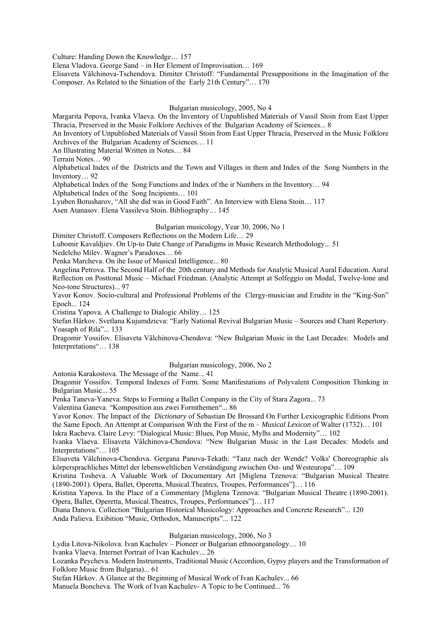Culture: Handing Down the Knowledge… 157

Elena Vladova. George Sand – in Her Element of Improvisation… 169

Elisaveta Vâlchinova-Tschendova. Dimiter Christoff: "Fundamental Presuppositions in the Imagination of the Composer. As Related to the Situation of the Early 21th Century"… 170

### Bulgarian musicology, 2005, No 4

Margarita Popova, Ivanka Vlaeva. On the Inventory of Unpublished Materials of Vassil Stoin from East Upper Thracia, Preserved in the Music Folklore Archives of the Bulgarian Academy of Sciences... 8

An Inventory of Unpublished Materials of Vassil Stoin from East Upper Thracia, Preserved in the Music Folklore Archives of the Bulgarian Academy of Sciences… 11

An Illustrating Material Written in Notes… 84

Terrain Notes… 90

Alphabetical Index of the Districts and the Town and Villages in them and Index of the Song Numbers in the Inventory… 92

Alphabetical Index of the Song Functions and Index of the ir Numbers in the Inventory… 94 Alphabetical Index of the Song Incipients… 101

Lyuben Botusharov, "All she did was in Good Faith". An Interview with Elena Stoin… 117

Asen Atanasov. Elena Vassileva Stoin. Bibliography… 145

### Bulgarian musicology, Year 30, 2006, No 1

Dimiter Christoff. Composers Reflections on the Modern Life… 29

Lubomir Kavaldjiev. On Up-to Date Change of Paradigms in Music Research Methodology... 51

Nedelcho Milev. Wagner's Paradoxes… 66

Penka Marcheva. On ihe Issue of Musical Intelligence... 80

Angelina Petrova. The Second Half of the 20th century and Methods for Analytic Musical Aural Education. Aural Reflection on Posttonal Music – Michael Friedman. (Analytic Attempt at Solfeggio on Modal, Twelve-lone and Neo-tone Structures)... 97

Yavor Konov. Socio-cultural and Professional Problems of the Clergy-musician and Erudite in the "King-Sun" Epoch... 124

Cristina Yapova. A Challenge to Dialogic Ability… 125

Stefan Hârkov. Svetlana Kujumdzicva: "Early National Revival Bulgarian Music – Sources and Chant Repertory. Yoasaph of Rila"... 133

Dragomir Yossifov. Elisaveta Vâlchinova-Chendova: "New Bulgarian Music in the Last Decades: Models and Interpretations"... 138

# Bulgarian musicology, 2006, No 2

Antonia Karakostova. The Message of the Name... 41

Dragomir Yossifov. Temporal Indexes of Form. Some Manifestations of Polyvalent Composition Thinking in Bulgarian Music... 55

Penka Taneva-Yaneva. Steps to Forming a Ballet Company in the City of Stara Zagora... 73

Valentina Ganeva. "Komposition aus zwei Formthemen"... 86

Yavor Konov. The Impact of the *Dictionary* of Sebastian De Brossard On Further Lexicographic Editions Prom the Same Epoch. An Attempt at Comparison With the First of the m – *Musical Lexicon* of Walter (1732)… 101

Iskra Racheva. Claire Levy: "Dialogical Music: Blues, Pop Music, Mylhs and Modernity"… 102

Ivanka Vlaeva. Elisaveta Vâlchinova-Chendova: "New Bulgarian Music in the Last Decades: Models and Interpretations"… 105

Elisaveta Vâlchinova-Chendova. Gergana Panova-Tekath: "Tanz nach der Wende? Volks' Choreographie als körpersprachliches Mittel der lebensweltlichen Verständigung zwischen Ost- und Westeuropa"… 109

Kristina Tosheva. A Valuable Work of Documentary Art [Miglena Tzenova: "Bulgarian Musical Theatre (1890-2001). Opera, Ballet, Operetta, Musical.Theatrcs, Troupes, Performances"]… 116

Kristina Yapova. In the Place of a Commentary [Miglena Tzenova: "Bulgarian Musical Theatre (1890-2001). Opera, Ballet, Operetta, Musical.Theatrcs, Troupes, Performances"]… 117

Diana Danova. Collection "Bulgarian Historical Musicology: Approaches and Concrete Research"... 120

Anda Palieva. Exibition "Music, Orthodox, Manuscripts"... 122

# Bulgarian musicology, 2006, No 3

Lydia Litova-Nikolova. Ivan Kachulev – Pioneer or Bulgarian ethnoorganology… 10

Ivanka Vlaeva. Internet Portrait of Ivan Kachulev... 26

Lozanka Peycheva. Modern Instruments, Traditional Music (Accordion, Gypsy players and the Transformation of Folklore Music from Bulgaria)... 61

Stefan Hârkov. A Glance at the Beginning of Musical Work of Ivan Kachulev... 66

Manuela Boncheva. The Work of Ivan Kachulev- A Topic to be Continued... 76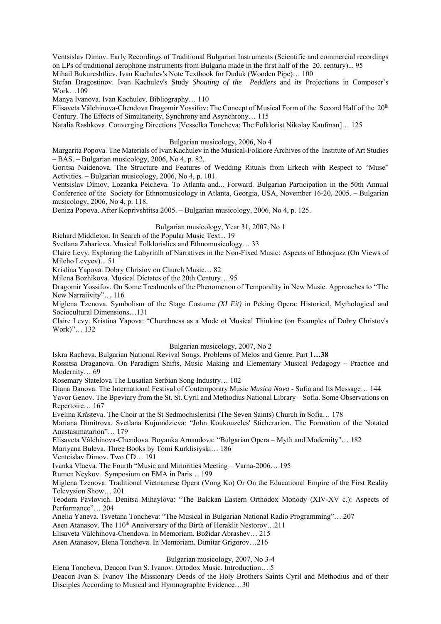Ventsislav Dimov. Early Recordings of Traditional Bulgarian Instruments (Scientific and commercial recordings on LPs of traditional aerophone instruments from Bulgaria made in the first half of the 20. century)... 95 Mihail Bukureshtliev. Ivan Kachulev's Note Textbook for Duduk (Wooden Pipe)… 100

Stefan Dragostinov. Ivan Kachulev's Study *Shouting of the Peddlers* and its Projections in Composer's Work…109

Manya Ivanova. Ivan Kachulev. Bibliography… 110

Elisaveta Vâlchinova-Chendova Dragomir Yossifov: The Concept of Musical Form of the Second Half of the 20lh Century. The Effects of Simultaneity, Synchrony and Asynchrony… 115

Natalia Rashkova. Converging Directions [Vesselka Toncheva: The Folklorist Nikolay Kaufman]… 125

### Bulgarian musicology, 2006, No 4

Margarita Popova. The Materials of Ivan Kachulev in the Musical-Folklore Archives of the Institute of Art Studies – BAS. – Bulgarian musicology, 2006, No 4, p. 82.

Goritsa Naidenova. The Structure and Features of Wedding Rituals from Erkech with Respect to "Muse" Activities. – Bulgarian musicology, 2006, No 4, p. 101.

Ventsislav Dimov, Lozanka Peicheva. To Atlanta and... Forward. Bulgarian Participation in the 50th Annual Conference of the Society for Ethnomusicology in Atlanta, Georgia, USA, November 16-20, 2005. – Bulgarian musicology, 2006, No 4, p. 118.

Deniza Popova. After Koprivshtitsa 2005. – Bulgarian musicology, 2006, No 4, p. 125.

### Bulgarian musicology, Year 31, 2007, No 1

Richard Middleton. In Search of the Popular Music Text... 19

Svetlana Zaharieva. Musical Folklorislics and Ethnomusicology… 33

Claire Levy. Exploring the Labyrinlh of Narratives in the Non-Fixed Music: Aspects of Ethnojazz (On Views of Milcho Levyev)... 51

Krislina Yapova. Dobry Chrisiov on Church Music… 82

Milena Bozhikova. Musical Dictates of the 20th Century… 95

Dragomir Yossifov. On Some Trealmcnls of the Phenomenon of Temporality in New Music. Approaches to "The New Narraiivity"… 116

Miglena Tzenova. Symbolism of the Stage Costume *(XI Fit)* in Peking Opera: Historical, Mythological and Sociocultural Dimensions…131

Claire Levy. Kristina Yapova: "Churchness as a Mode ot Musical Thinkine (on Examples of Dobry Christov's Work)"… 132

Bulgarian musicology, 2007, No 2

Iskra Racheva. Bulgarian National Revival Songs. Problems of Melos and Genre. Part 1**…38**

Rossitsa Draganova. On Paradigm Shifts, Music Making and Elementary Musical Pedagogy – Practice and Modernity… 69

Rosemary Statelova The Lusatian Serbian Song Industry… 102

Diana Danova. The International Festival of Contemporary Music *Musica Nova* - Sofia and Its Message… 144 Yavor Genov. The Bpeviary from the St. St. Cyril and Methodius National Library – Sofia. Some Observations on Repertoire… 167

Evelina Krâsteva. The Choir at the St Sedmochislenitsi (The Seven Saints) Church in Sofia… 178

Mariana Dimitrova. Svetlana Kujumdzieva: "John Koukouzeles' Sticherarion. The Formation of the Notated Anastasimatarion"… 179

Elisaveta Vâlchinova-Chendova. Boyanka Arnaudova: "Bulgarian Opera – Myth and Modernity"… 182

Mariyana Buleva. Three Books by Tomi Kurklisiyski… 186

Ventcislav Dimov. Two CD… 191

Ivanka Vlaeva. The Fourth "Music and Minorities Meeting – Varna-2006… 195

Rumen Neykov. Symposium on EMA in Paris… 199

Miglena Tzenova. Traditional Vietnamese Opera (Vong Ko) Or On the Educational Empire of the First Reality Televysion Show… 201

Teodora Pavlovich. Denitsa Mihaylova: "The Balckan Eastern Orthodox Monody (XIV-XV c.): Aspects of Performance"… 204

Anelia Yaneva. Tsvetana Toncheva: "The Musical in Bulgarian National Radio Programming"… 207

Asen Atanasov. The 110<sup>th</sup> Anniversary of the Birth of Heraklit Nestorov...211

Elisaveta Vâlchinova-Chendova. In Memoriam. Božidar Abrashev… 215

Asen Atanasov, Elena Toncheva. In Memoriam. Dimitar Grigorov…216

Bulgarian musicology, 2007, No 3-4

Elena Toncheva, Deacon Ivan S. Ivanov. Ortodox Music. Introduction… 5 Deacon Ivan S. Ivanov The Missionary Deeds of the Holy Brothers Saints Cyril and Methodius and of their Disciples According to Musical and Hymnographic Evidence…30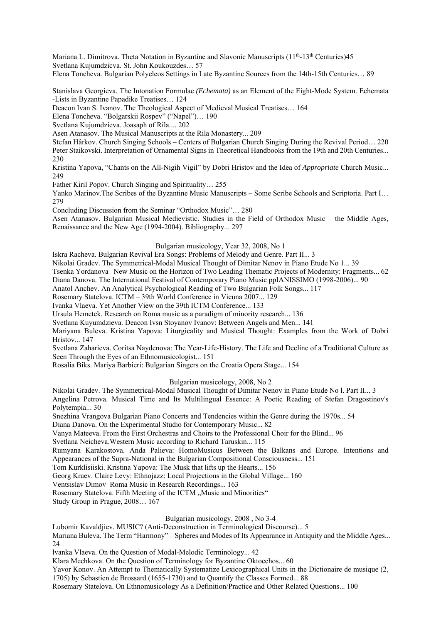Mariana L. Dimitrova. Theta Notation in Byzantine and Slavonic Manuscripts  $(11<sup>th</sup>-13<sup>th</sup> Centuries)45$ Svetlana Kujumdzicva. St. John Koukouzdes… 57

Elena Toncheva. Bulgarian Polyeleos Settings in Late Byzantinc Sources from the 14th-15th Centuries… 89

Stanislava Georgieva. The Intonation Formulae *(Echemata)* as an Element of the Eight-Mode System. Echemata -Lists in Byzantine Papadike Treatises… 124

Deacon Ivan S. Ivanov. The Theological Aspect of Medieval Musical Treatises… 164

Elena Toncheva. "Bolgarskii Rospev" ("Napel")… 190

Svetlana Kujumdzieva. Joasaph of Rila.... 202

Asen Atanasov. The Musical Manuscripts at the Rila Monastery... 209

Stefan Hârkov. Church Singing Schools – Centers of Bulgarian Church Singing During the Revival Period… 220 Peter Staikovski. Interpretation of Ornamental Signs in Theoretical Handbooks from the 19th and 20th Centuries... 230

Kristina Yapova, "Chants on the All-Nigih Vigil" by Dobri Hristov and the Idea of *Appropriate* Church Music... 249

Father Kiril Popov. Church Singing and Spirituality… 255

Yanko Marinov.The Scribes of the Byzantine Music Manuscripts – Some Scribe Schools and Scriptoria. Part I… 279

Concluding Discussion from the Seminar "Orthodox Music"… 280

Asen Atanasov. Bulgarian Musical Medievistic. Studies in the Field of Orthodox Music – the Middle Ages, Renaissance and the New Age (1994-2004). Bibliography... 297

### Bulgarian musicology, Year 32, 2008, No 1

Iskra Racheva. Bulgarian Revival Era Songs: Problems of Melody and Genre. Part II... 3

Nikolai Gradev. The Symmetrical-Modal Musical Thought of Dimitar Nenov in Piano Etude No 1... 39

Tsenka Yordanova New Music on the Horizon of Two Leading Thematic Projects of Modernity: Fragments... 62 Diana Danova. The International Festival of Contemporary Piano Music ppIANISSIMO (1998-2006)... 90

Anatol Anchev. An Analytical Psychological Reading of Two Bulgarian Folk Songs... 117

Rosemary Statelova. ICTM – 39th World Conference in Vienna 2007... 129

Ivanka Vlaeva. Yet Another View on the 39th ICTM Conference... 133

Ursula Hemetek. Research on Roma music as a paradigm of minority research... 136

Svetlana Kuyumdzieva. Deacon Ivsn Stoyanov Ivanov: Between Angels and Men... 141

Mariyana Buleva. Kristina Yapova: Liturgicality and Musical Thought: Examples from the Work of Dobri Hristov... 147

Svetlana Zaharieva. Coritsa Naydenova: The Year-Life-History. The Life and Decline of a Traditional Culture as Seen Through the Eyes of an Ethnomusicologist... 151

Rosalia Biks. Mariya Barbieri: Bulgarian Singers on the Croatia Opera Stage... 154

Bulgarian musicology, 2008, No 2

Nikolai Gradev. The Symmetrical-Modal Musical Thought of Dimitar Nenov in Piano Etude No l. Part II... 3 Angelina Petrova. Musical Time and Its Multilingual Essence: A Poetic Reading of Stefan Dragostinov's Polytempia... 30

Snezhina Vrangova Bulgarian Piano Concerts and Tendencies within the Genre during the 1970s... 54

Diana Danova. On the Experimental Studio for Contemporary Music... 82

Vanya Mateeva. From the First Orchestras and Choirs to the Professional Choir for the Blind... 96

Svetlana Neicheva.Western Music according to Richard Taruskin... 115

Rumyana Karakostova. Anda Palieva: HomoMusicus Between the Balkans and Europe. Intentions and Appearances of the Supra-National in the Bulgarian Compositional Consciousness... 151

Tom Kurklisiiski. Kristina Yapova: The Musk that lifts up the Hearts... 156

Georg Kraev. Claire Levy: Ethnojazz: Local Projections in the Global Village... 160

Ventsislav Dimov Roma Music in Research Recordings... 163

Rosemary Statelova. Fifth Meeting of the ICTM "Music and Minorities"

Study Group in Prague, 2008… 167

# Bulgarian musicology, 2008 , No 3-4

Lubomir Kavaldjiev. MUSIC? (Anti-Deconstruction in Terminological Discourse)... 5

Mariana Buleva. The Term "Harmony" – Spheres and Modes of Its Appearance in Antiquity and the Middle Ages... 24

lvanka Vlaeva. On the Question of Modal-Melodic Terminology... 42

Klara Mechkova. On the Question of Terminology for Byzantine Oktoechos... 60

Yavor Konov. An Attempt to Thematically Systematize Lexicographical Units in the Dictionaire de musique (2,

1705) by Sebastien de Brossard (1655-1730) and to Quantify the Classes Formed... 88

Rosemary Statelova. On Ethnomusicology As a Definition/Practice and Other Related Questions... 100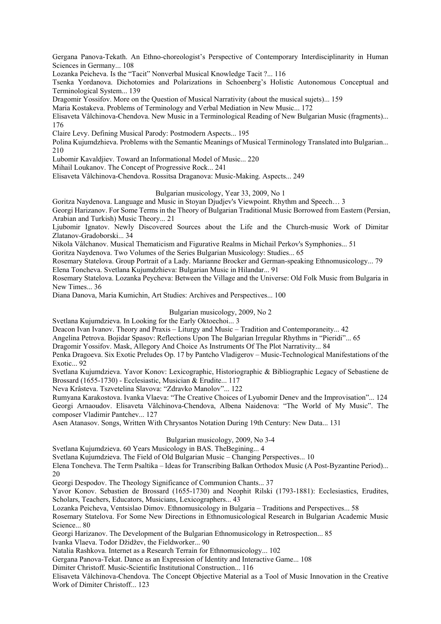Gergana Panova-Tekath. An Ethno-choreologist's Perspective of Contemporary Interdisciplinarity in Human Sciences in Germany... 108

Lozanka Peicheva. Is the "Tacit" Nonverbal Musical Knowledge Tacit ?... 116

Tsenka Yordanova. Dichotomies and Polarizations in Schoenberg's Holistic Autonomous Conceptual and Terminological System... 139

Dragomir Yossifov. More on the Question of Musical Narrativity (about the musical sujets)... 159

Maria Kostakeva. Problems of Terminology and Verbal Mediation in New Music... 172

Elisaveta Vâlchinova-Chendova. New Music in a Terminological Reading of New Bulgarian Music (fragments)... 176

Claire Levy. Defining Musical Parody: Postmodern Aspects... 195

Polina Kujumdzhieva. Problems with the Semantic Meanings of Musical Terminology Translated into Bulgarian... 210

Lubomir Kavaldjiev. Toward an Informational Model of Music... 220

Mihail Loukanov. The Concept of Progressive Rock... 241

Elisaveta Vâlchinova-Chendova. Rossitsa Draganova: Music-Making. Aspects... 249

### Bulgarian musicology, Year 33, 2009, No 1

Goritza Naydenova. Language and Music in Stoyan Djudjev's Viewpoint. Rhythm and Speech… 3

Georgi Harizanov. For Some Terms in the Theory of Bulgarian Traditional Music Borrowed from Eastern (Persian, Arabian and Turkish) Music Theory... 21

Ljubomir Ignatov. Newly Discovered Sources about the Life and the Church-music Work of Dimitar Zlatanov-Gradoborski... 34

Nikola Vâlchanov. Musical Thematicism and Figurative Realms in Michail Perkov's Symphonies... 51

Goritza Naydenova. Two Volumes of the Series Bulgarian Musicology: Studies... 65

Rosemary Statelova. Group Portrait of a Lady. Marianne Brocker and German-speaking Ethnomusicology... 79

Elena Toncheva. Svetlana Kujumdzhieva: Bulgarian Music in Hilandar... 91

Rosemary Statelova. Lozanka Peycheva: Between the Village and the Universe: Old Folk Music from Bulgaria in New Times... 36

Diana Danova, Maria Kumichin, Art Studies: Archives and Perspectives... 100

# Bulgarian musicology, 2009, No 2

Svetlana Kujumdzieva. In Looking for the Early Oktoechoi... 3

Deacon Ivan Ivanov. Theory and Praxis – Liturgy and Music – Tradition and Contemporaneity... 42

Angelina Petrova. Bojidar Spasov: Reflections Upon The Bulgarian Irregular Rhythms in "Pieridi"... 65

Dragomir Yossifov. Mask, Allegory And Choice As Instruments Of The Plot Narrativity... 84

Penka Dragoeva. Six Exotic Preludes Op. 17 by Pantcho Vladigerov – Music-Technological Manifestations of the Exotic. 92

Svetlana Kujumdzieva. Yavor Konov: Lexicographic, Historiographic & Bibliographic Legacy of Sebastiene de Brossard (1655-1730) - Ecclesiastic, Musician & Erudite... 117

Neva Krâsteva. Tszvetelina Slavova: "Zdravko Manolov"... 122

Rumyana Karakostova. Ivanka Vlaeva: "The Creative Choices of Lyubomir Denev and the Improvisation"... 124 Georgi Arnaoudov. Elisaveta Vâlchinova-Chendova, Albena Naidenova: "The World of My Music". The composer Vladimir Pantchev... 127

Asen Atanasov. Songs, Written With Chrysantos Notation During 19th Century: New Data... 131

### Bulgarian musicology, 2009, No 3-4

Svetlana Kujumdzieva. 60 Years Musicology in BAS. TheBegining... 4

Svetlana Kujumdzieva. The Field of Old Bulgarian Music – Changing Perspectives... 10

Elena Toncheva. The Term Psaltika – Ideas for Transcribing Balkan Orthodox Music (A Post-Byzantine Period)... 20

Georgi Despodov. The Theology Significance of Communion Chants... 37

Yavor Konov. Sebastien de Brossard (1655-1730) and Neophit Rilski (1793-1881): Ecclesiastics, Erudites, Scholars, Teachers, Educators, Musicians, Lexicographers... 43

Lozanka Peicheva, Ventsislao Dimov. Ethnomusicology in Bulgaria – Traditions and Perspectives... 58

Rosemary Statelova. For Some New Directions in Ethnomusicological Research in Bulgarian Academic Music Science... 80

Georgi Harizanov. The Development of the Bulgarian Ethnomusicology in Retrospection... 85 Ivanka Vlaeva. Todor Džidžev, the Fieldworker... 90

Natalia Rashkova. Internet as a Research Terrain for Ethnomusicology... 102

Gergana Panova-Tekat. Dance as an Expression of Identity and Interactive Game... 108

Dimiter Christoff. Music-Scientific Institutional Construction... 116

Elisaveta Vâlchinova-Chendova. The Concept Objective Material as a Tool of Music Innovation in the Creative Work of Dimiter Christoff... 123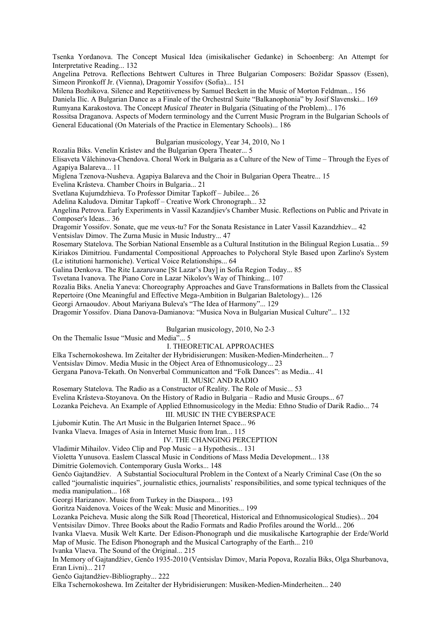Tsenka Yordanova. The Concept Musical Idea (imisikalischer Gedanke) in Schoenberg: An Attempt for Interpretative Reading... 132

Angelina Petrova. Reflections Behtwert Cultures in Three Bulgarian Composers: Božidar Spassov (Essen), Simeon Pironkoff Jr. (Vienna), Dragomir Yossifov (Sofia)... 151

Milena Bozhikova. Silence and Repetitiveness by Samuel Beckett in the Music of Morton Feldman... 156

Daniela Ilic. A Bulgarian Dance as a Finale of the Orchestral Suite "Balkanophonia" by Josif Slavenski... 169 Rumyana Karakostova. The Concept *Musical Theater* in Bulgaria (Situating of the Problem)... 176

Rossitsa Draganova. Aspects of Modern terminology and the Current Music Program in the Bulgarian Schools of General Educational (On Materials of the Practice in Elementary Schools)... 186

Bulgarian musicology, Year 34, 2010, No 1

Rozalia Biks. Venelin Krâstev and the Bulgarian Opera Theater... 5

Elisaveta Vâlchinova-Chendova. Choral Work in Bulgaria as a Culture of the New of Time – Through the Eyes of Agapiya Balareva... 11

Miglena Tzenova-Nusheva. Agapiya Balareva and the Choir in Bulgarian Opera Theatre... 15

Evelina Krâsteva. Chamber Choirs in Bulgaria... 21

Svetlana Kujumdzhieva. To Professor Dimitar Tapkoff – Jubilee... 26

Adelina Kaludova. Dimitar Tapkoff – Creative Work Chronograph... 32

Angelina Petrova. Early Experiments in Vassil Kazandjiev's Chamber Music. Reflections on Public and Private in Composer's Ideas... 36

Dragomir Yossifov. Sonate, que me veux-tu? For the Sonata Resistance in Later Vassil Kazandzhiev... 42

Ventsislav Dimov. The Zurna Music in Music Industry... 47

Rosemary Statelova. The Sorbian National Ensemble as a Cultural Institution in the Bilingual Region Lusatia... 59 Kiriakos Dimitriou. Fundamental Compositional Approaches to Polychoral Style Based upon Zarlino's System (Le istitutioni harmoniche). Vertical Voice Relationships... 64

Galina Denkova. The Rite Lazaruvane [St Lazar's Day] in Sofia Region Today... 85

Tsvetana Ivanova. The Piano Core in Lazar Nikolov's Way of Thinking... 107

Rozalia Biks. Anelia Yaneva: Choreography Approaches and Gave Transformations in Ballets from the Classical Repertoire (One Meaningful and Effective Mega-Ambition in Bulgarian Baletology)... 126

Georgi Arnaoudov. About Mariyana Buleva's "The Idea of Harmony"... 129

Dragomir Yossifov. Diana Danova-Damianova: "Musica Nova in Bulgarian Musical Culture"... 132

# Bulgarian musicology, 2010, No 2-3

On the Themalic Issue "Music and Media"... 5

# I. THEORETICAL APPROACHES

Elka Tschernokoshewa. Im Zeitalter der Hybridisierungen: Musiken-Medien-Minderheiten... 7

Ventsislav Dimov. Media Music in the Object Area of Ethnomusicology... 23

Gergana Panova-Tekath. On Nonverbal Communicatton and "Folk Dances": as Media... 41

II. MUSIC AND RADIO

Rosemary Statelova. The Radio as a Constructor of Reality. The Role of Music... 53

Evelina Krâsteva-Stoyanova. On the History of Radio in Bulgaria – Radio and Music Groups... 67

Lozanka Peicheva. An Example of Applied Ethnomusicology in the Media: Ethno Studio of Darik Radio... 74

III. MUSIC IN THE CYBERSPACE

Ljubomir Kutin. The Art Music in the Bulgarien Internet Space... 96

Ivanka Vlaeva. Images of Asia in Internet Music from Iran... 115

IV. THE CHANGING PERCEPTION

Vladimir Mihailov. Video Clip and Pop Music – a Hypothesis... 131

Violetta Yunusova. Easlem Classcal Music in Conditions of Mass Media Development... 138

Dimitrie Golemovich. Contemporary Gusla Works... 148

Genčo Gajtandžiev.A Substantial Sociocultural Problem in the Context of a Nearly Criminal Case (On the so called "journalistic inquiries", journalistic ethics, journalists' responsibilities, and some typical techniques of the media manipulation... 168

Georgi Harizanov. Music from Turkey in the Diaspora... 193

Goritza Naidenova. Voices of the Weak: Music and Minorities... 199

Lozanka Peicheva. Music along the Silk Road [Theoretical, Historical and Ethnomusicological Studies)... 204

Ventsisilav Dimov. Three Books about the Radio Formats and Radio Profiles around the World... 206

Ivanka Vlaeva. Musik Welt Karte. Der Edison-Phonograph und die musikalische Kartographie der Erde/World Map of Music. The Edison Phonograph and the Musical Cartography of the Earth... 210

Ivanka Vlaeva. The Sound of the Original... 215

In Memory of Gajtandžiev, Genčo 1935-2010 (Ventsislav Dimov, Maria Popova, Rozalia Biks, Olga Shurbanova, Eran Livni)... 217

Genčo Gajtandžiev-Bibliography... 222

Elka Tschernokoshewa. Im Zeitalter der Hybridisierungen: Musiken-Medien-Minderheiten... 240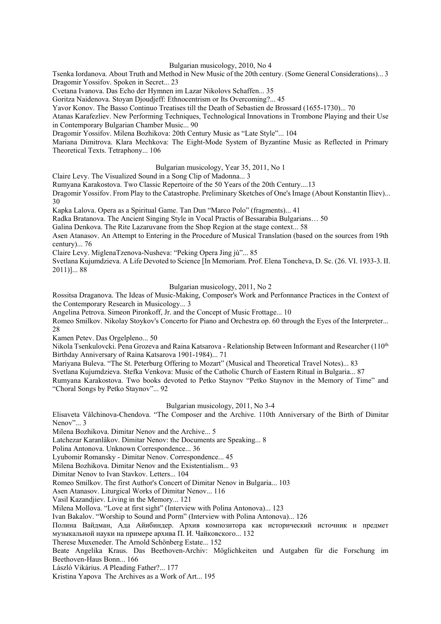#### Bulgarian musicology, 2010, No 4

Tsenka Iordanova. About Truth and Method in New Music of the 20th century. (Some General Considerations)... 3 Dragomir Yossifov. Spoken in Secret... 23

Cvetana Ivanova. Das Echo der Hymnen im Lazar Nikolovs Schaffen... 35

Goritza Naidenova. Stoyan Djoudjeff: Ethnocentrism or Its Overcoming?... 45

Yavor Konov. The Basso Continuo Treatises till the Death of Sebastien de Brossard (1655-1730)... 70

Atanas Karafezliev. New Performing Techniques, Technological Innovations in Trombone Playing and their Use in Contemporary Bulgarian Chamber Music... 90

Dragomir Yossifov. Milena Bozhikova: 20th Century Music as "Late Style"... 104

Mariana Dimitrova. Klara Mechkova: The Eight-Mode System of Byzantine Music as Reflected in Primary Theoretical Texts. Tetraphony... 106

## Bulgarian musicology, Year 35, 2011, No 1

Claire Levy. The Visualized Sound in a Song Clip of Madonna... 3

Rumyana Karakostova. Two Classic Repertoire of the 50 Years of the 20th Century....13

Dragomir Yossifov. From Play to the Catastrophe. Preliminary Sketches of One's Image (About Konstantin Iliev)... 30

Kapka Lalova. Opera as a Spiritual Game. Tan Dun "Marco Polo" (fragments)... 41

Radka Bratanova. The Ancient Singing Style in Vocal Practis of Bessarabia Bulgarians… 50

Galina Denkova. The Rite Lazaruvane from the Shop Region at the stage context... 58

Asen Atanasov. An Attempt to Entering in the Procedure of Musical Translation (based on the sources from 19th century)... 76

Claire Levy. MiglenaTzenova-Nusheva: "Peking Opera Jing jù"... 85

Svetlana Kujumdzieva. A Life Devoted to Science [In Memoriam. Prof. Elena Toncheva, D. Sc. (26. VI. 1933-3. II. 2011)]... 88

Bulgarian musicology, 2011, No 2

Rossitsa Draganova. The Ideas of Music-Making, Composer's Work and Perfonnance Practices in the Context of the Contemporary Research in Musicology... 3

Angelina Petrova. Simeon Pironkoff, Jr. and the Concept of Music Frottage... 10

Romeo Smilkov. Nikolay Stoykov's Concerto for Piano and Orchestra op. 60 through the Eyes of the Interpreter... 28

Kamen Petev. Das Orgelpleno... 50

Nikola Tsenkulovcki. Pena Grozeva and Raina Katsarova - Relationship Between Informant and Researcher (110th Birthday Anniversary of Raina Katsarova 1901-1984)... 71

Mariyana Buleva. "The St. Peterburg Offering to Mozart" (Musical and Theoretical Travel Notes)... 83

Svetlana Kujumdzieva. Stefka Venkova: Music of the Catholic Church of Eastern Ritual in Bulgaria... 87

Rumyana Karakostova. Two books devoted to Petko Staynov "Petko Staynov in the Memory of Time" and "Choral Songs by Petko Staynov"... 92

Bulgarian musicology, 2011, No 3-4

Elisaveta Vâlchinova-Chendova. "The Composer and the Archive. 110th Anniversary of the Birth of Dimitar Nenov"... 3

Milena Bozhikova. Dimitar Nenov and the Archive... 5

Latchezar Karanlâkov. Dimitar Nenov: the Documents are Speaking... 8

Polina Antonova. Unknown Correspondence... 36

Lyubomir Romansky - Dimitar Nenov. Correspondence... 45

Milena Bozhikova. Dimitar Nenov and the Existentialism... 93

Dimitar Nenov to Ivan Stavkov. Letters... 104

Romeo Smilkov. The first Author's Concert of Dimitar Nenov in Bulgaria... 103

Asen Atanasov. Liturgical Works of Dimitar Nenov... 116

Vasil Kazandjiev. Living in the Memory... 121

Milena Mollova. "Love at first sight" (Interview with Polina Antonova)... 123

Ivan Bakalov. "Worship to Sound and Porm" (Interview with Polina Antonova)... 126

Полина Вайдман, Ада Айибиндер. Архив композитора как исторический источник и предмет музыкальной науки на примере архива П. И. Чайковского... 132

Therese Muxeneder. The Arnold Schönberg Estate... 152

Beate Angelika Kraus. Das Beethoven-Archiv: Möglichkeiten und Autgaben für die Forschung im Beethoven-Haus Bonn... 166

László Vikárius. *A* Pleading Father?... 177

Kristina Yapova The Archives as a Work of Art... 195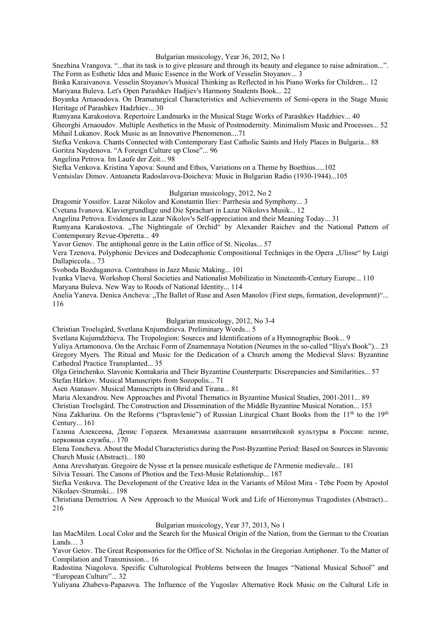#### Bulgarian musicology, Year 36, 2012, No 1

Snezhina Vrangova. "...that its task is to give pleasure and through its beauty and elegance to raise admiration...". The Form as Esthetic Idea and Music Essence in the Work of Vesselin Stoyanov... 3

Binka Karaivanova. Vesselin Stoyanov's Musical Thinking as Reflected in his Piano Works for Children... 12 Mariyana Buleva. Let's Open Parashkev Hadjiev's Harmony Students Book... 22

Boyanka Arnaoudova. On Dramaturgical Characteristics and Achievements of Semi-opera in the Stage Music Heritage of Parashkev Hadzhiev... 30

Rumyana Karakostova. Repertoire Landmarks in the Musical Stage Works of Parashkev Hadzhiev... 40

Gheorghi Arnaoudov. Multiple Aesthetics in the Music of Postmodernity. Minimalism Music and Processes... 52 Mihail Lukanov. Rock Music as an Innovative Phenomenon....71

Stefka Venkova. Chants Connected with Contemporary East Catholic Saints and Holy Places in Bulgaria... 88 Goritza Naydenova. "A Foreign Culture up Close"... 96

Angelina Petrova. Im Laufe der Zeit... 98

Stefka Venkova. Kristina Yapova: Sound and Ethos, Variations on a Theme by Boethius.....102

Ventsislav Dimov. Antoaneta Radoslavova-Doicheva: Music in Bulgarian Radio (1930-1944)...105

### Bulgarian musicology, 2012, No 2

Dragomir Yossifov. Lazar Nikolov and Konstantin Iliev: Parrhesia and Symphony... 3

Cvetana Ivanova. Klaviergrundlage und Die Sprachart in Lazar Nikolovs Musik... 12

Angelina Petrova. Evidences in Lazar Nikolov's Self-appreciation and their Meaning Today... 31

Rumyana Karakostova. "The Nightingale of Orchid" by Alexander Raichev and the National Pattern of Contemporary Revue-Operetta... 49

Yavor Genov. The antiphonal genre in the Latin office of St. Nicolas... 57

Vera Tzenova. Polyphonic Devices and Dodecaphonic Compositional Techniqes in the Opera "Ulisse" by Luigi Dallapiccola... 73

Svoboda Bozduganova. Contrabass in Jazz Music Making... 101

Ivanka Vlaeva. Workshop Choral Societies and Nationalist Mobilizatio in Nineteenth-Century Europe... 110

Maryana Buleva. New Way to Roods of National Identity... 114

Anelia Yaneva. Denica Ancheva: "The Ballet of Ruse and Asen Manolov (First steps, formation, development)"... 116

### Bulgarian musicology, 2012, No 3-4

Christian Troelsgård, Svetlana Knjumdzieva. Preliminary Words... 5

Svetlana Kujumdzhieva. The Tropologion: Sources and Identifications of a Hymnographic Book... 9

Yuliya Artamonova. On the Archaic Form of Znamennaya Notation (Neumes in the so-called "Iliya's Book")... 23 Gregory Myers. The Ritual and Music for the Dedication of a Church among the Medieval Slavs: Byzantine Cathedral Practice Transplanted... 35

Olga Grinchenko. Slavonic Kontakaria and Their Byzantine Counterparts: Discrepancies and Similarities... 57 Stefan Hârkov. Musical Manuscripts from Sozopolis... 71

Asen Atanasov. Musical Manuscripts in Ohrid and Tirana... 81

Maria Alexandrou. New Approaches and Pivotal Thematics in Byzantine Musical Studies, 2001-2011... 89

Christian Troelsgård. The Construction and Dissemination of the Middle Byzantine Musical Notation... 153

Nina Zakharina. On the Reforms ("Ispravlenie") of Russian Liturgical Chant Books from the  $11<sup>th</sup>$  to the  $19<sup>th</sup>$ Century... 161

Галина Алексеева, Денис Гордеев. Механизмы адаптации византийской культуры в России: пение, церковная служба... 170

Elena Toncheva. About the Modal Characteristics during the Post-Byzantine Period: Based on Sources in Slavonic Church Music (Abstract)... 180

Anna Arevshatyan. Gregoire de Nysse et la pensee musicale esthetique de l'Armenie medievale... 181

Silvia Tessari. The Canons of Photios and the Text-Music Relationship... 187

Stefka Venkova. The Development of the Creative Idea in the Variants of Milost Mira - Tebe Poem by Apostol Nikolaev-Strumski... 198

Christiana Demetriou. A New Approach to the Musical Work and Life of Hieronymus Tragodistes (Abstract)... 216

#### Bulgarian musicology, Year 37, 2013, No 1

Ian MacMilen. Local Color and the Search for the Musical Origin of the Nation, from the German to the Croatian Lands<sub>3</sub>

Yavor Getov. The Great Responsories for the Office of St. Nicholas in the Gregorian Antiphoner. To the Matter of Compilation and Transmission... 16

Radostina Niagolova. Specific Culturological Problems between the Images "National Musical School" and "European Culture"... 32

Yuliyana Zhabeva-Papazova. The Influence of the Yugoslav Alternative Rock Music on the Cultural Life in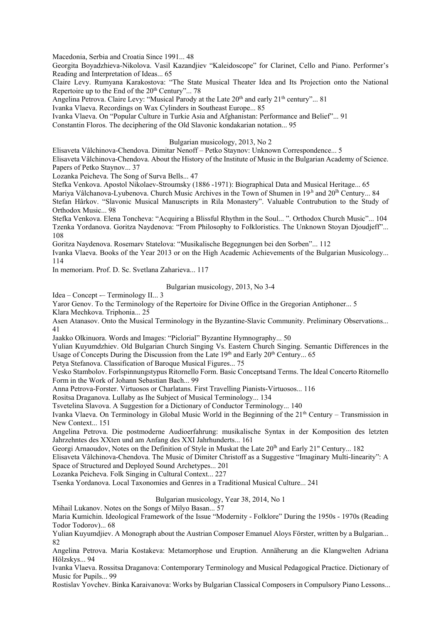Macedonia, Serbia and Croatia Since 1991... 48

Georgita Boyadzhieva-Nikolova. Vasil Kazandjiev "Kaleidoscope" for Clarinet, Cello and Piano. Performer's Reading and Interpretation of Ideas... 65

Claire Levy. Rumyana Karakostova: "The State Musical Theater Idea and Its Projection onto the National Repertoire up to the End of the 20<sup>th</sup> Century"... 78

Angelina Petrova. Claire Levy: "Musical Parody at the Late  $20<sup>th</sup>$  and early  $21<sup>th</sup>$  century"... 81

Ivanka Vlaeva. Recordings on Wax Cylinders in Southeast Europe... 85

Ivanka Vlaeva. On "Popular Culture in Turkie Asia and Afghanistan: Performance and Belief"... 91

Constantin Floros. The deciphering of the Old Slavonic kondakarian notation... 95

Bulgarian musicology, 2013, No 2

Elisaveta Vâlchinova-Chendova. Dimitar Nenoff – Petko Staynov: Unknown Correspondence... 5 Elisaveta Vâlchinova-Chendova. About the History of the Institute of Music in the Bulgarian Academy of Science. Papers of Petko Staynov... 37

Lozanka Peicheva. The Song of Surva Bells... 47

Stefka Venkova. Apostol Nikolaev-Stroumsky (1886 -1971): Biographical Data and Musical Heritage... 65

Mariya Vâlchanova-Lyubenova. Church Music Archives in the Town of Shumen in 19<sup>,h</sup> and 20<sup>th</sup> Century... 84 Stefan Hârkov. "Slavonic Musical Manuscripts in Rila Monastery". Valuable Contrubution to the Study of Orthodox Music... 98

Stefka Venkova. Elena Toncheva: "Acquiring a Blissful Rhythm in the Soul... ". Orthodox Church Music"... 104 Tzenka Yordanova. Goritza Naydenova: "From Philosophy to Folkloristics. The Unknown Stoyan Djoudjeff"... 108

Goritza Naydenova. Rosemarv Statelova: "Musikalische Begegnungen bei den Sorben"... 112

Ivanka Vlaeva. Books of the Year 2013 or on the High Academic Achievements of the Bulgarian Musicology... 114

In memoriam. Prof. D. Sc. Svetlana Zaharieva... 117

### Bulgarian musicology, 2013, No 3-4

Idea – Concept -– Terminology II... 3

Yaror Genov. To thc Terminology of the Repertoire for Divine Office in the Gregorian Antiphoner... 5

Klara Mechkova. Triphonia... 25

Asen Atanasov. Onto the Musical Terminology in the Byzantine-Slavic Community. Preliminary Observations... 41

Jaakko Olkinuora. Words and Images: "Piclorial" Byzantine Hymnography... 50

Yulian Kuyumdzhiev. Old Bulgarian Church Singing Vs. Eastern Church Singing. Semantic Differences in the Usage of Concepts During the Discussion from the Late  $19<sup>th</sup>$  and Early  $20<sup>th</sup>$  Century... 65

Petya Stefanova. Classification of Baroque Musical Figures... 75

Vesko Stambolov. Forlspinnungstypus Ritornello Form. Basic Conceptsand Terms. The Ideal Concerto Ritornello Form in the Work of Johann Sebastian Bach... 99

Anna Petrova-Forster. Virtuosos or Charlatans. First Travelling Pianists-Virtuosos... 116

Rositsa Draganova. Lullaby as Ihe Subject of Musical Terminology... 134

Tsvetelina Slavova. A Suggestion for a Dictionary of Conductor Terminology... 140

Ivanka Vlaeva. On Terminology in Global Music World in the Beginning of the 21th Century – Transmission in New Context... 151

Angelina Petrova. Die postmoderne Audioerfahrung: musikalische Syntax in der Komposition des letzten Jahrzehntes des XXten und am Anfang des XXI Jahrhunderts... 161

Georgi Arnaoudov, Notes on the Definition of Style in Muskat the Late 20<sup>th</sup> and Early 21" Century... 182

Elisaveta Vâlchinova-Chendova. The Music of Dimiter Christoff as a Suggestive "Imaginary Multi-Iinearity": A Space of Structured and Deployed Sound Archetypes... 201

Lozanka Peicheva. Folk Singing in Cultural Context... 227

Tsenka Yordanova. Local Taxonomies and Genres in a Traditional Musical Culture... 241

# Bulgarian musicology, Year 38, 2014, No 1

Mihail Lukanov. Notes on the Songs of Milyo Basan... 57

Maria Kumichin. Ideological Framework of the Issue "Modernity - Folklore" During the 1950s - 1970s (Reading Todor Todorov)... 68

Yulian Kuyumdjiev. A Monograph about the Austrian Composer Emanuel Aloys Förster, written by a Bulgarian... 82

Angelina Petrova. Maria Kostakeva: Metamorphose und Eruption. Annäherung an die Klangwelten Adriana Hölzskys... 94

Ivanka Vlaeva. Rossitsa Draganova: Contemporary Terminology and Musical Pedagogical Practice. Dictionary of Music for Pupils... 99

Rostislav Yovchev. Binka Karaivanova: Works by Bulgarian Classical Composers in Compulsory Piano Lessons...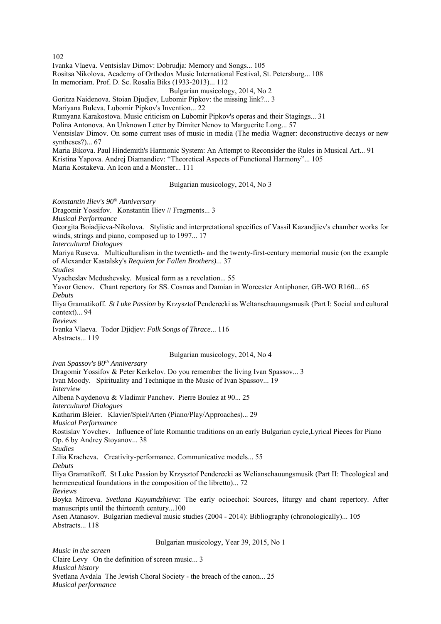102

Ivanka Vlaeva. Ventsislav Dimov: Dobrudja: Memory and Songs... 105

Rositsa Nikolova. Academy of Orthodox Music International Festival, St. Petersburg... 108

In memoriam. Prof. D. Sc. Rosalia Biks (1933-2013)... 112

Bulgarian musicology, 2014, No 2

Goritza Naidenova. Stoian Djudjev, Lubomir Pipkov: the missing link?... 3

Mariyana Buleva. Lubomir Pipkov's Invention... 22

Rumyana Karakostova. Music criticism on Lubomir Pipkov's operas and their Stagings... 31

Polina Antonova. An Unknown Letter by Dimiter Nenov to Marguerite Long... 57

Ventsislav Dimov. On some current uses of music in media (The media Wagner: deconstructive decays or new syntheses?)... 67

Maria Bikova. Paul Hindemith's Harmonic System: An Attempt to Reconsider the Rules in Musical Art... 91

Kristina Yapova. Andrej Diamandiev: "Theoretical Aspects of Functional Harmony"... 105

Maria Kostakeva. An Icon and a Monster... 111

Bulgarian musicology, 2014, No 3

*Konstantin Iliev's 90th Anniversary* 

Dragomir Yossifov.Konstantin Iliev // Fragments... 3

*Musical Performance*

Georgita Boiadjieva-Nikolova.Stylistic and interpretational specifics of Vassil Kazandjiev's chamber works for winds, strings and piano, composed up to 1997... 17

*Intercultural Dialogues*

Mariya Ruseva*.* Multiculturalism in the twentieth- and the twenty-first-century memorial music (on the example of Alexander Kastalsky's *Requiem for Fallen Brothers)*... 37

*Studies*

Vyacheslav Medushevsky*.* Musical form as a revelation... 55

Yavor Genov*.* Chant repertory for SS. Cosmas and Damian in Worcester Antiphoner, GB-WO R160... 65 *Debuts*

Iliya Gramatikoff*. St Luke Passion* by Krzysztof Penderecki as Weltanschauungsmusik (Part I: Social and cultural context)... 94

*Reviews*

Ivanka Vlaeva*.* Todor Djidjev: *Folk Songs of Thrace*... 116 Abstracts... 119

Bulgarian musicology, 2014, No 4

*Ivan Spassov's 80ih Anniversary*

Dragomir Yossifov & Peter Kerkelov. Do you remember the living Ivan Spassov... 3 Ivan Moody. Spirituality and Technique in the Music of Ivan Spassov... 19 *Interview* Albena Naydenova & Vladimir Panchev.Pierre Boulez at 90... 25 *Intercultural Dialogues* Katharim Bleier.Klavier/Spiel/Arten (Piano/Play/Approaches)... 29 *Musical Performance* Rostislav Yovchev.Influence of late Romantic traditions on an early Bulgarian cycle,Lyrical Pieces for Piano Op. 6 by Andrey Stoyanov... 38 *Studies* Lilia Kracheva*.* Creativity-performance. Communicative models... 55 *Debuts* Iliya Gramatikoff. St Luke Passion by Krzysztof Penderecki as Welianschauungsmusik (Part II: Theological and hermeneutical foundations in the composition of the libretto)... 72 *Reviews* Boyka Mirceva. *Svetlana Kuyumdzhieva*: The early ocioechoi: Sources, liturgy and chant repertory. After manuscripts until the thirteenth century...100 Asen Atanasov*.* Bulgarian medieval music studies (2004 - 2014): Bibliography (chronologically)... 105 Abstracts... 118

Bulgarian musicology, Year 39, 2015, No 1

*Music in the screen*  Claire LevyOn the definition of screen music... 3 *Musical history*  Svetlana AvdalaThe Jewish Choral Society - the breach of the canon... 25 *Musical performance*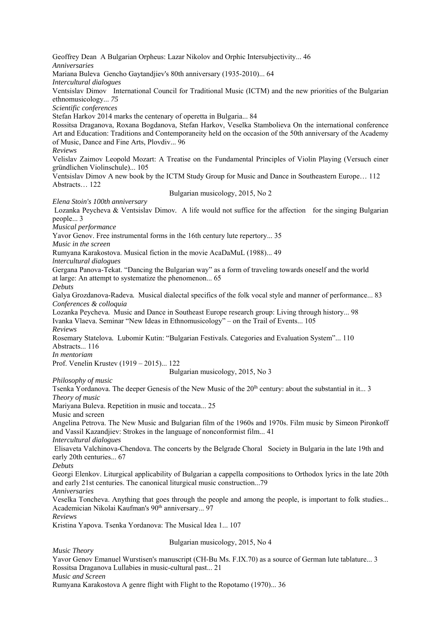Geoffrey DeanA Bulgarian Orpheus: Lazar Nikolov and Orphic Intersubjectivity... 46 *Anniversaries* Mariana BulevaGencho Gaytandjiev's 80th anniversary (1935-2010)... 64 *Intercultural dialogues*  Ventsislav DimovInternational Council for Traditional Music (ICTM) and the new priorities of the Bulgarian ethnomusicology... *75 Scientific conferences* Stefan Harkov 2014 marks the centenary of operetta in Bulgaria... 84 Rossitsa Draganova, Roxana Bogdanova, Stefan Harkov, Veselka Stambolieva On the international conference Art and Education: Traditions and Contemporaneity held on the occasion of the 50th anniversary of the Academy of Music, Dance and Fine Arts, Plovdiv... 96 *Reviews* Velislav Zaimov Leopold Mozart: A Treatise on the Fundamental Principles of Violin Playing (Versuch einer gründlichen Violinschule)... 105 Vеntsislav Dimov A new book by the ICTM Study Group for Music and Dance in Southeastern Europe… 112 Abstracts… 122 Bulgarian musicology, 2015, No 2 *Elena Stoin's 100th anniversary*  Lozanka Peycheva & Ventsislav Dimov*.* A life would not suffice for the affectionfor the singing Bulgarian people... 3 *Musical performance*  Yavor Genov. Free instrumental forms in the 16th century lute repertory... 35 *Music in the screen*  Rumyana Karakostova. Musical fiction in the movie AcaDaMuL (1988)... 49 *lntercultural dialogues*  Gergana Panova-Tekat. "Dancing the Bulgarian way" as a form of traveling towards oneself and the world at large: An attempt to systematize the phenomenon... 65 *Debuts*  Galya Grozdanova-Radeva*.* Musical dialectal specifics of the folk vocal style and manner of performance... 83 *Conferences & colloquia*  Lozanka Peycheva*.* Music and Dance in Southeast Europe research group: Living through history... 98 Ivanka Vlaeva. Seminar "New Ideas in Ethnomusicology" – on the Trail of Events... 105 *Reviews*  Rosemary Statelova*.* Lubomir Kutin: "Bulgarian Festivals. Categories and Evaluation System"... 110 Abstracts... 116 *In mentoriam* Prof. Venelin Krustev (1919 – 2015)... 122 Bulgarian musicology, 2015, No 3 *Philosophy of music*  Tsenka Yordanova. The deeper Genesis of the New Music of the 20<sup>th</sup> century: about the substantial in it... 3 *Theory of music*  Mariyana Buleva. Repetition in music and toccata... 25 Music and screen Angelina Petrova. The New Music and Bulgarian film of the 1960s and 1970s. Film music by Simeon Pironkoff and Vassil Kazandjiev: Strokes in the language of nonconformist film... 41 *Intercultural dialogues*  Elisaveta Valchinova-Chendova. The concerts by the Belgrade Choral Society in Bulgaria in the late 19th and early 20th centuries... 67 *Debuts*  Georgi Elenkov. Liturgical applicability of Bulgarian a cappella compositions to Orthodox lyrics in the late 20th and early 21st centuries. The canonical liturgical music construction...79 *Anniversaries*  Veselka Toncheva. Anything that goes through the people and among the people, is important to folk studies... Academician Nikolai Kaufman's 90<sup>th</sup> anniversary... 97 *Reviews*  Kristina Yapova. Tsenka Yordanova: The Musical Idea 1... 107 Bulgarian musicology, 2015, No 4 *Music Theory* 

Yavor Genov Emanuel Wurstisen's manuscript (CH-Bu Ms. F.IX.70) as a source of German lute tablature... 3 Rossitsa Draganova Lullabies in music-cultural past... 21

*Music and Screen* 

Rumyana Karakostova A genre flight with Flight to the Ropotamo (1970)... 36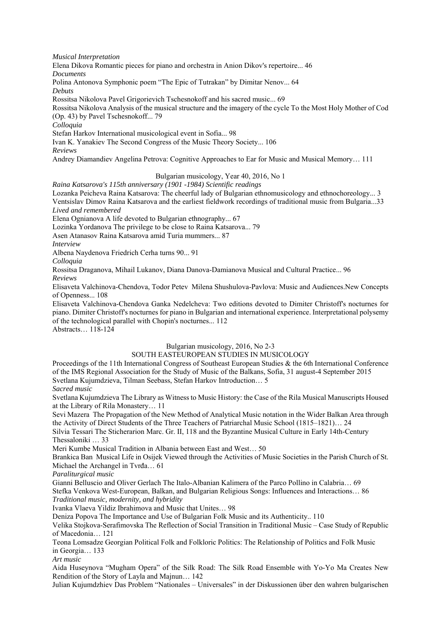*Musical Interpretation* 

Elena Dikova Romantic pieces for piano and orchestra in Anion Dikov's repertoire... 46 *Documents* 

Polina Antonova Symphonic poem "The Epic of Tutrakan" by Dimitar Nenov... 64 *Debuts* 

Rossitsa Nikolova Pavel Grigorievich Tschesnokoff and his sacred music... 69

Rossitsa Nikolova Analysis of the musical structure and the imagery of the cycle To the Most Holy Mother of Cod (Op. 43) by Pavel Tschesnokoff... 79

*Colloquia* 

Stefan Harkov International musicological event in Sofia... 98

Ivan K. Yanakiev The Second Congress of the Music Theory Society... 106

*Reviews* 

Andrey Diamandiev Angelina Petrova: Cognitive Approaches to Ear for Music and Musical Memory… 111

# Bulgarian musicology, Year 40, 2016, No 1

*Raina Katsarova's 115th anniversary (1901 -1984) Scientific readings* 

Lozanka Peicheva Raina Katsarova: The cheerful lady of Bulgarian ethnomusicology and ethnochoreology... 3 Ventsislav Dimov Raina Katsarova and the earliest fieldwork recordings of traditional music from Bulgaria...33

*Lived and remembered*

Elena Ognianova A life devoted to Bulgarian ethnography... 67

Lozinka Yordanova The privilege to be close to Raina Katsarova... 79

Asen Atanasov Raina Katsarova amid Turia mummers... 87

*Interview* 

Albena Naydenova Friedrich Cerha turns 90... 91

*Colloquia*

Rossitsa Draganova, Mihail Lukanov, Diana Danova-Damianova Musical and Cultural Practice... 96

*Reviews* 

Elisaveta Valchinova-Chendova, Todor Petev Milena Shushulova-Pavlova: Music and Audiences.New Concepts of Openness... 108

Elisaveta Valchinova-Chendova Ganka Nedelcheva: Two editions devoted to Dimiter Christoff's nocturnes for piano. Dimiter Christoff's nocturnes for piano in Bulgarian and international experience. Interpretational polysemy of the technological parallel with Chopin's nocturnes... 112

Abstracts… 118-124

# Bulgarian musicology, 2016, No 2-3

# SOUTH EASTEUROPEAN STUDIES IN MUSICOLOGY

Proceedings of the 11th International Congress of Southeast European Studies & the 6th International Conference of the IMS Regional Association for the Study of Music of the Balkans, Sofia, 31 august-4 September 2015 Svetlana Kujumdzieva, Tilman Seebass, Stefan Harkov Introduction… 5 *Sacred music* 

Svetlana Kujumdzieva The Library as Witness to Music History: the Case of the Rila Musical Manuscripts Housed at the Library of Rila Monastery… 11

Sevi Mazera The Propagation of the New Method of Analytical Music notation in the Wider Balkan Area through the Activity of Direct Students of the Three Teachers of Patriarchal Music School (1815–1821)… 24

Silvia Tessari The Sticherarion Marc. Gr. II, 118 and the Byzantine Musical Culture in Early 14th-Century Thessaloniki … 33

Meri Kumbe Musical Tradition in Albania between East and West… 50

Brankica Ban Musical Life in Osijek Viewed through the Activities of Music Societies in the Parish Church of St. Michael the Archangel in Tvrđa… 61

*Paraliturgical music* 

Gianni Belluscio and Oliver Gerlach The Italo-Albanian Kalimera of the Parco Pollino in Calabria… 69 Stefka Venkova West-European, Balkan, and Bulgarian Religious Songs: Influences and Interactions… 86 *Traditional music, modernity, and hybridity* 

Ivanka Vlaeva Yildiz Ibrahimova and Music that Unites… 98

Deniza Popova The Importance and Use of Bulgarian Folk Music and its Authenticity.. 110

Velika Stojkova-Serafimovska The Reflection of Social Transition in Traditional Music – Case Study of Republic of Macedonia… 121

Teona Lomsadze Georgian Political Folk and Folkloric Politics: The Relationship of Politics and Folk Music in Georgia… 133

*Art music* 

Aida Huseynova "Mugham Opera" of the Silk Road: The Silk Road Ensemble with Yo-Yo Ma Creates New Rendition of the Story of Layla and Majnun… 142

Julian Kujumdzhiev Das Problem "Nationales – Universales" in der Diskussionen über den wahren bulgarischen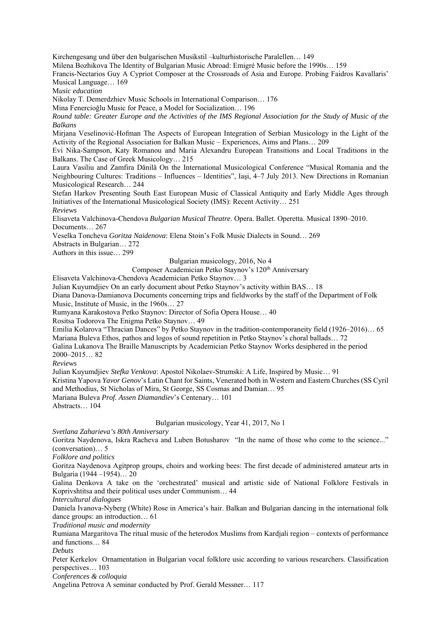Kirchengesang und über den bulgarischen Musikstil –kulturhistorische Paralellen… 149

Milena Bozhikova The Identity of Bulgarian Music Abroad: Emigré Music before the 1990s… 159

Francis-Nectarios Guy A Cypriot Composer at the Crossroads of Asia and Europe. Probing Faidros Kavallaris' Musical Language… 169

M*usic education* 

Nikolay T. Demerdzhiev Music Schools in International Comparison… 176

Mina Fenercioğlu Music for Peace, a Model for Socialization… 196

*Round table: Greater Europe and the Activities of the IMS Regional Association for the Study of Music of the Balkans* 

Mirjana Veselinović-Hofman The Aspects of European Integration of Serbian Musicology in the Light of the Activity of the Regional Association for Balkan Music – Experiences, Aims and Plans… 209

Evi Nika-Sampson, Katy Romanou and Maria Alexandru European Transitions and Local Traditions in the Balkans. The Case of Greek Musicology… 215

Laura Vasiliu and Zamfira Dănilă On the International Musicological Conference "Musical Romania and the Neighbouring Cultures: Traditions – Influences – Identities", Iaşi, 4–7 July 2013. New Directions in Romanian Musicological Research… 244

Stefan Harkov Presenting South East European Music of Classical Antiquity and Early Middle Ages through Initiatives of the International Musicological Society (IMS): Recent Activity… 251

*Reviews* 

Elisaveta Valchinova-Chendova *Bulgarian Musical Theatre*. Opera. Ballet. Operetta. Musical 1890–2010. Documents… 267

Veselka Toncheva *Goritza Naidenova*: Elena Stoin's Folk Music Dialects in Sound… 269

Abstracts in Bulgarian… 272

Authors in this issue… 299

# Bulgarian musicology, 2016, No 4

Composer Academician Petko Staynov's 120<sup>th</sup> Anniversary

Elisaveta Valchinova-Chendova Academician Petko Staynov… 3

Julian Kuyumdjiev On an early document about Petko Staynov's activity within BAS… 18

Diana Danova-Damianova Documents concerning trips and fieldworks by the staff of the Department of Folk Music, Institute of Music, in the 1960s… 27

Rumyana Karakostova Petko Staynov: Director of Sofia Opera House… 40

Rositsa Todorova The Enigma Petko Staynov… 49

Emilia Kolarova "Thracian Dances" by Petko Staynov in the tradition-contemporaneity field (1926–2016)… 65 Mariana Buleva Ethos, pathos and logos of sound repetition in Petko Staynov's choral ballads… 72

Galina Lukanova The Braille Manuscripts by Academician Petko Staynov Works desiphered in the period 2000–2015… 82

*Reviews* 

Julian Kuyumdjiev *Stefka Venkova*: Apostol Nikolaev-Strumski: A Life, Inspired by Music… 91 Kristina Yapova *Yavor Genov*'s Latin Chant for Saints, Venerated both in Western and Eastern Churches (SS Cyril and Methodius, St Nicholas of Mira, St George, SS Cosmas and Damian… 95 Mariana Buleva *Prof. Assen Diamandiev*'s Centenary… 101 Abstracts… 104

Bulgarian musicology, Year 41, 2017, No 1

*Svetlana Zaharieva's 80th Anniversary* 

Goritza Naydenova, Iskra Racheva and Luben Botusharov "In the name of those who come to the science..." (сonversation)… 5

*Folklore and politics* 

Goritza Naydenova Agitprop groups, choirs and working bees: The first decade of administered amateur arts in Bulgaria (1944 –1954)… 20

Galina Denkova A take on the 'orchestrated' musical and artistic side of National Folklore Festivals in Koprivshtitsa and their political uses under Communism… 44

*Intercultural dialogues* 

Daniela Ivanova-Nyberg (White) Rose in America's hair. Balkan and Bulgarian dancing in the international folk dance groups: an introduction… 61

*Traditional music and modernity* 

Rumiana Margaritova The ritual music of the heterodox Muslims from Kardjali region – contexts of performance and functions… 84

*Debuts* 

Peter Kerkelov Ornamentation in Bulgarian vocal folklore usic according to various researchers. Classification perspectives… 103

*Conferences & colloquia* 

Angelina Petrova A seminar conducted by Prof. Gerald Messner… 117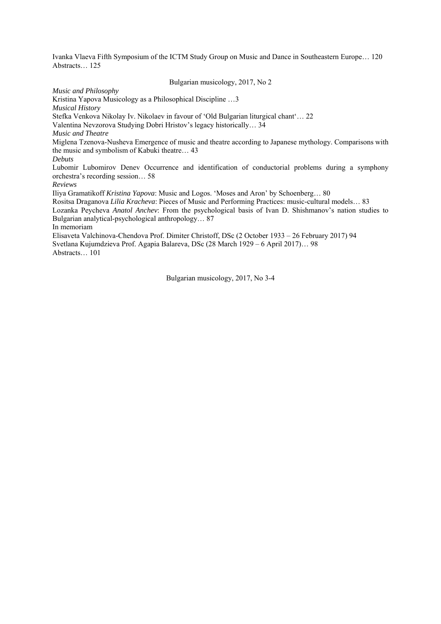Ivanka Vlaeva Fifth Symposium of the ICTM Study Group on Music and Dance in Southeastern Europe… 120 Abstracts… 125

### Bulgarian musicology, 2017, No 2

*Music and Philosophy* 

Kristina Yapova Musicology as a Philosophical Discipline …3

*Musical History* 

Stefka Venkova Nikolay Iv. Nikolaev in favour of 'Old Bulgarian liturgical chant'… 22

Valentina Nevzorova Studying Dobri Hristov's legacy historically… 34

*Music and Theatre* 

Miglena Tzenova-Nusheva Emergence of music and theatre according to Japanese mythology. Comparisons with the music and symbolism of Kabuki theatre… 43

*Debuts* 

Lubomir Lubomirov Denev Occurrence and identification of conductorial problems during a symphony orchestra's recording session… 58

*Reviews* 

Iliya Gramatikoff *Kristina Yapova*: Music and Logos. 'Moses and Aron' by Schoenberg… 80

Rositsa Draganova *Lilia Kracheva*: Pieces of Music and Performing Practices: music-cultural models… 83

Lozanka Peycheva *Anatol Anchev*: From the psychological basis of Ivan D. Shishmanov's nation studies to Bulgarian analytical-psychological anthropology… 87

In memoriam

Elisaveta Valchinova-Chendova Prof. Dimiter Christoff, DSc (2 October 1933 – 26 February 2017) 94 Svetlana Kujumdzieva Prof. Agapia Balareva, DSc (28 March 1929 – 6 April 2017)… 98 Abstracts… 101

Bulgarian musicology, 2017, No 3-4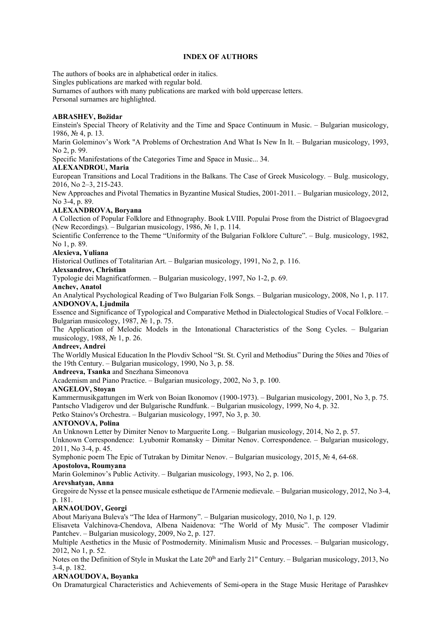### **INDEX OF AUTHORS**

The authors of books are in alphabetical order in italics.

Singles publications are marked with regular bold.

Surnames of authors with many publications are marked with bold uppercase letters.

Personal surnames are highlighted.

# **ABRASHEV, Božidar**

Einstein's Special Theory of Relativity and the Time and Space Continuum in Music. – Bulgarian musicology, 1986, № 4, p. 13.

Marin Goleminov's Work "A Problems of Orchestration And What Is New In It. – Bulgarian musicology, 1993, No 2, p. 99.

Specific Manifestations of the Categories Time and Space in Music... 34.

# **ALEXANDROU, Maria**

European Transitions and Local Traditions in the Balkans. The Case of Greek Musicology. – Bulg. musicology, 2016, No 2–3, 215-243.

New Approaches and Pivotal Thematics in Byzantine Musical Studies, 2001-2011. – Bulgarian musicology, 2012, No 3-4, p. 89.

# **ALEXANDROVA, Boryana**

A Collection of Popular Folklore and Ethnography. Book LVIII. Populai Prose from the District of Blagoevgrad (New Recordings). – Bulgarian musicology, 1986, № 1, p. 114.

Scientific Conferrence to the Theme "Uniformity of the Bulgarian Folklore Culture". – Bulg. musicology, 1982, No 1, p. 89.

# **Alexieva, Yuliana**

Historical Outlines of Totalitarian Art. – Bulgarian musicology, 1991, No 2, p. 116.

# **Alexsandrov, Christian**

Typologie dei Magnificatformen. – Bulgarian musicology, 1997, No 1-2, p. 69.

# **Anchev, Anatol**

An Analytical Psychological Reading of Two Bulgarian Folk Songs. – Bulgarian musicology, 2008, No 1, p. 117. **ANDONOVA, Ljudmila** 

Essence and Significance of Typological and Comparative Method in Dialectological Studies of Vocal Folklore. – Bulgarian musicology, 1987, № 1, p. 75.

The Application of Melodic Models in the Intonational Characteristics of the Song Cycles. – Bulgarian musicology, 1988, № 1, p. 26.

# **Andreev, Andrei**

The Worldly Musical Education In the Plovdiv School "St. St. Cyril and Methodius" During the 50ies and 70ies of the 19th Century. – Bulgarian musicology, 1990, No 3, p. 58.

**Andreeva, Tsanka** and Snezhana Simeonova

Academism and Piano Practice. – Bulgarian musicology, 2002, No 3, p. 100.

# **ANGELOV, Stoyan**

Kammermusikgattungen im Werk von Boian Ikonomov (1900-1973). – Bulgarian musicology, 2001, No 3, p. 75. Pantscho Vladigerov und der Bulgarische Rundfunk. – Bulgarian musicology, 1999, No 4, p. 32.

Petko Stainov's Orchestra. – Bulgarian musicology, 1997, No 3, p. 30.

# **ANTONOVA, Polina**

An Unknown Letter by Dimiter Nenov to Marguerite Long. – Bulgarian musicology, 2014, No 2, p. 57.

Unknown Correspondence: Lyubomir Romansky – Dimitar Nenov. Correspondence. – Bulgarian musicology, 2011, No 3-4, p. 45.

Symphonic poem The Epic of Tutrakan by Dimitar Nenov. – Bulgarian musicology, 2015, № 4, 64-68.

# **Apostolova, Roumyana**

Marin Goleminov's Public Activity. – Bulgarian musicology, 1993, No 2, p. 106.

# **Arevshatyan, Anna**

Gregoire de Nysse et la pensee musicale esthetique de l'Armenie medievale. – Bulgarian musicology, 2012, No 3-4, p. 181.

# **ARNAOUDOV, Georgi**

About Mariyana Buleva's "The Idea of Harmony". – Bulgarian musicology, 2010, No 1, p. 129.

Elisaveta Valchinova-Chendova, Albena Naidenova: "The World of My Music". The composer Vladimir Pantchev. – Bulgarian musicology, 2009, No 2, p. 127.

Multiple Aesthetics in the Music of Postmodernity. Minimalism Music and Processes. – Bulgarian musicology, 2012, No 1, p. 52.

Notes on the Definition of Style in Muskat the Late 20<sup>lh</sup> and Early 21" Century. – Bulgarian musicology, 2013, No 3-4, p. 182.

# **ARNAOUDOVA, Boyanka**

On Dramaturgical Characteristics and Achievements of Semi-opera in the Stage Music Heritage of Parashkev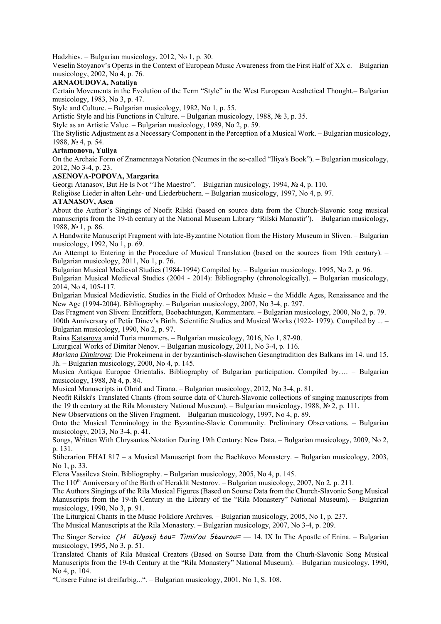Hadzhiev. – Bulgarian musicology, 2012, No 1, p. 30.

Veselin Stoyanov's Operas in the Context of European Music Awareness from the First Half of XX c. – Bulgarian musicology, 2002, No 4, p. 76.

## **ARNAOUDOVA, Nataliya**

Certain Movements in the Evolution of the Term "Style" in the West European Aesthetical Thought.– Bulgarian musicology, 1983, No 3, p. 47.

Style and Culture. – Bulgarian musicology, 1982, No 1, p. 55.

Artistic Style and his Functions in Culture. – Bulgarian musicology, 1988, № 3, p. 35.

Style as an Artistic Value. – Bulgarian musicology, 1989, No 2, p. 59.

The Stylistic Adjustment as a Necessary Component in the Perception of a Musical Work. – Bulgarian musicology, 1988, № 4, p. 54.

## **Artamonova, Yuliya**

On the Archaic Form of Znamennaya Notation (Neumes in the so-called "Iliya's Book"). – Bulgarian musicology, 2012, No 3-4, p. 23.

## **ASENOVA-POPOVA, Margarita**

Georgi Atanasov, But He Is Not "The Maestro". – Bulgarian musicology, 1994, № 4, p. 110.

Religiöse Lieder in alten Lehr- und Liederbüchern. – Bulgarian musicology, 1997, No 4, p. 97.

## **ATANASOV, Asen**

About the Author's Singings of Neofit Rilski (based on source data from the Church-Slavonic song musical manuscripts from the 19-th century at the National Museum Library "Rilski Manastir"). – Bulgarian musicology, 1988, № 1, p. 86.

A Handwrite Manuscript Fragment with late-Byzantine Notation from the History Museum in Sliven. – Bulgarian musicology, 1992, No 1, p. 69.

An Attempt to Entering in the Procedure of Musical Translation (based on the sources from 19th century). – Bulgarian musicology, 2011, No 1, p. 76.

Bulgarian Musical Medieval Studies (1984-1994) Compiled by. – Bulgarian musicology, 1995, No 2, p. 96.

Bulgarian Musical Medieval Studies (2004 - 2014): Bibliography (chronologically). – Bulgarian musicology, 2014, No 4, 105-117.

Bulgarian Musical Medievistic. Studies in the Field of Orthodox Music – the Middle Ages, Renaissance and the New Age (1994-2004). Bibliography. – Bulgarian musicology, 2007, No 3-4, p. 297.

Das Fragment von Sliven: Entziffern, Beobachtungen, Kommentare. – Bulgarian musicology, 2000, No 2, p. 79. 100th Anniversary of Petâr Dinev's Birth. Scientific Studies and Musical Works (1922- 1979). Compiled by ... – Bulgarian musicology, 1990, No 2, p. 97.

Raina Katsarova amid Turia mummers. – Bulgarian musicology, 2016, No 1, 87-90.

Liturgical Works of Dimitar Nenov. – Bulgarian musicology, 2011, No 3-4, p. 116.

*Mariana Dimitrova*: Die Prokeimena in der byzantinisch-slawischen Gesangtradition des Balkans im 14. und 15. Jh. – Bulgarian musicology, 2000, No 4, p. 145.

Musica Antiqua Europae Orientalis. Bibliography of Bulgarian participation. Compiled by…. – Bulgarian musicology, 1988, № 4, p. 84.

Musical Manuscripts in Ohrid and Tirana. – Bulgarian musicology, 2012, No 3-4, p. 81.

Neofit Rilski's Translated Chants (from source data of Church-Slavonic collections of singing manuscripts from the 19 th century at the Rila Monastery National Museum). – Bulgarian musicology, 1988, № 2, p. 111.

New Observations on the Sliven Fragment. – Bulgarian musicology, 1997, No 4, p. 89.

Onto the Musical Terminology in the Byzantine-Slavic Community. Preliminary Observations. – Bulgarian musicology, 2013, No 3-4, p. 41.

Songs, Written With Chrysantos Notation During 19th Century: New Data. – Bulgarian musicology, 2009, No 2, p. 131.

Stiherarion EHAI 817 – a Musical Manuscript from the Bachkovo Monastery. – Bulgarian musicology, 2003, No 1, p. 33.

Elena Vassileva Stoin. Bibliography. – Bulgarian musicology, 2005, No 4, p. 145.

The 110<sup>th</sup> Anniversary of the Birth of Heraklit Nestorov. – Bulgarian musicology, 2007, No 2, p. 211.

The Authors Singings of the Rila Musical Figures (Based on Sourse Data from the Church-Slavonic Song Musical Manuscripts from the 19-th Century in the Library of the "Rila Monastery" National Museum). – Bulgarian musicology, 1990, No 3, p. 91.

The Liturgical Chants in the Music Folklore Archives. – Bulgarian musicology, 2005, No 1, p. 237.

The Musical Manuscripts at the Rila Monastery. – Bulgarian musicology, 2007, No 3-4, p. 209.

The Singer Service (H  $\tilde{a}Uy$ osij tou= Timi/ou Staurou= — 14. IX In The Apostle of Enina. – Bulgarian musicology, 1995, No 3, p. 51.

Translated Chants of Rila Musical Creators (Based on Sourse Data from the Churh-Slavonic Song Musical Manuscripts from the 19-th Century at the "Rila Monastery" National Museum). – Bulgarian musicology, 1990, No 4, p. 104.

"Unsere Fahne ist dreifarbig...". – Bulgarian musicology, 2001, No 1, S. 108.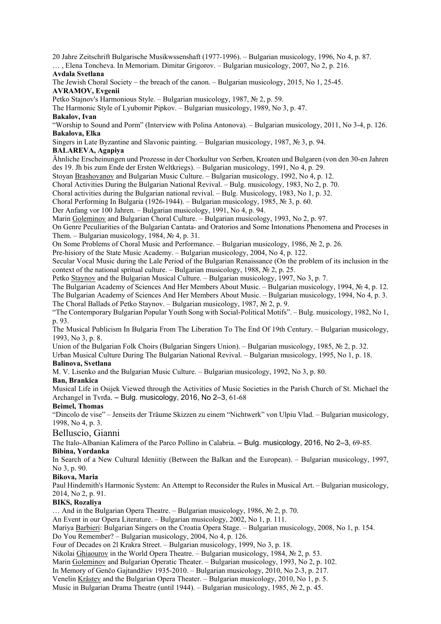20 Jahre Zeitschrift Bulgarische Musikwssenshaft (1977-1996). – Bulgarian musicology, 1996, No 4, р. 87.

# … , Elena Toncheva. In Memoriam. Dimitar Grigorov. – Bulgarian musicology, 2007, No 2, p. 216.

# **Avdala Svetlana**

The Jewish Choral Society – the breach of the canon. – Bulgarian musicology, 2015, No 1, 25-45. **AVRAMOV, Evgenii** 

Petko Stajnov's Harmonious Style. – Bulgarian musicology, 1987, № 2, p. 59.

The Harmonic Style of Lyubomir Pipkov. – Bulgarian musicology, 1989, No 3, p. 47.

**Bakalov, Ivan** 

"Worship to Sound and Porm" (Interview with Polina Antonova). – Bulgarian musicology, 2011, No 3-4, p. 126. **Bakalova, Elka** 

Singers in Late Byzantine and Slavonic painting. – Bulgarian musicology, 1987, № 3, p. 94.

# **BALAREVA, Agapiya**

Ähnliche Erscheinungen und Prozesse in der Chorkultur von Serben, Kroaten und Bulgaren (von den 30-en Jahren des 19. Jh bis zum Ende der Ersten Weltkriegs). – Bulgarian musicology, 1991, No 4, p. 29.

Stoyan Brashovanov and Bulgarian Music Culture. – Bulgarian musicology, 1992, No 4, p. 12.

Choral Activities During the Bulgarian National Revival. – Bulg. musicology, 1983, No 2, p. 70.

Choral activities during the Bulgarian national revival. – Bulg. Musicology, 1983, No 1, p. 32.

Choral Performing In Bulgaria (1926-1944). – Bulgarian musicology, 1985, № 3, p. 60.

Der Anfang vor 100 Jahren. – Bulgarian musicology, 1991, No 4, p. 94.

Marin Goleminov and Bulgarian Choral Culture. – Bulgarian musicology, 1993, No 2, p. 97.

On Genre Peculiarities of the Bulgarian Cantata- and Oratorios and Some Intonations Phenomena and Proceses in Them. – Bulgarian musicology, 1984,  $\mathcal{N}$  4, p. 31.

On Some Problems of Choral Music and Performance. – Bulgarian musicology, 1986, № 2, p. 26.

Pre-hisiory of the State Music Academy. – Bulgarian musicology, 2004, No 4, p. 122.

Secular Vocal Music during the Lale Period of the Bulgarian Renaissance (On the problem of its inclusion in the context of the national spritual culture. – Bulgarian musicology, 1988,  $\mathcal{N}$  2, p. 25.

Petko Staynov and the Bulgarian Musical Culture. – Bulgarian musicology, 1997, No 3, p. 7.

The Bulgarian Academy of Sciences And Her Members About Music. – Bulgarian musicology, 1994, № 4, p. 12. The Bulgarian Academy of Sciences And Her Members About Music. – Bulgarian musicology, 1994, No 4, p. 3. The Choral Ballads of Petko Staynov. – Bulgarian musicology, 1987, № 2, p. 9.

"The Contemporary Bulgarian Popular Youth Song with Social-Political Motifs". – Bulg. musicology, 1982, No 1, p. 93.

The Musical Publicism In Bulgaria From The Liberation To The End Of 19th Century. – Bulgarian musicology, 1993, No 3, p. 8.

Union of the Bulgarian Folk Choirs (Bulgarian Singers Union). – Bulgarian musicology, 1985, № 2, p. 32.

Urban Musical Culture During The Bulgarian National Revival. – Bulgarian musicology, 1995, No 1, p. 18.

## **Balinova, Svetlana**

M. V. Lisenko and the Bulgarian Music Culture. – Bulgarian musicology, 1992, No 3, p. 80.

## **Ban, Brankica**

Musical Life in Osijek Viewed through the Activities of Music Societies in the Parish Church of St. Michael the Archangel in Tvrđa. – Bulg. musicology, 2016, No 2–3, 61-68

# **Beimel, Thomas**

"Dincolo de vise" – Jenseits der Träume Skizzen zu einem "Nichtwerk" von Ulpiu Vlad. – Bulgarian musicology, 1998, No 4, p. 3.

# Belluscio, Gianni

The Italo-Albanian Kalimera of the Parco Pollino in Calabria. – Bulg. musicology, 2016, No 2–3, 69-85.

# **Bibina, Yordanka**

In Search of a New Cultural Ideniitiy (Between the Balkan and the European). – Bulgarian musicology, 1997, No 3, p. 90.

# **Bikova, Maria**

Paul Hindemith's Harmonic System: An Attempt to Reconsider the Rules in Musical Art. – Bulgarian musicology, 2014, No 2, p. 91.

# **BIKS, Rozaliya**

… And in the Bulgarian Opera Theatre. – Bulgarian musicology, 1986, № 2, p. 70.

An Event in our Opera Literature. – Bulgarian musicology, 2002, No 1, p. 111.

Mariya Barbieri: Bulgarian Singers on the Croatia Opera Stage. – Bulgarian musicology, 2008, No 1, p. 154.

Do You Remember? – Bulgarian musicology, 2004, No 4, p. 126.

Four of Decades on 2l Krakra Street. – Bulgarian musicology, 1999, No 3, p. 18.

Nikolai Ghiaourov in the World Opera Theatre. – Bulgarian musicology, 1984,  $\mathcal{N}_2$  2, p. 53.

Marin Goleminov and Bulgarian Operatic Theater. – Bulgarian musicology, 1993, No 2, p. 102.

In Memory of Genčo Gajtandžiev 1935-2010. – Bulgarian musicology, 2010, No 2-3, p. 217.

Venelin Krâstev and the Bulgarian Opera Theater. – Bulgarian musicology, 2010, No 1, p. 5.

Music in Bulgarian Drama Theatre (until 1944). – Bulgarian musicology, 1985, № 2, p. 45.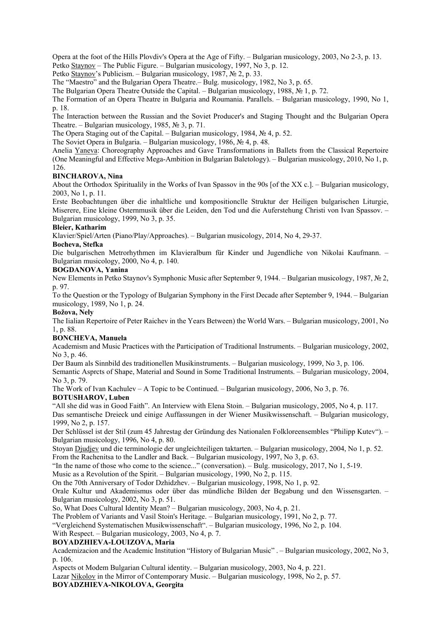Opera at the foot of the Hills Plovdiv's Opera at the Age of Fifty. – Bulgarian musicology, 2003, No 2-3, p. 13. Petko Staynov – The Public Figure. – Bulgarian musicology, 1997, No 3, p. 12.

Petko Staynov's Publicism. – Bulgarian musicology, 1987, № 2, p. 33.

The "Maestro" and the Bulgarian Opera Theatre.– Bulg. musicology, 1982, No 3, p. 65.

The Bulgarian Opera Theatre Outside the Capital. – Bulgarian musicology, 1988, № 1, p. 72.

The Formation of an Opera Theatre in Bulgaria and Roumania. Parallels. – Bulgarian musicology, 1990, No 1, p. 18.

The Interaction between the Russian and the Soviet Producer's and Staging Thought and thc Bulgarian Opera Theatre. – Bulgarian musicology, 1985,  $\mathcal{N}_2$  3, p. 71.

The Opera Staging out of the Capital. – Bulgarian musicology, 1984, № 4, p. 52.

The Soviet Opera in Bulgaria. – Bulgarian musicology, 1986, № 4, p. 48.

Anelia Yaneva: Choreography Approaches and Gave Transformations in Ballets from the Classical Repertoire (One Meaningful and Effective Mega-Ambition in Bulgarian Baletology). – Bulgarian musicology, 2010, No 1, p. 126.

## **BINCHAROVA, Nina**

About the Orthodox Spiritualily in the Works of Ivan Spassov in the 90s [of the XX c.]. – Bulgarian musicology, 2003, No 1, p. 11.

Erste Beobachtungen über die inhaltliche und kompositionclle Struktur der Heiligen bulgarischen Liturgie, Miserere, Eine kleine Osternmusik über die Leiden, den Tod und die Auferstehung Christi von Ivan Spassov. – Bulgarian musicology, 1999, No 3, p. 35.

## **Bleier, Katharim**

Klavier/Spiel/Arten (Piano/Play/Approaches). – Bulgarian musicology, 2014, No 4, 29-37.

#### **Bocheva, Stefka**

Die bulgarischen Metrorhythmen im Klavieralbum für Kinder und Jugendliche von Nikolai Kaufmann. – Bulgarian musicology, 2000, No 4, p. 140.

#### **BOGDANOVA, Yanina**

New Elements in Petko Staynov's Symphonic Music after September 9, 1944. – Bulgarian musicology, 1987, № 2, p. 97.

To the Question or the Typology of Bulgarian Symphony in the First Decade after September 9, 1944. – Bulgarian musicology, 1989, No 1, p. 24.

## **Božova, Nely**

The Iialian Repertoire of Peter Raichev in the Years Between) the World Wars. – Bulgarian musicology, 2001, No 1, p. 88.

## **BONCHEVA, Manuela**

Academism and Music Practices with the Participation of Traditional Instruments. – Bulgarian musicology, 2002, No 3, p. 46.

Der Baum als Sinnbild des traditionellen Musikinstruments. – Bulgarian musicology, 1999, No 3, p. 106.

Semantic Asprcts of Shape, Material and Sound in Some Traditional Instruments. – Bulgarian musicology, 2004, No 3, p. 79.

The Work of Ivan Kachulev – A Topic to be Continued. – Bulgarian musicology, 2006, No 3, p. 76.

## **BOTUSHAROV, Luben**

"All she did was in Good Faith". An Interview with Elena Stoin. – Bulgarian musicology, 2005, No 4, p. 117. Das semantische Dreieck und einige Auffassungen in der Wiener Musikwissenschaft. – Bulgarian musicology, 1999, No 2, p. 157.

Der Schlüssel ist der Stil (zum 45 Jahrestag der Gründung des Nationalen Folkloreensembles "Philipp Kutev"). – Bulgarian musicology, 1996, No 4, р. 80.

Stoyan Djudjev und die terminologie der ungleichteiligen taktarten. – Bulgarian musicology, 2004, No 1, p. 52. From the Rachenitsa to the Landler and Back. – Bulgarian musicology, 1997, No 3, p. 63.

"In the name of those who come to the science..." (сonversation). – Bulg. musicology, 2017, No 1, 5-19.

Music as a Revolution of the Spirit. – Bulgarian musicology, 1990, No 2, p. 115.

On the 70th Anniversary of Todor Dzhidzhev. – Bulgarian musicology, 1998, No 1, p. 92.

Orale Kultur und Akademismus oder über das mündliche Bilden der Begabung und den Wissensgarten. – Bulgarian musicology, 2002, No 3, p. 51.

So, What Does Cultural Identity Mean? – Bulgarian musicology, 2003, No 4, p. 21.

The Problem of Variants and Vasil Stoin's Heritage. – Bulgarian musicology, 1991, No 2, p. 77.

"Vergleichend Systematischen Musikwissenschaft". – Bulgarian musicology, 1996, No 2, p. 104.

With Respect. – Bulgarian musicology, 2003, No 4, p. 7.

## **BOYADZHIEVA-LOUIZOVA, Maria**

Academizacion and the Academic Institution "History of Bulgarian Music" . – Bulgarian musicology, 2002, No 3, p. 106.

Aspects ot Modem Bulgarian Cultural identity. – Bulgarian musicology, 2003, No 4, p. 221.

Lazar Nikolov in the Mirror of Contemporary Music. – Bulgarian musicology, 1998, No 2, p. 57.

## **BOYADZHIEVA-NIKOLOVA, Georgita**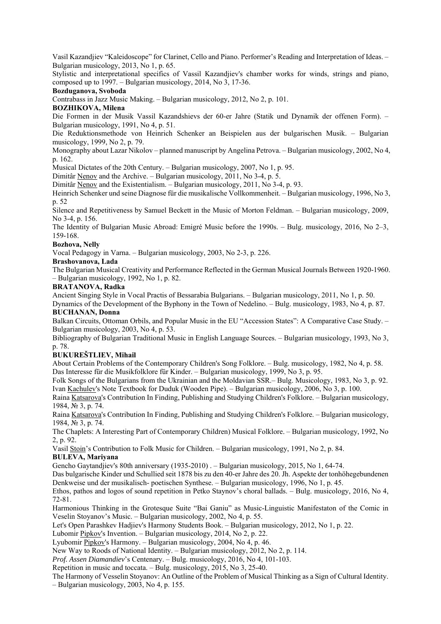Vasil Kazandjiev "Kaleidoscope" for Clarinet, Cello and Piano. Performer's Reading and Interpretation of Ideas. – Bulgarian musicology, 2013, No 1, p. 65.

Stylistic and interpretational specifics of Vassil Kazandjiev's chamber works for winds, strings and piano, composed up to 1997. – Bulgarian musicology, 2014, No 3, 17-36.

#### **Bozduganova, Svoboda**

Contrabass in Jazz Music Making. – Bulgarian musicology, 2012, No 2, p. 101.

## **BOZHIKOVA, Milena**

Die Formen in der Musik Vassil Kazandshievs der 60-er Jahre (Statik und Dynamik der offenen Form). – Bulgarian musicology, 1991, No 4, p. 51.

Die Reduktionsmethode von Heinrich Schenker an Beispielen aus der bulgarischen Musik. – Bulgarian musicology, 1999, No 2, p. 79.

Monography about Lazar Nikolov – planned manuscript by Angelina Petrova. – Bulgarian musicology, 2002, No 4, p. 162.

Musical Dictates of the 20th Century. – Bulgarian musicology, 2007, No 1, p. 95.

Dimitâr Nenov and the Archive. – Bulgarian musicology, 2011, No 3-4, p. 5.

Dimitâr Nenov and the Existentialism. – Bulgarian musicology, 2011, No 3-4, p. 93.

Heinrich Schenker und seine Diagnose für die musikalische Vollkommenheit. – Bulgarian musicology, 1996, No 3, p. 52

Silence and Repetitiveness by Samuel Beckett in the Music of Morton Feldman. – Bulgarian musicology, 2009, No 3-4, p. 156.

The Identity of Bulgarian Music Abroad: Emigré Music before the 1990s. – Bulg. musicology, 2016, No 2–3, 159-168.

## **Bozhova, Nelly**

Vocal Pedagogy in Varna. – Bulgarian musicology, 2003, No 2-3, p. 226.

#### **Brashovanova, Lada**

The Bulgarian Musical Creativity and Performance Reflected in the German Musical Journals Between 1920-1960. – Bulgarian musicology, 1992, No 1, p. 82.

## **BRATANOVA, Radka**

Ancient Singing Style in Vocal Practis of Bessarabia Bulgarians. – Bulgarian musicology, 2011, No 1, p. 50.

Dynamics of the Development of the Byphony in the Town of Nedelino. – Bulg. musicology, 1983, No 4, p. 87. **BUCHANAN, Donna** 

Balkan Circuits, Ottoman Orbils, and Popular Music in the EU "Accession States": A Comparative Case Study. – Bulgarian musicology, 2003, No 4, p. 53.

Bibliography of Bulgarian Traditional Music in English Language Sources. – Bulgarian musicology, 1993, No 3, p. 78.

## **BUKUREŠTLIEV, Mihail**

About Certain Problems of the Contemporary Children's Song Folklore. – Bulg. musicology, 1982, No 4, p. 58. Das Interesse für die Musikfolklore für Kinder. – Bulgarian musicology, 1999, No 3, p. 95.

Folk Songs of the Bulgarians from the Ukrainian and the Moldavian SSR.– Bulg. Musicology, 1983, No 3, p. 92. Ivan Kachulev's Note Textbook for Duduk (Wooden Pipe). – Bulgarian musicology, 2006, No 3, p. 100.

Raina Katsarova's Contribution In Finding, Publishing and Studying Children's Folklore. – Bulgarian musicology, 1984, № 3, p. 74.

Raina Katsarova's Contribution In Finding, Publishing and Studying Children's Folklore. – Bulgarian musicology, 1984, № 3, p. 74.

The Chaplets: A Interesting Part of Contemporary Children) Musical Folklore. – Bulgarian musicology, 1992, No 2, p. 92.

Vasil Stoin's Contribution to Folk Music for Children. – Bulgarian musicology, 1991, No 2, p. 84. **BULEVA, Mariyana** 

Gencho Gaytandjiev's 80th anniversary (1935-2010) . – Bulgarian musicology, 2015, No 1, 64-74.

Das bulgarische Kinder und Schullied seit 1878 bis zu den 40-er Jahre des 20. Jh. Aspekte der tonhöhegebundenen Denkweise und der musikalisch- poetischen Synthese. – Bulgarian musicology, 1996, No 1, p. 45.

Ethos, pathos and logos of sound repetition in Petko Staynov's choral ballads. – Bulg. musicology, 2016, No 4, 72-81.

Harmonious Thinking in the Grotesque Suite "Bai Ganiu" as Music-Linguistic Manifestaton of the Comic in Veselin Stoyanov's Music. – Bulgarian musicology, 2002, No 4, p. 55.

Let's Open Parashkev Hadjiev's Harmony Students Book. – Bulgarian musicology, 2012, No 1, p. 22.

Lubomir Pipkov's Invention. – Bulgarian musicology, 2014, No 2, p. 22.

Lyubomir Pipkov's Harmony. – Bulgarian musicology, 2004, No 4, p. 46.

New Way to Roods of National Identity. – Bulgarian musicology, 2012, No 2, p. 114.

*Prof. Assen Diamandiev*'s Centenary. – Bulg. musicology, 2016, No 4, 101-103.

Repetition in music and toccata. – Bulg. musicology, 2015, No 3, 25-40.

The Harmony of Vesselin Stoyanov: An Outline of the Problem of Musical Thinking as a Sign of Cultural Identity. – Bulgarian musicology, 2003, No 4, p. 155.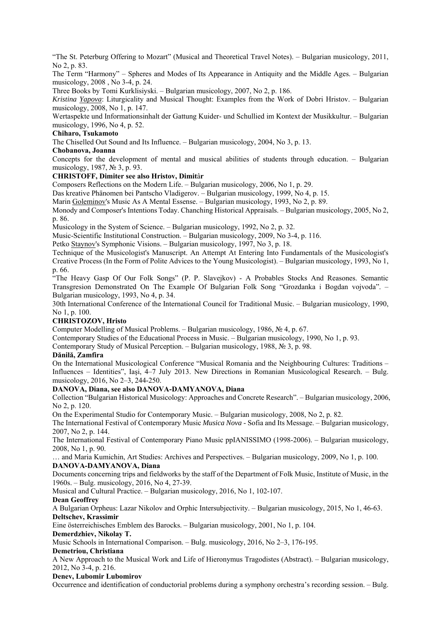"The St. Peterburg Offering to Mozart" (Musical and Theoretical Travel Notes). – Bulgarian musicology, 2011, No 2, p. 83.

The Term "Harmony" – Spheres and Modes of Its Appearance in Antiquity and the Middle Ages. – Bulgarian musicology, 2008 , No 3-4, p. 24.

Three Books by Tomi Kurklisiyski. – Bulgarian musicology, 2007, No 2, p. 186.

*Kristina Yapova*: Liturgicality and Musical Thought: Examples from the Work of Dobri Hristov. – Bulgarian musicology, 2008, No 1, p. 147.

Wertaspekte und Informationsinhalt der Gattung Kuider- und Schullied im Kontext der Musikkultur. – Bulgarian musicology, 1996, No 4, p. 52.

## **Chiharo, Tsukamoto**

The Chiselled Out Sound and Its Influence. – Bulgarian musicology, 2004, No 3, p. 13.

# **Chobanova, Joanna**

Concepts for the development of mental and musical abilities of students through education. – Bulgarian musicology, 1987, № 3, p. 93.

## **CHRISTOFF, Dimiter see also Hristov, Dimit**â**r**

Composers Reflections on the Modern Life. – Bulgarian musicology, 2006, No 1, p. 29.

Das kreative Phänomen bei Pantscho Vladigerov. – Bulgarian musicology, 1999, No 4, p. 15.

Marin Goleminov's Music As A Mental Essense. – Bulgarian musicology, 1993, No 2, p. 89.

Monody and Composer's Intentions Today. Chanching Historical Appraisals. – Bulgarian musicology, 2005, No 2, p. 86.

Musicology in the System of Science. – Bulgarian musicology, 1992, No 2, p. 32.

Music-Scientific Institutional Construction. – Bulgarian musicology, 2009, No 3-4, p. 116.

Petko Staynov's Symphonic Visions. – Bulgarian musicology, 1997, No 3, p. 18.

Technique of the Musicologist's Manuscript. An Attempt At Entering Into Fundamentals of the Musicologist's Creative Process (In the Form of Polite Advices to the Young Musicologist). – Bulgarian musicology, 1993, No 1, p. 66.

"The Heavy Gasp Of Our Folk Songs" (P. P. Slavejkov) - A Probables Stocks And Reasones. Semantic Transgresion Demonstrated On The Example Of Bulgarian Folk Song "Grozdanka i Bogdan vojvoda". – Bulgarian musicology, 1993, No 4, p. 34.

30th International Conference of the International Council for Traditional Music. – Bulgarian musicology, 1990, No 1, p. 100.

## **CHRISTOZOV, Hristo**

Computer Modelling of Musical Problems. – Bulgarian musicology, 1986, № 4, p. 67.

Contemporary Studies of the Educational Process in Music. – Bulgarian musicology, 1990, No 1, p. 93.

Contemporary Study of Musical Perception. – Bulgarian musicology, 1988,  $\mathcal{N}_2$  3, p. 98.

## **Dănilă, Zamfira**

On the International Musicological Conference "Musical Romania and the Neighbouring Cultures: Traditions – Influences – Identities", Iaşi, 4–7 July 2013. New Directions in Romanian Musicological Research. – Bulg. musicology, 2016, No 2–3, 244-250.

## **DANOVA, Diana, see also DANOVA-DAMYANOVA, Diana**

Collection "Bulgarian Historical Musicology: Approaches and Concrete Research". – Bulgarian musicology, 2006, No 2, p. 120.

On the Experimental Studio for Contemporary Music. – Bulgarian musicology, 2008, No 2, p. 82.

The International Festival of Contemporary Music *Musica Nova* - Sofia and Its Message. – Bulgarian musicology, 2007, No 2, p. 144.

The International Festival of Contemporary Piano Music ppIANISSIMO (1998-2006). – Bulgarian musicology, 2008, No 1, p. 90.

… and Maria Kumichin, Art Studies: Archives and Perspectives. – Bulgarian musicology, 2009, No 1, p. 100. **DANOVA-DAMYANOVA, Diana** 

Documents concerning trips and fieldworks by the staff of the Department of Folk Music, Institute of Music, in the 1960s. – Bulg. musicology, 2016, No 4, 27-39.

Musical and Cultural Practice. – Bulgarian musicology, 2016, No 1, 102-107.

## **Dean Geoffrey**

A Bulgarian Orpheus: Lazar Nikolov and Orphic Intersubjectivity. – Bulgarian musicology, 2015, No 1, 46-63. **Deltschev, Krassimir** 

Eine österreichisches Emblem des Barocks. – Bulgarian musicology, 2001, No 1, p. 104.

#### **Demerdzhiev, Nikolay T.**

Music Schools in International Comparison. – Bulg. musicology, 2016, No 2–3, 176-195.

#### **Demetriou, Christiana**

A New Approach to the Musical Work and Life of Hieronymus Tragodistes (Abstract). – Bulgarian musicology, 2012, No 3-4, p. 216.

## **Denev, Lubomir Lubomirov**

Occurrence and identification of conductorial problems during a symphony orchestra's recording session. – Bulg.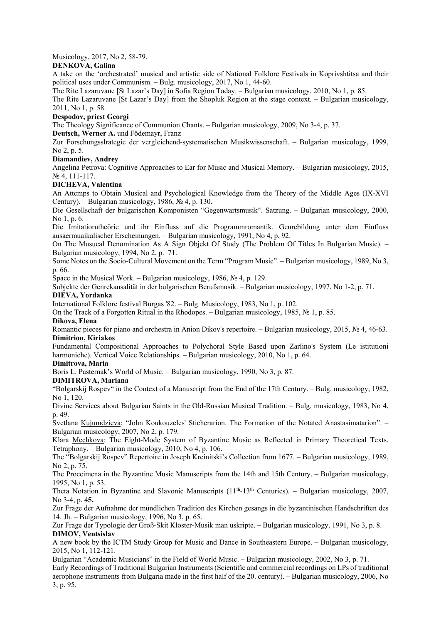## Musicology, 2017, No 2, 58-79.

## **DENKOVA, Galina**

A take on the 'orchestrated' musical and artistic side of National Folklore Festivals in Koprivshtitsa and their political uses under Communism. – Bulg. musicology, 2017, No 1, 44-60.

The Rite Lazaruvane [St Lazar's Day] in Sofia Region Today. – Bulgarian musicology, 2010, No 1, p. 85.

The Rite Lazaruvane [St Lazar's Day] from the Shopluk Region at the stage context. – Bulgarian musicology, 2011, No 1, p. 58.

## **Despodov, priest Georgi**

The Theology Significance of Communion Chants. – Bulgarian musicology, 2009, No 3-4, p. 37.

**Deutsch, Werner A.** und Födemayr, Franz

Zur Forschungsslrategie der vergleichend-systematischen Musikwissenschaft. – Bulgarian musicology, 1999, No 2, p. 5.

# **Diamandiev, Andrey**

Angelina Petrova: Cognitive Approaches to Ear for Music and Musical Memory. – Bulgarian musicology, 2015, № 4, 111-117.

## **DICHEVA, Valentina**

An Attcmps to Obtain Musical and Psychological Knowledge from the Theory of the Middle Ages (IX-XVI Century). – Bulgarian musicology, 1986, № 4, p. 130.

Die Gesellschaft der bulgarischen Komponisten "Gegenwartsmusik". Satzung. – Bulgarian musicology, 2000, No 1, p. 6.

Die Imitatiorutheörie und ihr Einfluss auf die Programmromantik. Genrebildung unter dem Einfluss ausaermuaikalischer Erscheinungen. – Bulgarian musicology, 1991, No 4, p. 92.

On The Musucal Denomination As A Sign Objekt Of Study (The Problem Of Titles In Bulgarian Music). – Bulgarian musicology, 1994, No 2, p. 71.

Some Notes on the Socio-Cultural Movement on the Term "Program Music". – Bulgarian musicology, 1989, No 3, p. 66.

Space in the Musical Work. – Bulgarian musicology, 1986, № 4, p. 129.

Subjekte der Genrekausalität in der bulgarischen Berufsmusik. – Bulgarian musicology, 1997, No 1-2, p. 71. **DIEVA, Yordanka** 

International Folklore festival Burgas '82. – Bulg. Musicology, 1983, No 1, p. 102.

On the Track of a Forgotten Ritual in the Rhodopes. – Bulgarian musicology, 1985, № 1, p. 85.

## **Dikova, Elena**

Romantic pieces for piano and orchestra in Anion Dikov's repertoire. – Bulgarian musicology, 2015, № 4, 46-63. **Dimitriou, Kiriakos** 

Fundamental Compositional Approaches to Polychoral Style Based upon Zarlino's System (Le istitutioni harmoniche). Vertical Voice Relationships. – Bulgarian musicology, 2010, No 1, p. 64.

## **Dimitrova, Maria**

Boris L. Pasternak's World of Music. – Bulgarian musicology, 1990, No 3, p. 87.

## **DIMITROVA, Mariana**

"Bolgarskij Rospev" in the Context of a Manuscript from the End of the 17th Century. – Bulg. musicology, 1982, No 1, 120.

Divine Services about Bulgarian Saints in the Old-Russian Musical Tradition. – Bulg. musicology, 1983, No 4, p. 49.

Svetlana Kujumdzieva: "John Koukouzeles' Sticherarion. The Formation of the Notated Anastasimatarion". – Bulgarian musicology, 2007, No 2, p. 179.

Klara Mechkova: The Eight-Mode System of Byzantine Music as Reflected in Primary Theoretical Texts. Tetraphony. – Bulgarian musicology, 2010, No 4, p. 106.

The "Bolgarskij Rospev" Repertoire in Joseph Kreinitski's Collection from 1677. – Bulgarian musicology, 1989, No 2, p. 75.

The Proceimena in the Byzantine Music Manuscripts from the 14th and 15th Century. – Bulgarian musicology, 1995, No 1, p. 53.

Theta Notation in Byzantine and Slavonic Manuscripts (11<sup>th</sup>-13<sup>th</sup> Centuries). – Bulgarian musicology, 2007, No 3-4, p. 4**5.**

Zur Frage der Aufnahme der mündlichen Tradition des Kirchen gesangs in die byzantinischen Handschriften des 14. Jh. – Bulgarian musicology, 1996, No 3, p. 65.

Zur Frage der Typologie der Groß-Skit Kloster-Musik man uskripte. – Bulgarian musicology, 1991, No 3, p. 8. **DIMOV, Ventsislav** 

A new book by the ICTM Study Group for Music and Dance in Southeastern Europe. – Bulgarian musicology, 2015, No 1, 112-121.

Bulgarian "Academic Musicians" in the Field of World Music. – Bulgarian musicology, 2002, No 3, p. 71.

Early Recordings of Traditional Bulgarian Instruments (Scientific and commercial recordings on LPs of traditional aerophone instruments from Bulgaria made in the first half of the 20. century). – Bulgarian musicology, 2006, No 3, p. 95.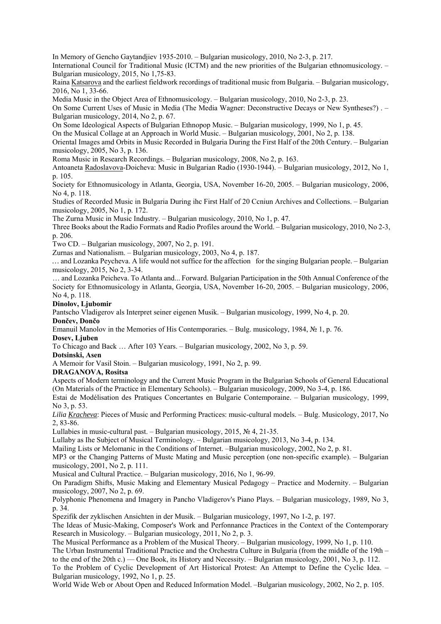In Memory of Gencho Gaytandjiev 1935-2010. – Bulgarian musicology, 2010, No 2-3, p. 217.

International Council for Traditional Music (ICTM) and the new priorities of the Bulgarian ethnomusicology. – Bulgarian musicology, 2015, No 1,75-83.

Raina Katsarova and the earliest fieldwork recordings of traditional music from Bulgaria. – Bulgarian musicology, 2016, No 1, 33-66.

Media Music in the Object Area of Ethnomusicology. – Bulgarian musicology, 2010, No 2-3, p. 23.

On Some Current Uses of Music in Media (The Media Wagner: Deconstructive Decays or New Syntheses?) . – Bulgarian musicology, 2014, No 2, p. 67.

On Some Ideological Aspects of Bulgarian Ethnopop Music. – Bulgarian musicology, 1999, No 1, p. 45.

On the Musical Collage at an Approach in World Music. – Bulgarian musicology, 2001, No 2, p. 138.

Oriental Images amd Orbits in Music Recorded in Bulgaria During the First Half of the 20th Century. – Bulgarian musicology, 2005, No 3, p. 136.

Roma Music in Research Recordings. – Bulgarian musicology, 2008, No 2, p. 163.

Antoaneta Radoslavova-Doicheva: Music in Bulgarian Radio (1930-1944). – Bulgarian musicology, 2012, No 1, p. 105.

Society for Ethnomusicology in Atlanta, Georgia, USA, November 16-20, 2005. – Bulgarian musicology, 2006, No 4, p. 118.

Studies of Recorded Music in Bulgaria During ihc First Half of 20 Ccniun Archives and Collections. – Bulgarian musicology, 2005, No 1, p. 172.

The Zurna Music in Music Industry. – Bulgarian musicology, 2010, No 1, p. 47.

Three Books about the Radio Formats and Radio Profiles around the World. – Bulgarian musicology, 2010, No 2-3, p. 206.

Two CD. – Bulgarian musicology, 2007, No 2, p. 191.

Zurnas and Nationalism. – Bulgarian musicology, 2003, No 4, p. 187.

*…* and Lozanka Peycheva. A life would not suffice for the affectionfor the singing Bulgarian people. – Bulgarian musicology, 2015, No 2, 3-34.

… and Lozanka Peicheva. To Atlanta and... Forward. Bulgarian Participation in the 50th Annual Conference of the Society for Ethnomusicology in Atlanta, Georgia, USA, November 16-20, 2005. – Bulgarian musicology, 2006, No 4, p. 118.

#### **Dinolov, Ljubomir**

Pantscho Vladigerov als Interpret seiner eigenen Musik. – Bulgarian musicology, 1999, No 4, p. 20.

#### **Dončev, Dončo**

Emanuil Manolov in the Memories of His Contemporaries. – Bulg. musicology, 1984, № 1, p. 76.

# **Dosev, Ljuben**

To Chicago and Back … After 103 Years. – Bulgarian musicology, 2002, No 3, p. 59.

**Dotsinski, Asen** 

A Memoir for Vasil Stoin. – Bulgarian musicology, 1991, No 2, p. 99.

## **DRAGANOVA, Rositsa**

Aspects of Modern terminology and the Current Music Program in the Bulgarian Schools of General Educational (On Materials of the Practice in Elementary Schools). – Bulgarian musicology, 2009, No 3-4, p. 186.

Estai de Modélisation des Pratiques Concertantes en Bulgarie Contemporaine. – Bulgarian musicology, 1999, No 3, p. 53.

*Lilia Kracheva*: Pieces of Music and Performing Practices: music-cultural models. – Bulg. Musicology, 2017, No 2, 83-86.

Lullabies in music-cultural past. – Bulgarian musicology, 2015, № 4, 21-35.

Lullaby as Ihe Subject of Musical Terminology. – Bulgarian musicology, 2013, No 3-4, p. 134.

Mailing Lists or Melomanic in the Conditions of Internet. –Bulgarian musicology, 2002, No 2, p. 81.

MP3 or the Changing Patterns of Mustc Mating and Music perception (one non-specific example). – Bulgarian musicology, 2001, No 2, p. 111.

Musical and Cultural Practice. – Bulgarian musicology, 2016, No 1, 96-99.

On Paradigm Shifts, Music Making and Elementary Musical Pedagogy – Practice and Modernity. – Bulgarian musicology, 2007, No 2, p. 69.

Polyphonic Phenomena and Imagery in Pancho Vladigerov's Piano Plays. – Bulgarian musicology, 1989, No 3, p. 34.

Spezifik der zyklischen Ansichten in der Musik. – Bulgarian musicology, 1997, No 1-2, p. 197.

The Ideas of Music-Making, Composer's Work and Perfonnance Practices in the Context of the Contemporary Research in Musicology. – Bulgarian musicology, 2011, No 2, p. 3.

The Musical Performance as a Problem of the Musical Theory. – Bulgarian musicology, 1999, No 1, p. 110. The Urban Instrumental Traditional Practice and the Orchestra Culture in Bulgaria (from the middle of the 19th – to the end of the 20th c.) — One Book, its History and Necessity. – Bulgarian musicology, 2001, No 3, p. 112. To the Problem of Cyclic Development of Art Historical Protest: An Attempt to Define the Cyclic Idea. – Bulgarian musicology, 1992, No 1, p. 25.

World Wide Web or About Open and Reduced Information Model. –Bulgarian musicology, 2002, No 2, p. 105.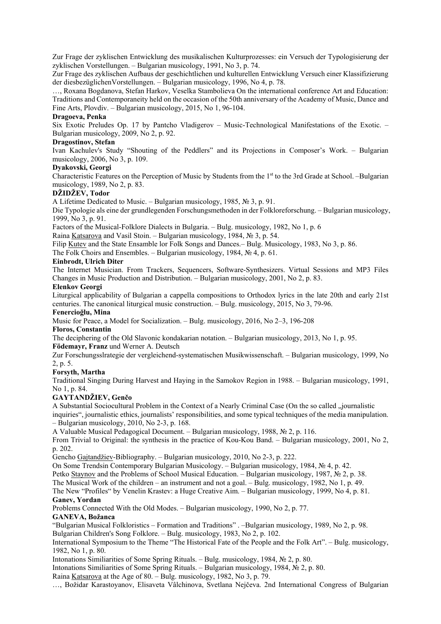Zur Frage der zyklischen Entwicklung des musikalischen Kulturprozesses: ein Versuch der Typologisierung der zyklischen Vorstellungen. – Bulgarian musicology, 1991, No 3, p. 74.

Zur Frage des zyklischen Aufbaus der geschichtlichen und kulturellen Entwicklung Versuch einer Klassifizierung der diesbezüglichenVorstellungen. – Bulgarian musicology, 1996, No 4, р. 78.

…, Roxana Bogdanova, Stefan Harkov, Veselka Stambolieva On the international conference Art and Education: Traditions and Contemporaneity held on the occasion of the 50th anniversary of the Academy of Music, Dance and Fine Arts, Plovdiv. – Bulgarian musicology, 2015, No 1, 96-104.

## **Dragoeva, Penka**

Six Exotic Preludes Op. 17 by Pantcho Vladigerov – Music-Technological Manifestations of the Exotic. – Bulgarian musicology, 2009, No 2, p. 92.

## **Dragostinov, Stefan**

Ivan Kachulev's Study "Shouting of the Peddlers" and its Projections in Composer's Work. – Bulgarian musicology, 2006, No 3, p. 109.

#### **Dyakovski, Georgi**

Characteristic Features on the Perception of Music by Students from the 1<sup>st</sup> to the 3rd Grade at School. –Bulgarian musicology, 1989, No 2, p. 83.

## **DŽIDŽEV, Todor**

A Lifetime Dedicated to Music. – Bulgarian musicology, 1985,  $\mathcal{N}_2$  3, p. 91.

Die Typologie als eine der grundlegenden Forschungsmethoden in der Folkloreforschung. – Bulgarian musicology, 1999, No 3, p. 91.

Factors of the Musical-Folklore Dialects in Bulgaria. – Bulg. musicology, 1982, No 1, p. 6

Raina Katsarova and Vasil Stoin. – Bulgarian musicology, 1984, № 3, p. 54.

Filip Kutev and the State Ensamble lor Folk Songs and Dances.– Bulg. Musicology, 1983, No 3, p. 86.

The Folk Choirs and Ensembles. – Bulgarian musicology, 1984,  $\mathcal{N}_2$  4, p. 61.

#### **Einbrodt, Ulrich Diter**

The Internet Musician. From Trackers, Sequencers, Software-Synthesizers. Virtual Sessions and MP3 Files Changes in Music Production and Distribution. – Bulgarian musicology, 2001, No 2, p. 83.

## **Elenkov Georgi**

Liturgical applicability of Bulgarian a cappella compositions to Orthodox lyrics in the late 20th and early 21st centuries. The canonical liturgical music construction. – Bulg. musicology, 2015, No 3, 79-96.

## **Fenercioğlu, Mina**

Music for Peace, a Model for Socialization. – Bulg. musicology, 2016, No 2–3, 196-208

# **Floros, Constantin**

The deciphering of the Old Slavonic kondakarian notation. – Bulgarian musicology, 2013, No 1, p. 95. **Födemayr, Franz** und Werner A. Deutsch

Zur Forschungsslrategie der vergleichend-systematischen Musikwissenschaft. – Bulgarian musicology, 1999, No 2, p. 5.

## **Forsyth, Martha**

Traditional Singing During Harvest and Haying in the Samokov Region in 1988. – Bulgarian musicology, 1991, No 1, p. 84.

## **GAYTANDŽIEV, Genčo**

A Substantial Sociocultural Problem in the Context of a Nearly Criminal Case (On the so called ...journalistic inquiries", journalistic ethics, journalists' responsibilities, and some typical techniques of the media manipulation. – Bulgarian musicology, 2010, No 2-3, p. 168.

A Valuable Musical Pedagogical Document. – Bulgarian musicology, 1988, № 2, p. 116.

From Trivial to Original: the synthesis in the practice of Kou-Kou Band. – Bulgarian musicology, 2001, No 2, p. 202.

Gencho Gajtandžiev-Bibliography. – Bulgarian musicology, 2010, No 2-3, p. 222.

On Some Trendsin Contemporary Bulgarian Musicology. – Bulgarian musicology, 1984, № 4, p. 42.

Petko Staynov and the Problems of School Musical Education. – Bulgarian musicology, 1987, № 2, p. 38.

The Musical Work of the children – an instrument and not a goal. – Bulg. musicology, 1982, No 1, p. 49.

The New "Profiles" by Venelin Krastev: a Huge Creative Aim. – Bulgarian musicology, 1999, No 4, p. 81. **Ganev, Yordan** 

Problems Connected With the Old Modes. – Bulgarian musicology, 1990, No 2, p. 77.

# **GANEVA, Božanca**

"Bulgarian Musical Folkloristics – Formation and Traditions" . –Bulgarian musicology, 1989, No 2, p. 98.

Bulgarian Children's Song Folklore. – Bulg. musicology, 1983, No 2, p. 102.

International Symposium to the Theme "The Historical Fate of the People and the Folk Art". – Bulg. musicology, 1982, No 1, p. 80.

Intonations Similiarities of Some Spring Rituals. – Bulg. musicology, 1984, № 2, p. 80.

Intonations Similiarities of Some Spring Rituals. – Bulgarian musicology, 1984, № 2, p. 80.

Raina Katsarova at the Age of 80. – Bulg. musicology, 1982, No 3, p. 79.

…, Božidar Karastoyanov, Elisaveta Vâlchinova, Svetlana Nejčeva. 2nd International Congress of Bulgarian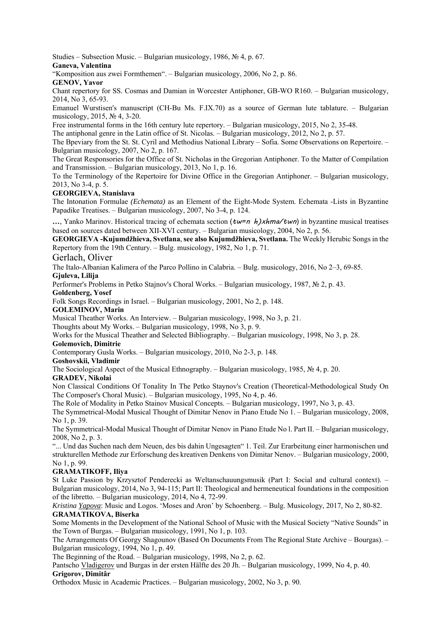Studies – Subsection Music. – Bulgarian musicology, 1986, № 4, p. 67. **Ganeva, Valentina** 

"Komposition aus zwei Formthemen". – Bulgarian musicology, 2006, No 2, p. 86.

**GENOV, Yavor** 

Chant repertory for SS. Cosmas and Damian in Worcester Antiphoner, GB-WO R160. – Bulgarian musicology, 2014, No 3, 65-93.

Emanuel Wurstisen's manuscript (CH-Bu Ms. F.IX.70) as a source of German lute tablature. – Bulgarian musicology, 2015, № 4, 3-20.

Free instrumental forms in the 16th century lute repertory. – Bulgarian musicology, 2015, No 2, 35-48.

The antiphonal genre in the Latin office of St. Nicolas. – Bulgarian musicology, 2012, No 2, p. 57.

The Bpeviary from the St. St. Cyril and Methodius National Library – Sofia. Some Observations on Repertoire. – Bulgarian musicology, 2007, No 2, p. 167.

The Great Responsories for the Office of St. Nicholas in the Gregorian Antiphoner. To the Matter of Compilation and Transmission. – Bulgarian musicology, 2013, No 1, p. 16.

To the Terminology of the Repertoire for Divine Office in the Gregorian Antiphoner. – Bulgarian musicology, 2013, No 3-4, p. 5.

## **GEORGIEVA, Stanislava**

The Intonation Formulae *(Echemata)* as an Element of the Eight-Mode System. Echemata -Lists in Byzantine Papadike Treatises. – Bulgarian musicology, 2007, No 3-4, p. 124.

 $\ldots$ , Yanko Marinov. Historical tracing of echemata section  $(tw=n)$ *xhma/twn*) in byzantine musical treatises based on sources dated between XII-XVI century. – Bulgarian musicology, 2004, No 2, p. 56.

**GEORGIEVA -Kujumdžhieva, Svetlana**, **see also Kujumdžhieva, Svetlana.** The Weekly Herubic Songs in the Repertory from the 19th Century. – Bulg. musicology, 1982, No 1, p. 71.

## Gerlach, Oliver

The Italo-Albanian Kalimera of the Parco Pollino in Calabria. – Bulg. musicology, 2016, No 2–3, 69-85.

**Gjuleva, Lilija** 

Performer's Problems in Petko Stajnov's Choral Works. – Bulgarian musicology, 1987, № 2, p. 43.

## **Goldenberg, Yosef**

Folk Songs Recordings in Israel. – Bulgarian musicology, 2001, No 2, p. 148.

## **GOLEMINOV, Marin**

Musical Theather Works. An Interview. – Bulgarian musicology, 1998, No 3, p. 21.

Thoughts about My Works. – Bulgarian musicology, 1998, No 3, p. 9.

Works for the Musical Theather and Selected Bibliography. – Bulgarian musicology, 1998, No 3, p. 28.

# **Golemovich, Dimitrie**

Contemporary Gusla Works. – Bulgarian musicology, 2010, No 2-3, p. 148.

## **Goshovskii, Vladimir**

The Sociological Aspect of the Musical Ethnography. – Bulgarian musicology, 1985, № 4, p. 20.

## **GRADEV, Nikolai**

Non Classical Conditions Of Tonality In The Petko Staynov's Creation (Theoretical-Methodological Study On The Composer's Choral Music). – Bulgarian musicology, 1995, No 4, p. 46.

The Role of Modality in Petko Stainov Musical Concepts. – Bulgarian musicology, 1997, No 3, p. 43.

The Symmetrical-Modal Musical Thought of Dimitar Nenov in Piano Etude No 1. – Bulgarian musicology, 2008, No 1, p. 39.

The Symmetrical-Modal Musical Thought of Dimitar Nenov in Piano Etude No l. Part II. – Bulgarian musicology, 2008, No 2, p. 3.

"... Und das Suchen nach dem Neuen, des bis dahin Ungesagten" 1. Teil. Zur Erarbeitung einer harmonischen und strukturellen Methode zur Erforschung des kreativen Denkens von Dimitar Nenov. – Bulgarian musicology, 2000, No 1, p. 99.

# **GRAMATIKOFF, Iliya**

St Luke Passion by Krzysztof Penderecki as Weltanschauungsmusik (Part I: Social and cultural context). – Bulgarian musicology, 2014, No 3, 94-115; Part II: Theological and hermeneutical foundations in the composition of the libretto. – Bulgarian musicology, 2014, No 4, 72-99.

*Kristina Yapova*: Music and Logos. 'Moses and Aron' by Schoenberg. – Bulg. Musicology, 2017, No 2, 80-82. **GRAMATIKOVA, Biserka** 

Some Moments in the Development of the National School of Music with the Musical Society "Native Sounds" in the Town of Burgas. – Bulgarian musicology, 1991, No 1, p. 103.

The Arrangements Of Georgy Shagounov (Based On Documents From The Regional State Archive – Bourgas). – Bulgarian musicology, 1994, No 1, p. 49.

The Beginning of the Road. – Bulgarian musicology, 1998, No 2, p. 62.

Pantscho Vladigerov und Burgas in der ersten Hälfte des 20 Jh. – Bulgarian musicology, 1999, No 4, p. 40. **Grigorov, Dimitâr** 

Orthodox Music in Academic Practices. – Bulgarian musicology, 2002, No 3, p. 90.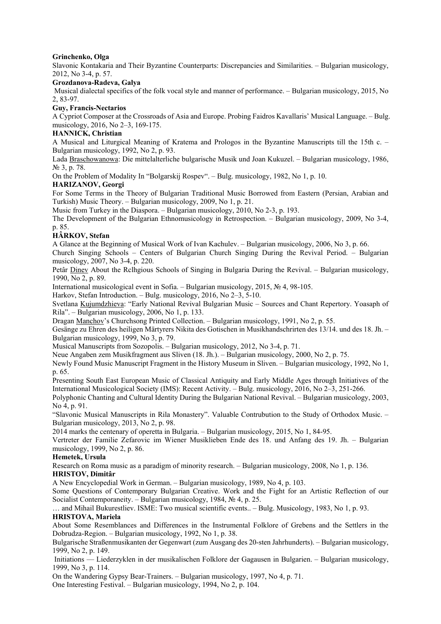## **Grinchenko, Olga**

Slavonic Kontakaria and Their Byzantine Counterparts: Discrepancies and Similarities. – Bulgarian musicology, 2012, No 3-4, p. 57.

## **Grozdanova-Radeva, Galya**

Musical dialectal specifics of the folk vocal style and manner of performance. – Bulgarian musicology, 2015, No 2, 83-97.

## **Guy, Francis-Nectarios**

A Cypriot Composer at the Crossroads of Asia and Europe. Probing Faidros Kavallaris' Musical Language. – Bulg. musicology, 2016, No 2–3, 169-175.

## **HANNICK, Christian**

A Musical and Liturgical Meaning of Kratema and Prologos in the Byzantine Manuscripts till the 15th c. – Bulgarian musicology, 1992, No 2, p. 93.

Lada Braschowanowa: Die mittelalterliche bulgarische Musik und Joan Kukuzel. – Bulgarian musicology, 1986, № 3, p. 78.

On the Problem of Modality In "Bolgarskij Rospev". – Bulg. musicology, 1982, No 1, p. 10.

## **HARIZANOV, Georgi**

For Some Terms in the Theory of Bulgarian Traditional Music Borrowed from Eastern (Persian, Arabian and Turkish) Music Theory. – Bulgarian musicology, 2009, No 1, p. 21.

Music from Turkey in the Diaspora. – Bulgarian musicology, 2010, No 2-3, p. 193.

The Development of the Bulgarian Ethnomusicology in Retrospection. – Bulgarian musicology, 2009, No 3-4, p. 85.

## **HÂRKOV, Stefan**

A Glance at the Beginning of Musical Work of Ivan Kachulev. – Bulgarian musicology, 2006, No 3, p. 66.

Church Singing Schools – Centers of Bulgarian Church Singing During the Revival Period. – Bulgarian musicology, 2007, No 3-4, p. 220.

Petâr Dinev About the Rclhgious Schools of Singing in Bulgaria During the Revival. – Bulgarian musicology, 1990, No 2, p. 89.

International musicological event in Sofia. – Bulgarian musicology, 2015, № 4, 98-105.

Harkov, Stefan Introduction. – Bulg. musicology, 2016, No 2–3, 5-10.

Svetlana Kujumdzhieva: "Early National Revival Bulgarian Music – Sources and Chant Repertory. Yoasaph of Rila". – Bulgarian musicology, 2006, No 1, p. 133.

Dragan Manchov's Churchsong Printed Collection. – Bulgarian musicology, 1991, No 2, p. 55.

Gesänge zu Ehren des heiligen Märtyrers Nikita des Gotischen in Musikhandschrirten des 13/14. und des 18. Jh. – Bulgarian musicology, 1999, No 3, p. 79.

Musical Manuscripts from Sozopolis. – Bulgarian musicology, 2012, No 3-4, p. 71.

Neue Angaben zem Musikfragment aus Sliven (18. Jh.). – Bulgarian musicology, 2000, No 2, p. 75.

Newly Found Music Manuscript Fragment in the History Museum in Sliven. – Bulgarian musicology, 1992, No 1, p. 65.

Presenting South East European Music of Classical Antiquity and Early Middle Ages through Initiatives of the International Musicological Society (IMS): Recent Activity. – Bulg. musicology, 2016, No 2–3, 251-266.

Polyphonic Chanting and Cultural Identity During the Bulgarian National Revival. – Bulgarian musicology, 2003, No 4, p. 91.

"Slavonic Musical Manuscripts in Rila Monastery". Valuable Contrubution to the Study of Orthodox Music. – Bulgarian musicology, 2013, No 2, p. 98.

2014 marks the centenary of operetta in Bulgaria. – Bulgarian musicology, 2015, No 1, 84-95.

Vertreter der Familie Zefarovic im Wiener Musiklieben Ende des 18. und Anfang des 19. Jh. – Bulgarian musicology, 1999, No 2, p. 86.

## **Hemetek, Ursula**

Research on Roma music as a paradigm of minority research. – Bulgarian musicology, 2008, No 1, p. 136. **HRISTOV, Dimitâr** 

A New Encyclopedial Work in German. – Bulgarian musicology, 1989, No 4, p. 103.

Some Questions of Contemporary Bulgarian Creative. Work and the Fight for an Artistic Reflection of our Socialist Contemporaneity. – Bulgarian musicology, 1984, № 4, p. 25.

… and Mihail Bukurestliev. ISME: Two musical scientific events.. – Bulg. Musicology, 1983, No 1, p. 93. **HRISTOVA, Mariela** 

About Some Resemblances and Differences in the Instrumental Folklore of Grebens and the Settlers in the Dobrudza-Region. – Bulgarian musicology, 1992, No 1, p. 38.

Bulgarische Straßenmusikanten der Gegenwart (zum Ausgang des 20-sten Jahrhunderts). – Bulgarian musicology, 1999, No 2, p. 149.

 Initiations — Liederzyklen in der musikalischen Folklore der Gagausen in Bulgarien. – Bulgarian musicology, 1999, No 3, p. 114.

On the Wandering Gypsy Bear-Trainers. – Bulgarian musicology, 1997, No 4, p. 71.

One Interesting Festival. – Bulgarian musicology, 1994, No 2, p. 104.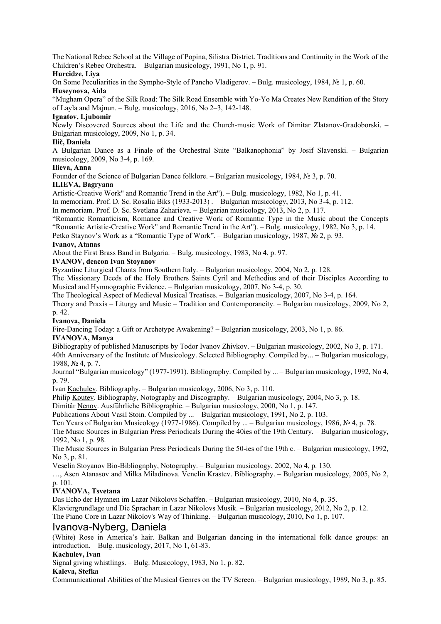The National Rebec School at the Village of Popina, Silistra District. Traditions and Continuity in the Work of the Children's Rebec Orchestra. – Bulgarian musicology, 1991, No 1, p. 91.

## **Hurcidze, Liya**

On Some Peculiarities in the Sympho-Style of Pancho Vladigerov. – Bulg. musicology, 1984, № 1, p. 60. **Huseynova, Aida** 

"Mugham Opera" of the Silk Road: The Silk Road Ensemble with Yo-Yo Ma Creates New Rendition of the Story of Layla and Majnun. – Bulg. musicology, 2016, No 2–3, 142-148.

## **Ignatov, Ljubomir**

Newly Discovered Sources about the Life and the Church-music Work of Dimitar Zlatanov-Gradoborski. – Bulgarian musicology, 2009, No 1, p. 34.

## **Ilič, Daniela**

A Bulgarian Dance as a Finale of the Orchestral Suite "Balkanophonia" by Josif Slavenski. – Bulgarian musicology, 2009, No 3-4, p. 169.

## **Ilieva, Anna**

Founder of the Science of Bulgarian Dance folklore. – Bulgarian musicology, 1984, № 3, p. 70.

## **ILIEVA, Bagryana**

Artistic-Creative Work" and Romantic Trend in the Art"). – Bulg. musicology, 1982, No 1, p. 41.

In memoriam. Prof. D. Sc. Rosalia Biks (1933-2013) . – Bulgarian musicology, 2013, No 3-4, p. 112.

In memoriam. Prof. D. Sc. Svetlana Zaharieva. – Bulgarian musicology, 2013, No 2, p. 117.

"Romantic Romanticism, Romance and Creative Work of Romantic Type in the Music about the Concepts

"Romantic Artistic-Creative Work" and Romantic Trend in the Art"). – Bulg. musicology, 1982, No 3, p. 14.

Petko Staynov's Work as a "Romantic Type of Work". – Bulgarian musicology, 1987, № 2, p. 93.

#### **Ivanov, Atanas**

About the First Brass Band in Bulgaria. – Bulg. musicology, 1983, No 4, p. 97.

## **IVANOV, deacon Ivan Stoyanov**

Byzantine Liturgical Chants from Southern Italy. – Bulgarian musicology, 2004, No 2, p. 128.

The Missionary Deeds of the Holy Brothers Saints Cyril and Methodius and of their Disciples According to Musical and Hymnographic Evidence. – Bulgarian musicology, 2007, No 3-4, p. 30.

The Theological Aspect of Medieval Musical Treatises. – Bulgarian musicology, 2007, No 3-4, p. 164.

Theory and Praxis – Liturgy and Music – Tradition and Contemporaneity. – Bulgarian musicology, 2009, No 2, p. 42.

## **Ivanova, Daniela**

Fire-Dancing Today: a Gift or Archetype Awakening? – Bulgarian musicology, 2003, No 1, p. 86.

#### **IVANOVA, Manya**

Bibliography of published Manuscripts by Todor Ivanov Zhivkov. – Bulgarian musicology, 2002, No 3, p. 171.

40th Anniversary of the Institute of Musicology. Selected Bibliography. Compiled by... – Bulgarian musicology, 1988, № 4, p. 7.

Journal "Bulgarian musicology" (1977-1991). Bibliography. Compiled by ... – Bulgarian musicology, 1992, No 4, p. 79.

Ivan Kachulev. Bibliography. – Bulgarian musicology, 2006, No 3, p. 110.

Philip Koutev. Bibliography, Notography and Discography. – Bulgarian musicology, 2004, No 3, p. 18.

Dimitâr Nenov. Ausführliche Bibliographie. – Bulgarian musicology, 2000, No 1, p. 147.

Publications About Vasil Stoin. Compiled by ... – Bulgarian musicology, 1991, No 2, p. 103.

Ten Years of Bulgarian Musicology (1977-1986). Compiled by ... – Bulgarian musicology, 1986, № 4, p. 78. The Music Sources in Bulgarian Press Periodicals During the 40ies of the 19th Century. – Bulgarian musicology, 1992, No 1, p. 98.

The Music Sources in Bulgarian Press Periodicals During the 50-ies of the 19th c. – Bulgarian musicology, 1992, No 3, p. 81.

Veselin Stoyanov Bio-Bibliognphy, Notography. – Bulgarian musicology, 2002, No 4, p. 130.

…, Asen Atanasov and Milka Miladinova. Venelin Krastev. Bibliography. – Bulgarian musicology, 2005, No 2, p. 101.

## **IVANOVA, Tsvetana**

Das Echo der Hymnen im Lazar Nikolovs Schaffen. – Bulgarian musicology, 2010, No 4, p. 35.

Klaviergrundlage und Die Sprachart in Lazar Nikolovs Musik. – Bulgarian musicology, 2012, No 2, p. 12.

The Piano Core in Lazar Nikolov's Way of Thinking. – Bulgarian musicology, 2010, No 1, p. 107.

# Ivanova-Nyberg, Daniela

(White) Rose in America's hair. Balkan and Bulgarian dancing in the international folk dance groups: an introduction. – Bulg. musicology, 2017, No 1, 61-83.

## **Kachulev, Ivan**

Signal giving whistlings. – Bulg. Musicology, 1983, No 1, p. 82.

## **Kaleva, Stefka**

Communicational Abilities of the Musical Genres on the TV Screen. – Bulgarian musicology, 1989, No 3, p. 85.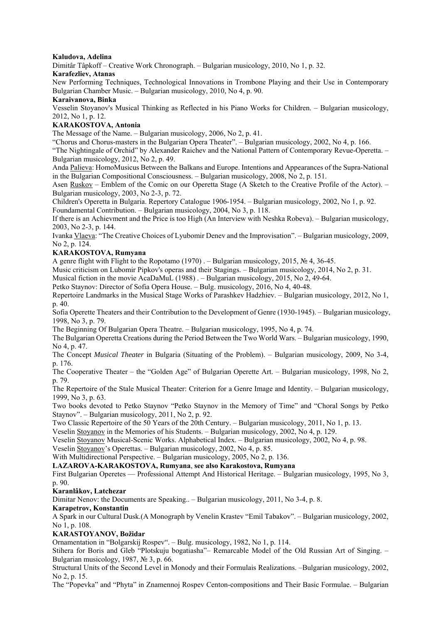## **Kaludova, Adelina**

Dimitâr Tâpkoff – Creative Work Chronograph. – Bulgarian musicology, 2010, No 1, p. 32.

## **Karafezliev, Atanas**

New Performing Techniques, Technological Innovations in Trombone Playing and their Use in Contemporary Bulgarian Chamber Music. – Bulgarian musicology, 2010, No 4, p. 90.

# **Karaivanova, Binka**

Vesselin Stoyanov's Musical Thinking as Reflected in his Piano Works for Children. – Bulgarian musicology, 2012, No 1, p. 12.

# **KARAKOSTOVA, Antonia**

The Message of the Name. – Bulgarian musicology, 2006, No 2, p. 41.

"Chorus and Chorus-masters in the Bulgarian Opera Theater". – Bulgarian musicology, 2002, No 4, p. 166.

"The Nightingale of Orchid" by Alexander Raichev and the National Pattern of Contemporary Revue-Operetta. – Bulgarian musicology, 2012, No 2, p. 49.

Anda Palieva: HomoMusicus Between the Balkans and Europe. Intentions and Appearances of the Supra-National in the Bulgarian Compositional Consciousness. – Bulgarian musicology, 2008, No 2, p. 151.

Asen Ruskov – Emblem of the Comic on our Operetta Stage (A Sketch to the Creative Profile of the Actor). – Bulgarian musicology, 2003, No 2-3, p. 72.

Children's Operetta in Bulgaria. Repertory Catalogue 1906-1954. – Bulgarian musicology, 2002, No 1, p. 92. Foundamental Contribution. – Bulgarian musicology, 2004, No 3, p. 118.

If there is an Achievment and the Price is too High (An Interview with Neshka Robeva). – Bulgarian musicology, 2003, No 2-3, p. 144.

Ivanka Vlaeva: "The Creative Choices of Lyubomir Denev and the Improvisation". – Bulgarian musicology, 2009, No 2, p. 124.

# **KARAKOSTOVA, Rumyana**

A genre flight with Flight to the Ropotamo (1970) . – Bulgarian musicology, 2015, № 4, 36-45.

Music criticism on Lubomir Pipkov's operas and their Stagings. – Bulgarian musicology, 2014, No 2, p. 31.

Musical fiction in the movie AcaDaMuL (1988) . – Bulgarian musicology, 2015, No 2, 49-64.

Petko Staynov: Director of Sofia Opera House. – Bulg. musicology, 2016, No 4, 40-48.

Repertoire Landmarks in the Musical Stage Works of Parashkev Hadzhiev. – Bulgarian musicology, 2012, No 1, p. 40.

Sofia Operette Theaters and their Contribution to the Development of Genre (1930-1945). – Bulgarian musicology, 1998, No 3, p. 79.

The Beginning Of Bulgarian Opera Theatre. – Bulgarian musicology, 1995, No 4, p. 74.

The Bulgarian Operetta Creations during the Period Between the Two World Wars. – Bulgarian musicology, 1990, No 4, p. 47.

The Concept *Musical Theater* in Bulgaria (Situating of the Problem). – Bulgarian musicology, 2009, No 3-4, p. 176.

The Cooperative Theater – the "Golden Age" of Bulgarian Operette Art. – Bulgarian musicology, 1998, No 2, p. 79.

The Repertoire of the Stale Musical Theater: Criterion for a Genre Image and Identity. – Bulgarian musicology, 1999, No 3, p. 63.

Two books devoted to Petko Staynov "Petko Staynov in the Memory of Time" and "Choral Songs by Petko Staynov". – Bulgarian musicology, 2011, No 2, p. 92.

Two Classic Repertoire of the 50 Years of the 20th Century. – Bulgarian musicology, 2011, No 1, p. 13.

Veselin Stoyanov in the Memories of his Students. – Bulgarian musicology, 2002, No 4, p. 129.

Veselin Stoyanov Musical-Scenic Works. Alphabetical Index. – Bulgarian musicology, 2002, No 4, p. 98.

Veselin Stoyanov's Operettas. – Bulgarian musicology, 2002, No 4, p. 85.

With Multidirectional Perspective. – Bulgarian musicology, 2005, No 2, p. 136.

**LAZAROVA-KARAKOSTOVA, Rumyana**, **see also Karakostova, Rumyana** 

First Bulgarian Operetes — Professional Attempt And Historical Heritage. – Bulgarian musicology, 1995, No 3, p. 90.

# **Karanlâkov, Latchezar**

Dimitar Nenov: the Documents are Speaking.. – Bulgarian musicology, 2011, No 3-4, p. 8.

## **Karapetrov, Konstantin**

A Spark in our Cultural Dusk.(A Monograph by Venelin Krastev "Emil Tabakov". – Bulgarian musicology, 2002, No 1, p. 108.

# **KARASTOYANOV, Božidar**

Ornamentation in "Bolgarskij Rospev". – Bulg. musicology, 1982, No 1, p. 114.

Stihera for Boris and Gleb "Plotskuju bogatiasha"– Remarcable Model of the Old Russian Art of Singing. – Bulgarian musicology, 1987, № 3, p. 66.

Structural Units of the Second Level in Monody and their Formulais Realizations. –Bulgarian musicology, 2002, No 2, p. 15.

The "Popevka" and "Phyta" in Znamennoj Rospev Centon-compositions and Their Basic Formulae. – Bulgarian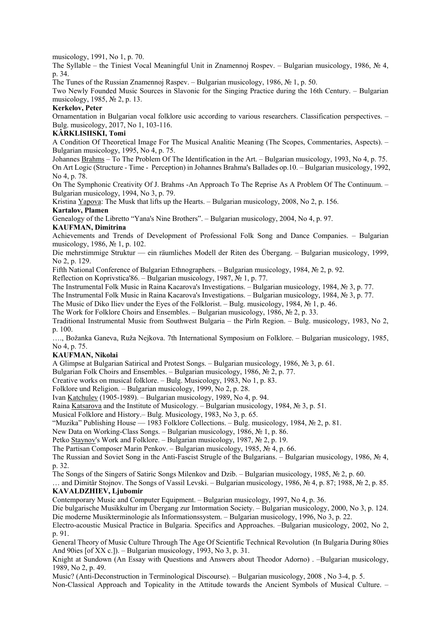musicology, 1991, No 1, p. 70.

The Syllable – the Tiniest Vocal Meaningful Unit in Znamennoj Rospev. – Bulgarian musicology, 1986, № 4, p. 34.

The Tunes of the Russian Znamennoj Raspev. – Bulgarian musicology, 1986, № 1, p. 50.

Two Newly Founded Music Sources in Slavonic for the Singing Practice during the 16th Century. – Bulgarian musicology, 1985, № 2, p. 13.

## **Kerkelov, Peter**

Ornamentation in Bulgarian vocal folklore usic according to various researchers. Classification perspectives. – Bulg. musicology, 2017, No 1, 103-116.

## **KÂRKLISIISKI, Tomi**

A Condition Of Theoretical Image For The Musical Analitic Meaning (The Scopes, Commentaries, Aspects). – Bulgarian musicology, 1995, No 4, p. 75.

Johannes Brahms – To The Problem Of The Identification in the Art. – Bulgarian musicology, 1993, No 4, p. 75. On Art Logic (Structure - Time - Perception) in Johannes Brahma's Ballades op.10. – Bulgarian musicology, 1992, No 4, p. 78.

On The Symphonic Creativity Of J. Brahms -An Approach To The Reprise As A Problem Of The Continuum. – Bulgarian musicology, 1994, No 3, p. 79.

Kristina Yapova: The Musk that lifts up the Hearts. – Bulgarian musicology, 2008, No 2, p. 156.

## **Kartalov, Plamen**

Genealogy of the Libretto "Yana's Nine Brothers". – Bulgarian musicology, 2004, No 4, p. 97.

# **KAUFMAN, Dimitrina**

Achievements and Trends of Development of Professional Folk Song and Dance Companies. – Bulgarian musicology, 1986, № 1, p. 102.

Die mehrstimmige Struktur — ein räumliches Modell der Riten des Übergang. – Bulgarian musicology, 1999, No 2, p. 129.

Fifth National Conference of Bulgarian Ethnographers. – Bulgarian musicology, 1984, № 2, p. 92.

Reflection on Koprivstica'86. – Bulgarian musicology, 1987, № 1, p. 77.

The Instrumental Folk Music in Raina Kacarova's Investigations. – Bulgarian musicology, 1984, № 3, p. 77.

The Instrumental Folk Music in Raina Kacarova's Investigations. – Bulgarian musicology, 1984, № 3, p. 77.

The Music of Diko Iliev under the Eyes of the Folklorist. – Bulg. musicology, 1984, № 1, p. 46.

The Work for Folklore Choirs and Ensembles. – Bulgarian musicology, 1986, № 2, p. 33.

Traditional Instrumental Music from Southwest Bulgaria – the Pirln Region. – Bulg. musicology, 1983, No 2, p. 100.

…., Božanka Ganeva, Ruža Nejkova. 7th International Symposium on Folklore. – Bulgarian musicology, 1985, No 4, p. 75.

## **KAUFMAN, Nikolai**

A Glimpse at Bulgarian Satirical and Protest Songs. – Bulgarian musicology, 1986, № 3, p. 61.

Bulgarian Folk Choirs and Ensembles. – Bulgarian musicology, 1986,  $\mathcal{N}_2$  2, p. 77.

Creative works on musical folklore. – Bulg. Musicology, 1983, No 1, p. 83.

Folklore und Religion. – Bulgarian musicology, 1999, No 2, p. 28.

Ivan Katchulev (1905-1989). – Bulgarian musicology, 1989, No 4, p. 94.

Raina Katsarova and the Institute of Musicology. – Bulgarian musicology, 1984, № 3, p. 51.

Musical Folklore and History.– Bulg. Musicology, 1983, No 3, p. 65.

"Muzika" Publishing House — 1983 Folklore Collections. – Bulg. musicology, 1984, № 2, p. 81.

New Data on Working-Class Songs. – Bulgarian musicology, 1986, № 1, p. 86.

Petko Staynov's Work and Folklore. – Bulgarian musicology, 1987, № 2, p. 19.

The Partisan Composer Marin Penkov. – Bulgarian musicology, 1985, № 4, p. 66.

The Russian and Soviet Song in the Anti-Fascist Strugle of the Bulgarians. – Bulgarian musicology, 1986, № 4, p. 32.

The Songs of the Singers of Satiric Songs Milenkov and Dzib. – Bulgarian musicology, 1985, № 2, p. 60.

… and Dimitâr Stojnov. The Songs of Vassil Levski. – Bulgarian musicology, 1986, № 4, p. 87; 1988, № 2, p. 85. **KAVALDZHIEV, Ljubomir**

Contemporary Music and Computer Equipment. – Bulgarian musicology, 1997, No 4, p. 36.

Die bulgarische Musikkultur im Übergang zur Imtormation Society. – Bulgarian musicology, 2000, No 3, p. 124. Die moderne Musikterminologie als Informationssystem. – Bulgarian musicology, 1996, No 3, p. 22.

Electro-acoustic Musical Practice in Bulgaria. Specifics and Approaches. –Bulgarian musicology, 2002, No 2, p. 91.

General Theory of Music Culture Through The Age Of Scientific Technical Revolution (In Bulgaria During 80ies And 90ies [of XX c.]). – Bulgarian musicology, 1993, No 3, p. 31.

Knight at Sundown (An Essay with Questions and Answers about Theodor Adorno) . –Bulgarian musicology, 1989, No 2, p. 49.

Music? (Anti-Deconstruction in Terminological Discourse). – Bulgarian musicology, 2008 , No 3-4, p. 5. Non-Classical Approach and Topicality in the Attitude towards the Ancient Symbols of Musical Culture. –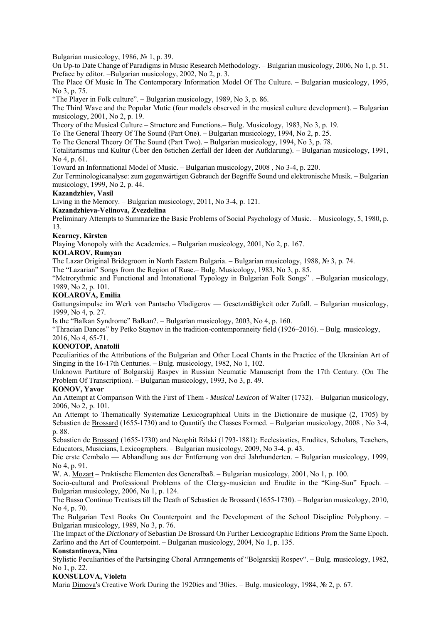Bulgarian musicology, 1986, № 1, p. 39.

On Up-to Date Change of Paradigms in Music Research Methodology. – Bulgarian musicology, 2006, No 1, p. 51. Preface by editor. –Bulgarian musicology, 2002, No 2, p. 3.

The Place Of Music In The Contemporary Information Model Of The Culture. – Bulgarian musicology, 1995, No 3, p. 75.

"The Player in Folk culture". – Bulgarian musicology, 1989, No 3, p. 86.

The Third Wave and the Popular Mutic (four models observed in the musical culture development). – Bulgarian musicology, 2001, No 2, p. 19.

Theory of the Musical Culture – Structure and Functions.– Bulg. Musicology, 1983, No 3, p. 19.

To The General Theory Of The Sound (Part One). – Bulgarian musicology, 1994, No 2, p. 25.

To The General Theory Of The Sound (Part Two). – Bulgarian musicology, 1994, No 3, p. 78.

Totalitarismus und Kultur (Über den östichen Zerfall der Ideen der Aufklarung). – Bulgarian musicology, 1991, No 4, p. 61.

Toward an Informational Model of Music. – Bulgarian musicology, 2008 , No 3-4, p. 220.

Zur Terminologicanalyse: zum gegenwärtigen Gebrauch der Begriffe Sound und elektronische Musik. – Bulgarian musicology, 1999, No 2, p. 44.

## **Kazandzhiev, Vasil**

Living in the Memory. – Bulgarian musicology, 2011, No 3-4, p. 121.

## **Kazandzhieva-Velinova, Zvezdelina**

Preliminary Attempts to Summarize the Basic Problems of Social Psychology of Music. – Musicology, 5, 1980, p. 13.

## **Kearney, Kirsten**

Playing Monopoly with the Academics. – Bulgarian musicology, 2001, No 2, p. 167.

# **KOLAROV, Rumyan**

The Lazar Original Bridegroom in North Eastern Bulgaria. – Bulgarian musicology, 1988, № 3, p. 74.

The "Lazarian" Songs from the Region of Ruse.– Bulg. Musicology, 1983, No 3, p. 85.

"Metrorythmic and Functional and Intonational Typology in Bulgarian Folk Songs" . –Bulgarian musicology, 1989, No 2, p. 101.

## **KOLAROVA, Emilia**

Gattungsimpulse im Werk von Pantscho Vladigerov — Gesetzmäßigkeit oder Zufall. – Bulgarian musicology, 1999, No 4, p. 27.

Is the "Balkan Syndrome" Balkan?. – Bulgarian musicology, 2003, No 4, p. 160.

"Thracian Dances" by Petko Staynov in the tradition-contemporaneity field (1926–2016). – Bulg. musicology, 2016, No 4, 65-71.

## **KONOTOP, Anatolii**

Peculiarities of the Attributions of the Bulgarian and Other Local Chants in the Practice of the Ukrainian Art of Singing in the 16-17th Centuries. – Bulg. musicology, 1982, No 1, 102.

Unknown Partiture of Bolgarskij Raspev in Russian Neumatic Manuscript from the 17th Century. (On The Problem Of Transcription). – Bulgarian musicology, 1993, No 3, p. 49.

## **KONOV, Yavor**

An Attempt at Comparison With the First of Them - *Musical Lexicon* of Walter (1732). – Bulgarian musicology, 2006, No 2, p. 101.

An Attempt to Thematically Systematize Lexicographical Units in the Dictionaire de musique (2, 1705) by Sebastien de Brossard (1655-1730) and to Quantify the Classes Formed. – Bulgarian musicology, 2008 , No 3-4, p. 88.

Sebastien de Brossard (1655-1730) and Neophit Rilski (1793-1881): Ecclesiastics, Erudites, Scholars, Teachers, Educators, Musicians, Lexicographers. – Bulgarian musicology, 2009, No 3-4, p. 43.

Die erste Cembalo — Abhandlung aus der Entfernung von drei Jahrhunderten. – Bulgarian musicology, 1999, No 4, p. 91.

W. A. Mozart – Praktische Elementen des Generalbaß. – Bulgarian musicology, 2001, No 1, p. 100.

Socio-cultural and Professional Problems of the Clergy-musician and Erudite in the "King-Sun" Epoch. – Bulgarian musicology, 2006, No 1, p. 124.

The Basso Continuo Treatises till the Death of Sebastien de Brossard (1655-1730). – Bulgarian musicology, 2010, No 4, p. 70.

The Bulgarian Text Books On Counterpoint and the Development of the School Discipline Polyphony. – Bulgarian musicology, 1989, No 3, p. 76.

The Impact of the *Dictionary* of Sebastian De Brossard On Further Lexicographic Editions Prom the Same Epoch. Zarlino and the Art of Counterpoint. – Bulgarian musicology, 2004, No 1, p. 135.

## **Konstantinova, Nina**

Stylistic Peculiarities of the Partsinging Choral Arrangements of "Bolgarskij Rospev". – Bulg. musicology, 1982, No 1, p. 22.

## **KONSULOVA, Violeta**

Maria Dimova's Creative Work During the 1920ies and '30ies. – Bulg. musicology, 1984, № 2, p. 67.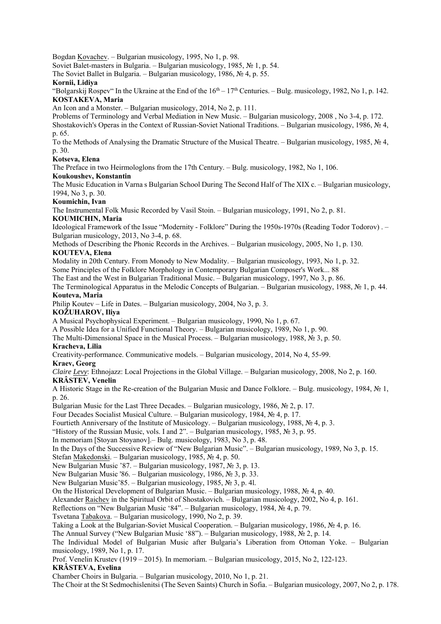Bogdan Kovachev. – Bulgarian musicology, 1995, No 1, p. 98.

Soviet Balet-masters in Bulgaria. – Bulgarian musicology, 1985, № 1, p. 54.

The Soviet Ballet in Bulgaria. – Bulgarian musicology, 1986, № 4, p. 55.

## **Kornii, Lidiya**

"Bolgarskij Rospev" In the Ukraine at the End of the  $16<sup>th</sup> - 17<sup>th</sup>$  Centuries. – Bulg. musicology, 1982, No 1, p. 142. **KOSTAKEVA, Maria** 

An Icon and a Monster. – Bulgarian musicology, 2014, No 2, p. 111.

Problems of Terminology and Verbal Mediation in New Music. – Bulgarian musicology, 2008 , No 3-4, p. 172. Shostakovich's Operas in the Context of Russian-Soviet National Traditions. – Bulgarian musicology, 1986, № 4, p. 65.

To the Methods of Analysing the Dramatic Structure of the Musical Theatre. – Bulgarian musicology, 1985, № 4, p. 30.

## **Kotseva, Elena**

The Preface in two Heirmologlons from the 17th Century. – Bulg. musicology, 1982, No 1, 106.

## **Koukoushev, Konstantin**

The Music Education in Varna s Bulgarian School During The Second Half of The XIX c. – Bulgarian musicology, 1994, No 3, p. 30.

## **Koumichin, Ivan**

The Instrumental Folk Music Recorded by Vasil Stoin. – Bulgarian musicology, 1991, No 2, p. 81.

## **KOUMICHIN, Maria**

Ideological Framework of the Issue "Modernity - Folklore" During the 1950s-1970s (Reading Todor Todorov) . – Bulgarian musicology, 2013, No 3-4, p. 68.

Methods of Describing the Phonic Records in the Archives. – Bulgarian musicology, 2005, No 1, p. 130.

# **KOUTEVA, Elena**

Modality in 20th Century. From Monody to New Modality. – Bulgarian musicology, 1993, No 1, p. 32. Some Principles of the Folklore Morphology in Contemporary Bulgarian Composer's Work... 88

The East and the West in Bulgarian Traditional Music. – Bulgarian musicology, 1997, No 3, p. 86.

The Terminological Apparatus in the Melodic Concepts of Bulgarian. – Bulgarian musicology, 1988, № 1, p. 44. **Kouteva, Maria** 

Philip Koutev – Life in Dates. – Bulgarian musicology, 2004, No 3, p. 3.

## **KOŽUHAROV, Iliya**

A Musical Psychophysical Experiment. – Bulgarian musicology, 1990, No 1, p. 67.

A Possible Idea for a Unified Functional Theory. – Bulgarian musicology, 1989, No 1, p. 90.

The Multi-Dimensional Space in the Musical Process. – Bulgarian musicology, 1988,  $\mathbb{N}_2$  3, p. 50.

## **Kracheva, Lilia**

Creativity-performance. Communicative models. – Bulgarian musicology, 2014, No 4, 55-99.

## **Kraev, Georg**

*Claire Levy*: Ethnojazz: Local Projections in the Global Village. – Bulgarian musicology, 2008, No 2, p. 160. **KRÂSTEV, Venelin** 

A Historic Stage in the Re-creation of the Bulgarian Music and Dance Folklore. – Bulg. musicology, 1984, № 1, p. 26.

Bulgarian Music for the Last Three Decades. – Bulgarian musicology, 1986,  $\mathcal{N}$  2, p. 17.

Four Decades Socialist Musical Culture. – Bulgarian musicology, 1984, № 4, p. 17.

Fourtieth Anniversary of the Institute of Musicology. – Bulgarian musicology, 1988, № 4, p. 3.

"History of the Russian Music, vols. I and 2". – Bulgarian musicology, 1985, № 3, p. 95.

In memoriam [Stoyan Stoyanov].– Bulg. musicology, 1983, No 3, p. 48.

In the Days of the Successive Review of "New Bulgarian Music". – Bulgarian musicology, 1989, No 3, p. 15.

Stefan Makedonski. – Bulgarian musicology, 1985, № 4, p. 50.

New Bulgarian Music '87. – Bulgarian musicology, 1987, № 3, p. 13.

New Bulgarian Music '86. – Bulgarian musicology, 1986, № 3, p. 33.

New Bulgarian Music'85. – Bulgarian musicology, 1985, № 3, p. 4l.

On the Historical Development of Bulgarian Music. – Bulgarian musicology, 1988, № 4, p. 40.

Alexander Raichev in the Spiritual Orbit of Shostakovich. – Bulgarian musicology, 2002, No 4, p. 161.

Reflections on "New Bulgarian Music '84". – Bulgarian musicology, 1984, № 4, p. 79.

Tsvetana Tabakova. – Bulgarian musicology, 1990, No 2, p. 39.

Taking a Look at the Bulgarian-Soviet Musical Cooperation. – Bulgarian musicology, 1986, № 4, p. 16.

The Annual Survey ("New Bulgarian Music '88"). – Bulgarian musicology, 1988, № 2, p. 14.

The Individual Model of Bulgarian Music after Bulgaria's Liberation from Ottoman Yoke. – Bulgarian musicology, 1989, No 1, p. 17.

Prof. Venelin Krustev (1919 – 2015). In memoriam. – Bulgarian musicology, 2015, No 2, 122-123.

## **KRÂSTEVA, Evelina**

Chamber Choirs in Bulgaria. – Bulgarian musicology, 2010, No 1, p. 21.

The Choir at the St Sedmochislenitsi (The Seven Saints) Church in Sofia. – Bulgarian musicology, 2007, No 2, p. 178.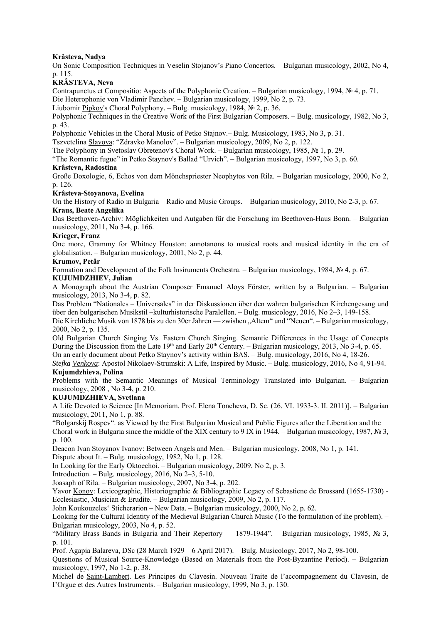## **Krâsteva, Nadya**

On Sonic Composition Techniques in Veselin Stojanov's Piano Concertos. – Bulgarian musicology, 2002, No 4, p. 115.

## **KRÂSTEVA, Neva**

Contrapunctus et Compositio: Aspects of the Polyphonic Creation. – Bulgarian musicology, 1994, № 4, p. 71. Die Heterophonie von Vladimir Panchev. – Bulgarian musicology, 1999, No 2, p. 73.

Liubomir Pipkov's Choral Polyphony. – Bulg. musicology, 1984, № 2, p. 36.

Polyphonic Techniques in the Creative Work of the First Bulgarian Composers. – Bulg. musicology, 1982, No 3, p. 43.

Polyphonic Vehicles in the Choral Music of Petko Stajnov.– Bulg. Musicology, 1983, No 3, p. 31.

Tszvetelina Slavova: "Zdravko Manolov". – Bulgarian musicology, 2009, No 2, p. 122.

The Polyphony in Svetoslav Obretenov's Choral Work. – Bulgarian musicology, 1985, № 1, p. 29.

"The Romantic fugue" in Petko Staynov's Ballad "Urvich". – Bulgarian musicology, 1997, No 3, p. 60.

## **Krâsteva, Radostina**

Große Doxologie, 6, Echos von dem Mönchspriester Neophytos von Rila. – Bulgarian musicology, 2000, No 2, p. 126.

## **Krâsteva-Stoyanova, Evelina**

On the History of Radio in Bulgaria – Radio and Music Groups. – Bulgarian musicology, 2010, No 2-3, p. 67. **Kraus, Beate Angelika** 

Das Beethoven-Archiv: Möglichkeiten und Autgaben für die Forschung im Beethoven-Haus Bonn. – Bulgarian musicology, 2011, No 3-4, p. 166.

## **Krieger, Franz**

One more, Grammy for Whitney Houston: annotanons to musical roots and musical identity in the era of globalisation. – Bulgarian musicology, 2001, No 2, p. 44.

#### **Krumov, Petâr**

Formation and Development of the Folk lnsiruments Orchestra. – Bulgarian musicology, 1984, № 4, p. 67. **KUJUMDZHIEV, Julian** 

A Monograph about the Austrian Composer Emanuel Aloys Förster, written by a Bulgarian. – Bulgarian musicology, 2013, No 3-4, p. 82.

Das Problem "Nationales – Universales" in der Diskussionen über den wahren bulgarischen Kirchengesang und über den bulgarischen Musikstil –kulturhistorische Paralellen. – Bulg. musicology, 2016, No 2–3, 149-158.

Die Kirchliche Musik von 1878 bis zu den 30er Jahren — zwishen "Altem" und "Neuen". – Bulgarian musicology, 2000, No 2, p. 135.

Old Bulgarian Church Singing Vs. Eastern Church Singing. Semantic Differences in the Usage of Concepts During the Discussion from the Late  $19<sup>th</sup>$  and Early  $20<sup>th</sup>$  Century. – Bulgarian musicology, 2013, No 3-4, p. 65.

On an early document about Petko Staynov's activity within BAS. – Bulg. musicology, 2016, No 4, 18-26.

*Stefka Venkova*: Apostol Nikolaev-Strumski: A Life, Inspired by Music. – Bulg. musicology, 2016, No 4, 91-94. **Kujumdzhieva, Polina** 

Problems with the Semantic Meanings of Musical Terminology Translated into Bulgarian. – Bulgarian musicology, 2008 , No 3-4, p. 210.

## **KUJUMDZHIEVA, Svetlana**

A Life Devoted to Science [In Memoriam. Prof. Elena Toncheva, D. Sc. (26. VI. 1933-3. II. 2011)]. – Bulgarian musicology, 2011, No 1, p. 88.

"Bolgarskij Rospev". as Viewed by the First Bulgarian Musical and Public Figures after the Liberation and the Choral work in Bulgaria since the middle of the XIX century to 9 IX in 1944. – Bulgarian musicology, 1987, № 3, p. 100.

Deacon Ivan Stoyanov Ivanov: Between Angels and Men. – Bulgarian musicology, 2008, No 1, p. 141.

Dispute about It. – Bulg. musicology, 1982, No 1, p. 128.

In Looking for the Early Oktoechoi. – Bulgarian musicology, 2009, No 2, p. 3.

Introduction. – Bulg. musicology, 2016, No 2–3, 5-10.

Joasaph of Rila. – Bulgarian musicology, 2007, No 3-4, p. 202.

Yavor Konov: Lexicographic, Historiographic & Bibliographic Legacy of Sebastiene de Brossard (1655-1730) - Ecclesiastic, Musician & Erudite. – Bulgarian musicology, 2009, No 2, p. 117.

John Koukouzeles' Sticherarion – New Data. – Bulgarian musicology, 2000, No 2, p. 62.

Looking for the Cultural Identity of the Medieval Bulgarian Church Music (To the formulation of ihe problem). – Bulgarian musicology, 2003, No 4, p. 52.

"Military Brass Bands in Bulgaria and Their Repertory — 1879-1944". – Bulgarian musicology, 1985, № 3, p. 101.

Prof. Agapia Balareva, DSc (28 March 1929 – 6 April 2017). – Bulg. Musicology, 2017, No 2, 98-100.

Questions of Musical Source-Knowledge (Based on Materials from the Post-Byzantine Period). – Bulgarian musicology, 1997, No 1-2, p. 38.

Michel de Saint-Lambert. Les Principes du Clavesin. Nouveau Traite de l'accompagnement du Clavesin, de I'Orgue et des Autres Instruments. – Bulgarian musicology, 1999, No 3, p. 130.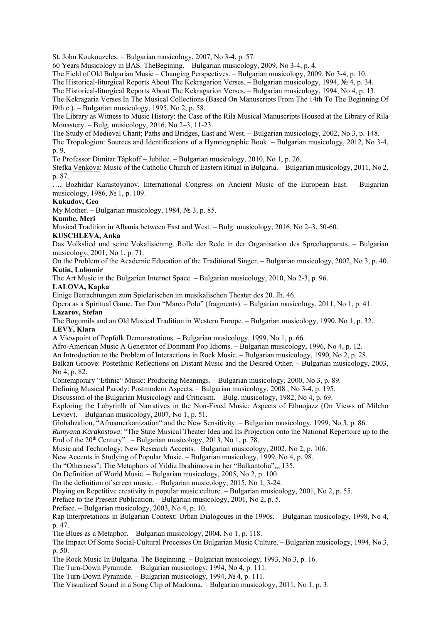St. John Koukouzeles. – Bulgarian musicology, 2007, No 3-4, p. 57.

60 Years Musicology in BAS. TheBegining. – Bulgarian musicology, 2009, No 3-4, p. 4.

The Field of Old Bulgarian Music – Changing Perspectives. – Bulgarian musicology, 2009, No 3-4, p. 10.

The Historical-liturgical Reports About The Kekragarion Verses. – Bulgarian musicology, 1994, № 4, p. 34.

The Historical-liturgical Reports About The Kekragarion Verses. – Bulgarian musicology, 1994, No 4, p. 13.

The Kekragaria Verses In The Musical Collections (Based On Manuscripts From The 14th To The Beginning Of l9th c.). – Bulgarian musicology, 1995, No 2, p. 58.

The Library as Witness to Music History: the Case of the Rila Musical Manuscripts Housed at the Library of Rila Monastery. – Bulg. musicology, 2016, No 2–3, 11-23.

The Study of Medieval Chant; Paths and Bridges, East and West. – Bulgarian musicology, 2002, No 3, p. 148.

The Tropologion: Sources and Identifications of a Hymnographic Book. – Bulgarian musicology, 2012, No 3-4, p. 9.

To Professor Dimitar Tâpkoff – Jubilee. – Bulgarian musicology, 2010, No 1, p. 26.

Stefka Venkova: Music of the Catholic Church of Eastern Ritual in Bulgaria. – Bulgarian musicology, 2011, No 2, p. 87.

…, Bozhidar Karastoyanov. International Congress on Ancient Music of the European East. – Bulgarian musicology, 1986, № 1, p. 109.

#### **Kukudov, Geo**

My Mother. – Bulgarian musicology, 1984, № 3, p. 85.

#### **Kumbe, Meri**

Musical Tradition in Albania between East and West. – Bulg. musicology, 2016, No 2–3, 50-60.

#### **KUSCHLEVA, Anka**

Das Volkslied und seine Vokalisienmg. Rolle der Rede in der Organisation des Sprechapparats. – Bulgarian musicology, 2001, No 1, p. 71.

On the Problem of the Academic Education of the Traditional Singer. – Bulgarian musicology, 2002, No 3, p. 40. **Kutin, Lubomir** 

The Art Music in the Bulgarien Internet Space. – Bulgarian musicology, 2010, No 2-3, p. 96.

#### **LALOVA, Kapka**

Einige Betrachtungen zum Spielerischen im musikalischen Theater des 20. Jh. 46.

Opera as a Spiritual Game. Tan Dun "Marco Polo" (fragments). – Bulgarian musicology, 2011, No 1, p. 41. **Lazarov, Stefan** 

The Bogomils and an Old Musical Tradition in Western Europe. – Bulgarian musicology, 1990, No 1, p. 32. **LEVY, Klara** 

A Viewpoint of Popfolk Demonstrations. – Bulgarian musicology, 1999, No 1, p. 66.

Afro-American Music A Generator of Donmant Pop Idioms. – Bulgarian musicology, 1996, No 4, р. 12.

An Introduction to the Problem of Interactions in Rock Music. – Bulgarian musicology, 1990, No 2, p. 28.

Balkan Groove: Postethnic Reflections on Distant Music and the Desired Other. – Bulgarian musicology, 2003, No 4, p. 82.

Contemporary "Ethnic" Music: Producing Meanings. – Bulgarian musicology, 2000, No 3, p. 89.

Defining Musical Parody: Postmodern Aspects. – Bulgarian musicology, 2008 , No 3-4, p. 195.

Discussion ol the Bulgarian Musicology and Criticism. – Bulg. musicology, 1982, No 4, p. 69.

Exploring the Labyrinlh of Narratives in the Non-Fixed Music: Aspects of Ethnojazz (On Views of Milcho Leviev). – Bulgarian musicology, 2007, No 1, p. 51.

Globahzalion, "Afroamerkanization" and the New Sensitivity. – Bulgarian musicology, 1999, No 3, p. 86.

*Rumyana Karakostova*: "The State Musical Theater Idea and Its Projection onto the National Repertoire up to the End of the  $20<sup>th</sup>$  Century" . – Bulgarian musicology, 2013, No 1, p. 78.

Music and Technology: New Research Accents. –Bulgarian musicology, 2002, No 2, p. 106.

New Accents in Studying of Popular Music. – Bulgarian musicology, 1999, No 4, p. 98.

On "Otherness": The Metaphors of Yildiz Ibrahimova in her "Balkantolia",,, 135.

On Definition of World Music. – Bulgarian musicology, 2005, No 2, p. 100.

On the definition of screen music. – Bulgarian musicology, 2015, No 1, 3-24.

Playing on Repetitive creativity in popular music culture. – Bulgarian musicology, 2001, No 2, p. 55.

Preface to the Present Publication. – Bulgarian musicology, 2001, No 2, p. 5.

Preface. – Bulgarian musicology, 2003, No 4, p. 10.

Rap Interpretations in Bulgarian Context: Urban Dialogoues in the 1990s. – Bulgarian musicology, 1998, No 4, p. 47.

The Blues as a Metaphor. – Bulgarian musicology, 2004, No 1, p. 118.

The Impact Of Some Social-Cultural Processes On Bulgarian Music Culture. – Bulgarian musicology, 1994, No 3, p. 50.

The Rock Music In Bulgaria. The Beginning. – Bulgarian musicology, 1993, No 3, p. 16.

The Turn-Down Pyramide. – Bulgarian musicology, 1994, No 4, p. 111.

The Turn-Down Pyramide. – Bulgarian musicology, 1994, № 4, p. 111.

The Visualized Sound in a Song Clip of Madonna. – Bulgarian musicology, 2011, No 1, p. 3.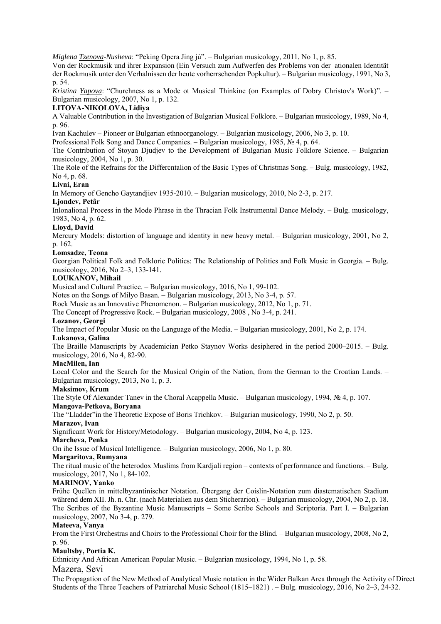*Miglena Tzenova-Nusheva*: "Peking Opera Jing jù". – Bulgarian musicology, 2011, No 1, p. 85.

Von der Rockmusik und ihrer Expansion (Ein Versuch zum Aufwerfen des Problems von der ationalen Identität der Rockmusik unter den Verhalnissen der heute vorherrschenden Popkultur). – Bulgarian musicology, 1991, No 3, p. 54.

*Kristina Yapova*: "Churchness as a Mode ot Musical Thinkine (on Examples of Dobry Christov's Work)". – Bulgarian musicology, 2007, No 1, p. 132.

## **LITOVA-NIKOLOVA, Lidiya**

A Valuable Contribution in the Investigation of Bulgarian Musical Folklore. – Bulgarian musicology, 1989, No 4, p. 96.

Ivan Kachulev – Pioneer or Bulgarian ethnoorganology. – Bulgarian musicology, 2006, No 3, p. 10.

Professional Folk Song and Dance Companies. – Bulgarian musicology, 1985, № 4, p. 64.

The Contribution of Stoyan Djudjev to the Development of Bulgarian Music Folklore Science. – Bulgarian musicology, 2004, No 1, p. 30.

The Role of the Refrains for the Differcntalion of the Basic Types of Christmas Song. – Bulg. musicology, 1982, No 4, p. 68.

#### **Livni, Eran**

In Memory of Gencho Gaytandjiev 1935-2010. – Bulgarian musicology, 2010, No 2-3, p. 217.

#### **Ljondev, Petâr**

Inlonalional Process in the Mode Phrase in the Thracian Folk Instrumental Dance Melody. – Bulg. musicology, 1983, No 4, p. 62.

#### **Lloyd, David**

Mercury Models: distortion of language and identity in new heavy metal. – Bulgarian musicology, 2001, No 2, p. 162.

#### **Lomsadze, Teona**

Georgian Political Folk and Folkloric Politics: The Relationship of Politics and Folk Music in Georgia. – Bulg. musicology, 2016, No 2–3, 133-141.

#### **LOUKANOV, Mihail**

Musical and Cultural Practice. – Bulgarian musicology, 2016, No 1, 99-102.

Notes on the Songs of Milyo Basan. – Bulgarian musicology, 2013, No 3-4, p. 57.

Rock Music as an Innovative Phenomenon. – Bulgarian musicology, 2012, No 1, p. 71.

The Concept of Progressive Rock. – Bulgarian musicology, 2008 , No 3-4, p. 241.

## **Lozanov, Georgi**

The Impact of Popular Music on the Language of the Media. – Bulgarian musicology, 2001, No 2, p. 174.

#### **Lukanova, Galina**

The Braille Manuscripts by Academician Petko Staynov Works desiphered in the period 2000–2015. – Bulg. musicology, 2016, No 4, 82-90.

#### **MacMilen, Ian**

Local Color and the Search for the Musical Origin of the Nation, from the German to the Croatian Lands. – Bulgarian musicology, 2013, No 1, p. 3.

## **Maksimov, Krum**

The Style Of Alexander Tanev in the Choral Acappella Music. – Bulgarian musicology, 1994, № 4, p. 107.

# **Mangova-Petkova, Boryana**

The "Lladder"in the Theoretic Expose of Boris Trichkov. – Bulgarian musicology, 1990, No 2, p. 50.

# **Marazov, Ivan**

Significant Work for History/Metodology. – Bulgarian musicology, 2004, No 4, p. 123.

#### **Marcheva, Penka**

On ihe Issue of Musical Intelligence. – Bulgarian musicology, 2006, No 1, p. 80.

#### **Margaritova, Rumyana**

The ritual music of the heterodox Muslims from Kardjali region – contexts of performance and functions. – Bulg. musicology, 2017, No 1, 84-102.

#### **MARINOV, Yanko**

Frühe Quellen in mittelbyzantinischer Notation. Übergang der Coislin-Notation zum diastematischen Stadium während dem XII. Jh. n. Chr. (nach Materialien aus dem Sticherarion). – Bulgarian musicology, 2004, No 2, p. 18. The Scribes of the Byzantine Music Manuscripts – Some Scribe Schools and Scriptoria. Part I. – Bulgarian musicology, 2007, No 3-4, p. 279.

#### **Mateeva, Vanya**

From the First Orchestras and Choirs to the Professional Choir for the Blind. – Bulgarian musicology, 2008, No 2, p. 96.

## **Maultsby, Portia K.**

Ethnicity And African American Popular Music. – Bulgarian musicology, 1994, No 1, p. 58.

## Mazera, Sevi

The Propagation of the New Method of Analytical Music notation in the Wider Balkan Area through the Activity of Direct Students of the Three Teachers of Patriarchal Music School (1815–1821) . – Bulg. musicology, 2016, No 2–3, 24-32.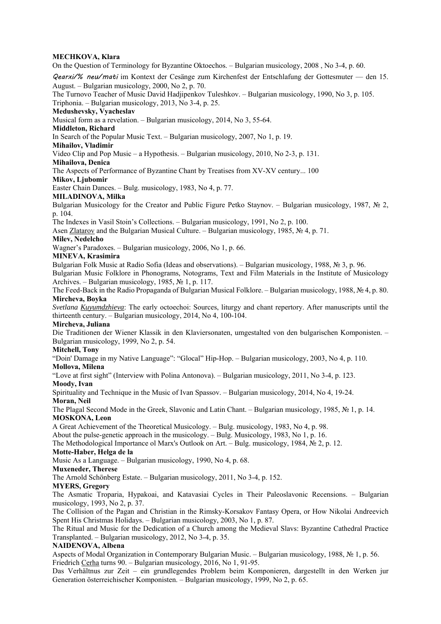## **MECHKOVA, Klara**

On the Question of Terminology for Byzantine Oktoechos. – Bulgarian musicology, 2008 , No 3-4, p. 60.

Qearxi/% neu/mati im Kontext der Cesänge zum Kirchenfest der Entschlafung der Gottesmuter — den 15. August. – Bulgarian musicology, 2000, No 2, p. 70.

The Turnovo Teacher of Music David Hadjipenkov Tuleshkov. – Bulgarian musicology, 1990, No 3, p. 105.

Triphonia. – Bulgarian musicology, 2013, No 3-4, p. 25.

## **Medushevsky, Vyacheslav**

Musical form as a revelation. – Bulgarian musicology, 2014, No 3, 55-64.

# **Middleton, Richard**

In Search of the Popular Music Text. – Bulgarian musicology, 2007, No 1, p. 19.

**Mihailov, Vladimir** 

Video Clip and Pop Music – a Hypothesis. – Bulgarian musicology, 2010, No 2-3, p. 131.

#### **Mihailova, Denica**

The Aspects of Performance of Byzantine Chant by Treatises from XV-XV century... 100

#### **Mikov, Ljubomir**

Easter Chain Dances. – Bulg. musicology, 1983, No 4, p. 77.

#### **MILADINOVA, Milka**

Bulgarian Musicology for the Creator and Public Figure Petko Staynov. – Bulgarian musicology, 1987, № 2, p. 104.

The Indexes in Vasil Stoin's Collections. – Bulgarian musicology, 1991, No 2, p. 100.

Asen Zlatarov and the Bulgarian Musical Culture. – Bulgarian musicology, 1985, № 4, p. 71.

## **Milev, Nedelcho**

Wagner's Paradoxes. – Bulgarian musicology, 2006, No 1, p. 66.

#### **MINEVA, Krasimira**

Bulgarian Folk Music at Radio Sofia (Ideas and observations). – Bulgarian musicology, 1988, № 3, p. 96.

Bulgarian Music Folklore in Phonograms, Notograms, Text and Film Materials in the Institute of Musicology Archives. – Bulgarian musicology, 1985,  $\mathcal{N}$  1, p. 117.

The Feed-Back in the Radio Propaganda of Bulgarian Musical Folklore. – Bulgarian musicology, 1988, № 4, p. 80. **Mircheva, Boyka**

*Svetlana Kuyumdzhieva*: The early octoechoi: Sources, liturgy and chant repertory. After manuscripts until the thirteenth century. – Bulgarian musicology, 2014, No 4, 100-104.

#### **Mircheva, Juliana**

Die Traditionen der Wiener Klassik in den Klaviersonaten, umgestalted von den bulgarischen Komponisten. – Bulgarian musicology, 1999, No 2, p. 54.

#### **Mitchell, Tony**

"Doin' Damage in my Native Language": "Glocal" Hip-Hop. – Bulgarian musicology, 2003, No 4, p. 110. **Mollova, Milena** 

"Love at first sight" (Interview with Polina Antonova). – Bulgarian musicology, 2011, No 3-4, p. 123. **Moody, Ivan** 

Spirituality and Technique in the Music of Ivan Spassov. – Bulgarian musicology, 2014, No 4, 19-24. **Moran, Neil** 

The Plagal Second Mode in the Greek, Slavonic and Latin Chant. – Bulgarian musicology, 1985, № 1, p. 14. **MOSKONA, Leon** 

A Great Achievement of the Theoretical Musicology. – Bulg. musicology, 1983, No 4, p. 98.

About the pulse-genetic approach in the musicology. – Bulg. Musicology, 1983, No 1, p. 16.

## The Methodological Importance ol Marx's Outlook on Art. – Bulg. musicology, 1984, № 2, p. 12.

## **Motte-Haber, Helga de la**

Music As a Language. – Bulgarian musicology, 1990, No 4, p. 68.

#### **Muxeneder, Therese**

The Arnold Schönberg Estate. – Bulgarian musicology, 2011, No 3-4, p. 152.

#### **MYERS, Gregory**

The Asmatic Troparia, Hypakoai, and Katavasiai Cycles in Their Paleoslavonic Recensions. – Bulgarian musicology, 1993, No 2, p. 37.

The Collision of the Pagan and Christian in the Rimsky-Korsakov Fantasy Opera, or How Nikolai Andreevich Spent His Christmas Holidays. – Bulgarian musicology, 2003, No 1, p. 87.

The Ritual and Music for the Dedication of a Church among the Medieval Slavs: Byzantine Cathedral Practice Transplanted. – Bulgarian musicology, 2012, No 3-4, p. 35.

## **NAIDENOVA, Albena**

Aspects of Modal Organization in Contemporary Bulgarian Music. – Bulgarian musicology, 1988, № 1, p. 56. Friedrich Cerha turns 90. – Bulgarian musicology, 2016, No 1, 91-95.

Das Verhältnus zur Zeit – ein grundlegendes Problem beim Komponieren, dargestellt in den Werken jur Generation österreichischer Komponisten. – Bulgarian musicology, 1999, No 2, p. 65.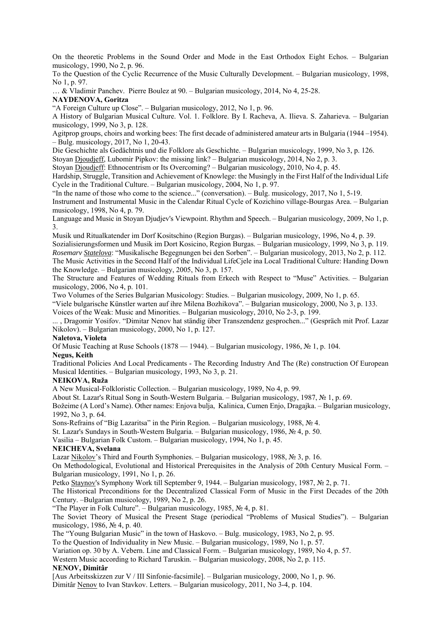On the theoretic Problems in the Sound Order and Mode in the East Orthodox Eight Echos. – Bulgarian musicology, 1990, No 2, p. 96.

To the Question of the Cyclic Recurrence of the Music Culturally Development. – Bulgarian musicology, 1998, No 1, p. 97.

… & Vladimir Panchev.Pierre Boulez at 90. – Bulgarian musicology, 2014, No 4, 25-28.

## **NAYDENOVA, Goritza**

"A Foreign Culture up Close". – Bulgarian musicology, 2012, No 1, p. 96.

A History of Bulgarian Musical Culture. Vol. 1. Folklore. By I. Racheva, A. Ilieva. S. Zaharieva. – Bulgarian musicology, 1999, No 3, p. 128.

Agitprop groups, choirs and working bees: The first decade of administered amateur arts in Bulgaria (1944 –1954). – Bulg. musicology, 2017, No 1, 20-43.

Die Geschichte als Gedächtnis und die Folklore als Geschichte. – Bulgarian musicology, 1999, No 3, p. 126.

Stoyan Djoudjeff, Lubomir Pipkov: the missing link? – Bulgarian musicology, 2014, No 2, p. 3.

Stoyan Djoudjeff: Ethnocentrism or Its Overcoming? – Bulgarian musicology, 2010, No 4, p. 45.

Hardship, Struggle, Transition and Achievement of Knowlege: the Musingly in the First Half of the Individual Life Cycle in the Traditional Culture. – Bulgarian musicology, 2004, No 1, p. 97.

"In the name of those who come to the science..." (сonversation). – Bulg. musicology, 2017, No 1, 5-19.

Instrument and Instrumental Music in the Calendar Ritual Cycle of Kozichino village-Bourgas Area. – Bulgarian musicology, 1998, No 4, p. 79.

Language and Music in Stoyan Djudjev's Viewpoint. Rhythm and Speech. – Bulgarian musicology, 2009, No 1, p. 3.

Musik und Ritualkatender im Dorf Kositschino (Region Burgas). – Bulgarian musicology, 1996, No 4, р. 39. Sozialisierungsformen und Musik im Dort Kosicino, Region Burgas. – Bulgarian musicology, 1999, No 3, p. 119.

*Rosemarv Statelova*: "Musikalische Begegnungen bei den Sorben". – Bulgarian musicology, 2013, No 2, p. 112. The Music Activities in the Second Half of the Individual LifeCjele ina Local Traditional Culture: Handing Down the Knowledge. – Bulgarian musicology, 2005, No 3, p. 157.

The Structure and Features of Wedding Rituals from Erkech with Respect to "Muse" Activities. – Bulgarian musicology, 2006, No 4, p. 101.

Two Volumes of the Series Bulgarian Musicology: Studies. – Bulgarian musicology, 2009, No 1, p. 65.

"Viele bulgarische Künstler warten auf ihre Milena Bozhikova". – Bulgarian musicology, 2000, No 3, p. 133.

Voices of the Weak: Music and Minorities. – Bulgarian musicology, 2010, No 2-3, p. 199.

... , Dragomir Yosifov. "Dimitar Nenov hat ständig über Transzendenz gesprochen..." (Gespräch mit Prof. Lazar Nikolov). – Bulgarian musicology, 2000, No 1, p. 127.

## **Naletova, Violeta**

Of Music Teaching at Ruse Schools (1878 — 1944). – Bulgarian musicology, 1986, № 1, p. 104.

## **Negus, Keith**

Traditional Policies And Local Predicaments - The Recording Industry And The (Re) construction Of European Musical Identities. – Bulgarian musicology, 1993, No 3, p. 21.

## **NEIKOVA, Ruža**

A New Musical-Folkloristic Collection. – Bulgarian musicology, 1989, No 4, p. 99.

About St. Lazar's Ritual Song in South-Western Bulgaria. – Bulgarian musicology, 1987, № 1, p. 69.

Božeime (A Lord's Name). Other names: Enjova bulja, Kalinica, Cumen Enjo, Dragajka. – Bulgarian musicology, 1992, No 3, p. 64.

Sons-Refrains of "Big Lazaritsa" in the Pirin Region. – Bulgarian musicology, 1988, № 4.

St. Lazar's Sundays in South-Western Bulgaria. – Bulgarian musicology, 1986, № 4, p. 50.

Vasilia – Bulgarian Folk Custom. – Bulgarian musicology, 1994, No 1, p. 45.

## **NEICHEVA, Svelana**

Lazar Nikolov's Third and Fourth Symphonies. – Bulgarian musicology, 1988, № 3, p. 16.

On Methodological, Evolutional and Historical Prerequisites in the Analysis of 20th Century Musical Form. – Bulgarian musicology, 1991, No 1, p. 26.

Petko Staynov's Symphony Work till September 9, 1944. – Bulgarian musicology, 1987, № 2, p. 71.

The Historical Preconditions for the Decentralized Classical Form of Music in the First Decades of the 20th Century. –Bulgarian musicology, 1989, No 2, p. 26.

"The Player in Folk Culture". – Bulgarian musicology, 1985, № 4, p. 81.

The Soviet Theory of Musical the Present Stage (periodical "Problems of Musical Studies"). – Bulgarian musicology, 1986, № 4, p. 40.

The "Young Bulgarian Music" in the town of Haskovo. – Bulg. musicology, 1983, No 2, p. 95.

To the Question of Individuality in New Music. – Bulgarian musicology, 1989, No 1, p. 57.

Variation op. 30 by A. Vebern. Line and Classical Form. – Bulgarian musicology, 1989, No 4, p. 57.

Western Music according to Richard Taruskin. – Bulgarian musicology, 2008, No 2, p. 115.

## **NENOV, Dimitâr**

[Aus Arbeitsskizzen zur V / III Sinfonie-facsimile]. – Bulgarian musicology, 2000, No 1, p. 96.

Dimitâr Nenov to Ivan Stavkov. Letters. – Bulgarian musicology, 2011, No 3-4, p. 104.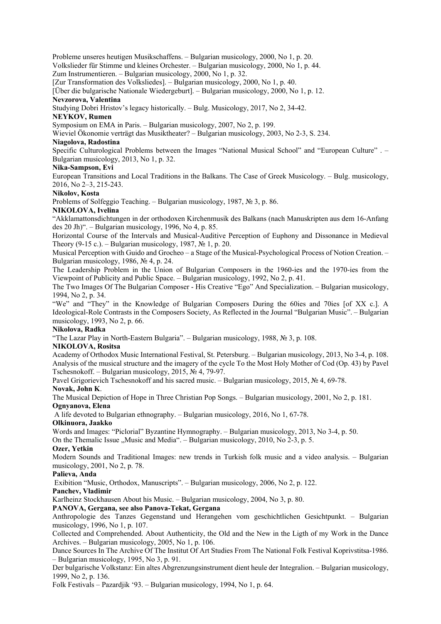Probleme unseres heutigen Musikschaffens. – Bulgarian musicology, 2000, No 1, p. 20.

Volkslieder für Stimme und kleines Orchester. – Bulgarian musicology, 2000, No 1, p. 44.

Zum Instrumentieren. – Bulgarian musicology, 2000, No 1, p. 32.

[Zur Transformation des Volksliedes]. – Bulgarian musicology, 2000, No 1, p. 40.

[Über die bulgarische Nationale Wiedergeburt]. – Bulgarian musicology, 2000, No 1, p. 12.

## **Nevzorova, Valentina**

Studying Dobri Hristov's legacy historically. – Bulg. Musicology, 2017, No 2, 34-42.

## **NEYKOV, Rumen**

Symposium on EMA in Paris. – Bulgarian musicology, 2007, No 2, p. 199.

Wieviel Ökonomie verträgt das Musiktheater? – Bulgarian musicology, 2003, No 2-3, S. 234.

# **Niagolova, Radostina**

Specific Culturological Problems between the Images "National Musical School" and "European Culture" . – Bulgarian musicology, 2013, No 1, p. 32.

## **Nika-Sampson, Evi**

European Transitions and Local Traditions in the Balkans. The Case of Greek Musicology. – Bulg. musicology, 2016, No 2–3, 215-243.

## **Nikolov, Kosta**

Problems of Solfeggio Teaching. – Bulgarian musicology, 1987, № 3, p. 86.

## **NIKOLOVA, Ivelina**

"Akklamattonsdichtungen in der orthodoxen Kirchenmusik des Balkans (nach Manuskripten aus dem 16-Anfang des 20 Jh)". – Bulgarian musicology, 1996, No 4, р. 85.

Horizontal Course of the Intervals and Musical-Auditive Perception of Euphony and Dissonance in Medieval Theory (9-15 c.). – Bulgarian musicology, 1987,  $\mathcal{N}$  1, p. 20.

Musical Perception with Guido and Grocheo – a Stage of the Musical-Psychological Process of Notion Creation. – Bulgarian musicology, 1986, № 4, p. 24.

The Leadership Problem in the Union of Bulgarian Composers in the 1960-ies and the 1970-ies from the Viewpoint of Publicity and Public Space. – Bulgarian musicology, 1992, No 2, p. 41.

The Two Images Of The Bulgarian Composer - His Creative "Ego" And Specialization. – Bulgarian musicology, 1994, No 2, p. 34.

"We" and "They" in the Knowledge of Bulgarian Composers During the 60ies and 70ies [of XX c.]. A Ideological-Role Contrasts in the Composers Society, As Reflected in the Journal "Bulgarian Music". – Bulgarian musicology, 1993, No 2, p. 66.

## **Nikolova, Radka**

"The Lazar Play in North-Eastern Bulgaria". – Bulgarian musicology, 1988, № 3, p. 108.

## **NIKOLOVA, Rositsa**

Academy of Orthodox Music International Festival, St. Petersburg. – Bulgarian musicology, 2013, No 3-4, p. 108. Analysis of the musical structure and the imagery of the cycle To the Most Holy Mother of Cod (Op. 43) by Pavel Tschesnokoff. – Bulgarian musicology, 2015, № 4, 79-97.

Pavel Grigorievich Tschesnokoff and his sacred music. – Bulgarian musicology, 2015, № 4, 69-78.

## **Novak, John K**.

The Musical Depiction of Hope in Three Christian Pop Songs. – Bulgarian musicology, 2001, No 2, p. 181. **Ognyanova, Elena** 

A life devoted to Bulgarian ethnography. – Bulgarian musicology, 2016, No 1, 67-78.

## **Olkinuora, Jaakko**

Words and Images: "Piclorial" Byzantine Hymnography. – Bulgarian musicology, 2013, No 3-4, p. 50.

On the Themalic Issue  $Music$  and Media". – Bulgarian musicology, 2010, No 2-3, p. 5.

#### **Ozer, Yetkin**

Modern Sounds and Traditional Images: new trends in Turkish folk music and a video analysis. – Bulgarian musicology, 2001, No 2, p. 78.

## **Palieva, Anda**

Exibition "Music, Orthodox, Manuscripts". – Bulgarian musicology, 2006, No 2, p. 122.

## **Panchev, Vladimir**

Karlheinz Stockhausen About his Music. – Bulgarian musicology, 2004, No 3, p. 80.

## **PANOVA, Gergana, see also Panova-Tekat, Gergana**

Anthropologie des Tanzes Gegenstand und Herangehen vom geschichtlichen Gesichtpunkt. – Bulgarian musicology, 1996, No 1, p. 107.

Collected and Comprehended. About Authenticity, the Old and the New in the Ligth of my Work in the Dance Archives. – Bulgarian musicology, 2005, No 1, p. 106.

Dance Sources In The Archive Of The Institut Of Art Studies From The National Folk Festival Koprivstitsa-1986. – Bulgarian musicology, 1995, No 3, p. 91.

Der bulgarische Volkstanz: Ein altes Abgrenzungsinstrument dient heule der Integralion. – Bulgarian musicology, 1999, No 2, p. 136.

Folk Festivals – Pazardjik '93. – Bulgarian musicology, 1994, No 1, p. 64.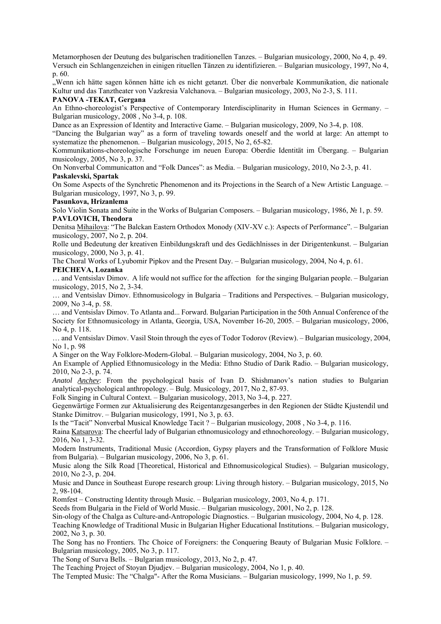Metamorphosen der Deutung des bulgarischen traditionellen Tanzes. – Bulgarian musicology, 2000, No 4, p. 49. Versuch ein Schlangenzeichen in einigen rituellen Tänzen zu identifizieren. – Bulgarian musicology, 1997, No 4, p. 60.

"Wenn ich hätte sagen können hätte ich es nicht getanzt. Über die nonverbale Kommunikation, die nationale Kultur und das Tanztheater von Vazkresia Valchanova. – Bulgarian musicology, 2003, No 2-3, S. 111.

## **PANOVA -TEKAT, Gergana**

An Ethno-choreologist's Perspective of Contemporary Interdisciplinarity in Human Sciences in Germany. – Bulgarian musicology, 2008 , No 3-4, p. 108.

Dance as an Expression of Identity and Interactive Game. – Bulgarian musicology, 2009, No 3-4, p. 108.

"Dancing the Bulgarian way" as a form of traveling towards oneself and the world at large: An attempt to systematize the phenomenon. – Bulgarian musicology, 2015, No 2, 65-82.

Kommunikations-choreologische Forschunge im neuen Europa: Oberdie Identität im Übergang. – Bulgarian musicology, 2005, No 3, p. 37.

On Nonverbal Communicatton and "Folk Dances": as Media. – Bulgarian musicology, 2010, No 2-3, p. 41. **Paskalevski, Spartak** 

On Some Aspects of the Synchretic Phenomenon and its Projections in the Search of a New Artistic Language. – Bulgarian musicology, 1997, No 3, p. 99.

#### **Pasunkova, Hrizanlema**

Solo Violin Sonata and Suite in the Works of Bulgarian Composers. – Bulgarian musicology, 1986, № 1, p. 59. **PAVLOVICH, Theodora** 

Denitsa Mihailova: "The Balckan Eastern Orthodox Monody (XIV-XV c.): Aspects of Performance". – Bulgarian musicology, 2007, No 2, p. 204.

Rolle und Bedeutung der kreativen Einbildungskraft und des Gedächlnisses in der Dirigentenkunst. – Bulgarian musicology, 2000, No 3, p. 41.

The Choral Works of Lyubomir Pipkov and the Present Day. – Bulgarian musicology, 2004, No 4, p. 61.

# **PEICHEVA, Lozanka**

… and Ventsislav Dimov. A life would not suffice for the affectionfor the singing Bulgarian people. – Bulgarian musicology, 2015, No 2, 3-34.

… and Ventsislav Dimov. Ethnomusicology in Bulgaria – Traditions and Perspectives. – Bulgarian musicology, 2009, No 3-4, p. 58.

… and Ventsislav Dimov. To Atlanta and... Forward. Bulgarian Participation in the 50th Annual Conference of the Society for Ethnomusicology in Atlanta, Georgia, USA, November 16-20, 2005. – Bulgarian musicology, 2006, No 4, p. 118.

… and Ventsislav Dimov. Vasil Stoin through the eyes of Todor Todorov (Review). – Bulgarian musicology, 2004, No 1, p. 98

A Singer on the Way Folklore-Modern-Global. – Bulgarian musicology, 2004, No 3, p. 60.

An Example of Applied Ethnomusicology in the Media: Ethno Studio of Darik Radio. – Bulgarian musicology, 2010, No 2-3, p. 74.

*Anatol Anchev*: From the psychological basis of Ivan D. Shishmanov's nation studies to Bulgarian analytical-psychological anthropology. – Bulg. Musicology, 2017, No 2, 87-93.

Folk Singing in Cultural Context. – Bulgarian musicology, 2013, No 3-4, p. 227.

Gegenwärtige Formen zur Aktualisierung des Reigentanzgesangerbes in den Regionen der Städte Kjustendil und Stanke Dimitrov. – Bulgarian musicology, 1991, No 3, p. 63.

Is the "Tacit" Nonverbal Musical Knowledge Tacit ? – Bulgarian musicology, 2008 , No 3-4, p. 116.

Raina Katsarova: The cheerful lady of Bulgarian ethnomusicology and ethnochoreology. – Bulgarian musicology, 2016, No 1, 3-32.

Modern Instruments, Traditional Music (Accordion, Gypsy players and the Transformation of Folklore Music from Bulgaria). – Bulgarian musicology, 2006, No 3, p. 61.

Music along the Silk Road [Theoretical, Historical and Ethnomusicological Studies). – Bulgarian musicology, 2010, No 2-3, p. 204.

Music and Dance in Southeast Europe research group: Living through history. – Bulgarian musicology, 2015, No 2, 98-104.

Romfest – Constructing Identity through Music. – Bulgarian musicology, 2003, No 4, p. 171.

Seeds from Bulgaria in the Field of World Music. – Bulgarian musicology, 2001, No 2, p. 128.

Sin-ology of the Chalga as Culture-and-Antropologic Diagnostics. – Bulgarian musicology, 2004, No 4, p. 128.

Teaching Knowledge of Traditional Music in Bulgarian Higher Educational Institutions. – Bulgarian musicology, 2002, No 3, p. 30.

The Song has no Frontiers. Thc Choice of Foreigners: the Conquering Beauty of Bulgarian Music Folklore. – Bulgarian musicology, 2005, No 3, p. 117.

The Song of Surva Bells. – Bulgarian musicology, 2013, No 2, p. 47.

The Teaching Project of Stoyan Djudjev. – Bulgarian musicology, 2004, No 1, p. 40.

The Tempted Music: The "Chalga"- After the Roma Musicians. – Bulgarian musicology, 1999, No 1, p. 59.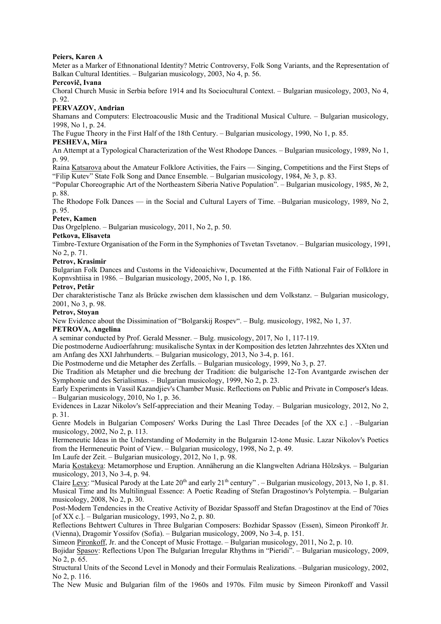## **Peiers, Karen A**

Meter as a Marker of Ethnonational Identity? Metric Controversy, Folk Song Variants, and the Representation of Balkan Cultural Identities. – Bulgarian musicology, 2003, No 4, p. 56.

## **Percovič, Ivana**

Choral Church Music in Serbia before 1914 and Its Sociocultural Context. – Bulgarian musicology, 2003, No 4, p. 92.

# **PERVAZOV, Andrian**

Shamans and Computers: Electroacouslic Music and the Traditional Musical Culture. – Bulgarian musicology, 1998, No 1, p. 24.

The Fugue Theory in the First Half of the 18th Century. – Bulgarian musicology, 1990, No 1, p. 85.

## **PESHEVA, Mira**

An Attempt at a Typological Characterization of the West Rhodope Dances. – Bulgarian musicology, 1989, No 1, p. 99.

Raina Katsarova about the Amateur Folklore Activities, the Fairs — Singing, Competitions and the First Steps of "Filip Kutev" State Folk Song and Dance Ensemble. – Bulgarian musicology, 1984, № 3, p. 83.

"Popular Choreographic Art of the Northeastern Siberia Native Population". – Bulgarian musicology, 1985, № 2, p. 88.

The Rhodope Folk Dances — in the Social and Cultural Layers of Time. –Bulgarian musicology, 1989, No 2, p. 95.

## **Petev, Kamen**

Das Orgelpleno. – Bulgarian musicology, 2011, No 2, p. 50.

## **Petkova, Elisaveta**

Timbre-Texture Organisation of the Form in the Symphonies of Tsvetan Tsvetanov. – Bulgarian musicology, 1991, No 2, p. 71.

## **Petrov, Krasimir**

Bulgarian Folk Dances and Customs in the Videoaichivw, Documented at the Fifth National Fair of Folklore in Kopnvshtiisa in 1986. – Bulgarian musicology, 2005, No 1, p. 186.

## **Petrov, Petâr**

Der charakteristische Tanz als Brücke zwischen dem klassischen und dem Volkstanz. – Bulgarian musicology, 2001, No 3, p. 98.

## **Petrov, Stoyan**

New Evidence about the Dissimination of "Bolgarskij Rospev". – Bulg. musicology, 1982, No 1, 37.

# **PETROVA, Angelina**

A seminar conducted by Prof. Gerald Messner. – Bulg. musicology, 2017, No 1, 117-119.

Die postmoderne Audioerfahrung: musikalische Syntax in der Komposition des letzten Jahrzehntes des XXten und am Anfang des XXI Jahrhunderts. – Bulgarian musicology, 2013, No 3-4, p. 161.

Die Postmoderne und die Metapher des Zerfalls. – Bulgarian musicology, 1999, No 3, p. 27.

Die Tradition als Metapher und die brechung der Tradition: die bulgarische 12-Ton Avantgarde zwischen der Symphonie und des Serialismus. – Bulgarian musicology, 1999, No 2, p. 23.

Early Experiments in Vassil Kazandjiev's Chamber Music. Reflections on Public and Private in Composer's Ideas. – Bulgarian musicology, 2010, No 1, p. 36.

Evidences in Lazar Nikolov's Self-appreciation and their Meaning Today. – Bulgarian musicology, 2012, No 2, p. 31.

Genre Models in Bulgarian Composers' Works During the Lasl Three Decades [of the XX c.] . -Bulgarian musicology, 2002, No 2, p. 113.

Hermeneutic Ideas in the Understanding of Modernity in the Bulgarain 12-tone Music. Lazar Nikolov's Poetics from the Hermeneutic Point of View. – Bulgarian musicology, 1998, No 2, p. 49.

Im Laufe der Zeit. – Bulgarian musicology, 2012, No 1, p. 98.

Maria Kostakeva: Metamorphose und Eruption. Annäherung an die Klangwelten Adriana Hölzskys. – Bulgarian musicology, 2013, No 3-4, p. 94.

Claire Levy: "Musical Parody at the Late  $20^{th}$  and early  $21^{th}$  century" . - Bulgarian musicology,  $2013$ , No 1, p. 81. Musical Time and Its Multilingual Essence: A Poetic Reading of Stefan Dragostinov's Polytempia. – Bulgarian musicology, 2008, No 2, p. 30.

Post-Modern Tendencies in the Creative Activity of Bozidar Spassoff and Stefan Dragostinov at the End of 70ies [of XX c.]. – Bulgarian musicology, 1993, No 2, p. 80.

Reflections Behtwert Cultures in Three Bulgarian Composers: Bozhidar Spassov (Essen), Simeon Pironkoff Jr. (Vienna), Dragomir Yossifov (Sofia). – Bulgarian musicology, 2009, No 3-4, p. 151.

Simeon Pironkoff, Jr. and the Concept of Music Frottage. – Bulgarian musicology, 2011, No 2, p. 10.

Bojidar Spasov: Reflections Upon The Bulgarian Irregular Rhythms in "Pieridi". – Bulgarian musicology, 2009, No 2, p. 65.

Structural Units of the Second Level in Monody and their Formulais Realizations. –Bulgarian musicology, 2002, No 2, p. 116.

The New Music and Bulgarian film of the 1960s and 1970s. Film music by Simeon Pironkoff and Vassil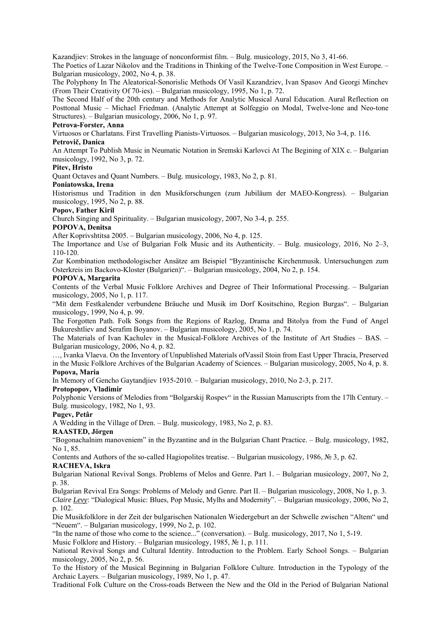Kazandjiev: Strokes in the language of nonconformist film. – Bulg. musicology, 2015, No 3, 41-66.

The Poetics of Lazar Nikolov and the Traditions in Thinking of the Twelve-Tone Composition in West Europe. – Bulgarian musicology, 2002, No 4, p. 38.

The Polyphony In The Aleatorical-Sonorislic Methods Of Vasil Kazandziev, Ivan Spasov And Georgi Minchev (From Their Creativity Of 70-ies). – Bulgarian musicology, 1995, No 1, p. 72.

The Second Half of the 20th century and Methods for Analytic Musical Aural Education. Aural Reflection on Posttonal Music – Michael Friedman. (Analytic Attempt at Solfeggio on Modal, Twelve-lone and Neo-tone Structures). – Bulgarian musicology, 2006, No 1, p. 97.

## **Petrova-Forster, Anna**

Virtuosos or Charlatans. First Travelling Pianists-Virtuosos. – Bulgarian musicology, 2013, No 3-4, p. 116.

# **Petrovič, Danica**

An Attempt To Publish Music in Neumatic Notation in Sremski Karlovci At The Begining of XIX c. – Bulgarian musicology, 1992, No 3, p. 72.

## **Pitev, Hristo**

Quant Octaves and Quant Numbers. – Bulg. musicology, 1983, No 2, p. 81.

#### **Poniatowska, Irena**

Historismus und Tradition in den Musikforschungen (zum Jubiläum der MAEO-Kongress). – Bulgarian musicology, 1995, No 2, p. 88.

# **Popov, Father Kiril**

Church Singing and Spirituality. – Bulgarian musicology, 2007, No 3-4, p. 255.

## **POPOVA, Denitsa**

After Koprivshtitsa 2005. – Bulgarian musicology, 2006, No 4, p. 125.

The Importance and Use of Bulgarian Folk Music and its Authenticity. – Bulg. musicology, 2016, No 2–3, 110-120.

Zur Kombination methodologischer Ansätze am Beispiel "Byzantinische Kirchenmusik. Untersuchungen zum Osterkreis im Backovo-Kloster (Bulgarien)". – Bulgarian musicology, 2004, No 2, p. 154.

#### **POPOVA, Margarita**

Contents of the Verbal Music Folklore Archives and Degree of Their Informational Processing. – Bulgarian musicology, 2005, No 1, p. 117.

"Mit dem Festkalender verbundene Bräuche und Musik im Dorf Kositschino, Region Burgas". – Bulgarian musicology, 1999, No 4, p. 99.

The Forgotten Path. Folk Songs from the Regions of Razlog, Drama and Bitolya from the Fund of Angel Bukureshtliev and Serafim Boyanov. – Bulgarian musicology, 2005, No 1, p. 74.

The Materials of Ivan Kachulev in the Musical-Folklore Archives of the Institute of Art Studies – BAS. – Bulgarian musicology, 2006, No 4, p. 82.

…, Ivanka Vlaeva. On the Inventory of Unpublished Materials ofVassil Stoin from East Upper Thracia, Preserved in the Music Folklore Archives of the Bulgarian Academy of Sciences. – Bulgarian musicology, 2005, No 4, p. 8. **Popova, Maria** 

In Memory of Gencho Gaytandjiev 1935-2010. – Bulgarian musicology, 2010, No 2-3, p. 217.

#### **Protopopov, Vladimir**

Polyphonic Versions of Melodies from "Bolgarskij Rospev" in the Russian Manuscripts from the 17lh Century. -Bulg. musicology, 1982, No 1, 93.

## **Pugev, Petâr**

A Wedding in the Village of Dren. – Bulg. musicology, 1983, No 2, p. 83.

# **RAASTED, Jörgen**

"Bogonachalnim manoveniem" in the Byzantine and in the Bulgarian Chant Practice. – Bulg. musicology, 1982, No 1, 85.

Contents and Authors of the so-called Hagiopolites treatise. – Bulgarian musicology, 1986, № 3, p. 62.

#### **RACHEVA, Iskra**

Bulgarian National Revival Songs. Problems of Melos and Genre. Part 1. – Bulgarian musicology, 2007, No 2, p. 38.

Bulgarian Revival Era Songs: Problems of Melody and Genre. Part II. – Bulgarian musicology, 2008, No 1, p. 3. *Claire Levy*: "Dialogical Music: Blues, Pop Music, Mylhs and Modernity". – Bulgarian musicology, 2006, No 2, p. 102.

Die Musikfolklore in der Zeit der bulgarischen Nationalen Wiedergeburt an der Schwelle zwischen "Altem" und "Neuem". – Bulgarian musicology, 1999, No 2, p. 102.

"In the name of those who come to the science..." (сonversation). – Bulg. musicology, 2017, No 1, 5-19.

Music Folklore and History. – Bulgarian musicology, 1985, № 1, p. 111.

National Revival Songs and Cultural Identity. Introduction to the Problem. Early School Songs. – Bulgarian musicology, 2005, No 2, p. 56.

To the History of the Musical Beginning in Bulgarian Folklore Culture. Introduction in the Typology of the Archaic Layers. – Bulgarian musicology, 1989, No 1, p. 47.

Traditional Folk Culture on the Cross-roads Between the New and the Old in the Period of Bulgarian National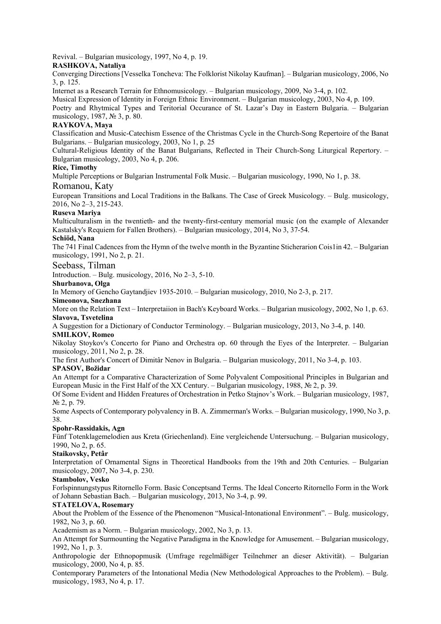Revival. – Bulgarian musicology, 1997, No 4, p. 19.

## **RASHKOVA, Nataliya**

Converging Directions [Vesselka Toncheva: The Folklorist Nikolay Kaufman]. – Bulgarian musicology, 2006, No 3, p. 125.

Internet as a Research Terrain for Ethnomusicology. – Bulgarian musicology, 2009, No 3-4, p. 102.

Musical Expression of Identity in Foreign Ethnic Environment. – Bulgarian musicology, 2003, No 4, p. 109.

Poetry and Rhytmical Types and Teritorial Occurance of St. Lazar's Day in Eastern Bulgaria. – Bulgarian musicology, 1987, № 3, p. 80.

# **RAYKOVA, Maya**

Classification and Music-Catechism Essence of the Christmas Cycle in the Church-Song Repertoire of the Banat Bulgarians. – Bulgarian musicology, 2003, No 1, p. 25

Cultural-Religious Identity of the Banat Bulgarians, Reflected in Their Church-Song Liturgical Repertory. – Bulgarian musicology, 2003, No 4, p. 206.

## **Rice, Timothy**

Multiple Perceptions or Bulgarian Instrumental Folk Music. – Bulgarian musicology, 1990, No 1, p. 38.

## Romanou, Katy

European Transitions and Local Traditions in the Balkans. The Case of Greek Musicology. – Bulg. musicology, 2016, No 2–3, 215-243.

## **Ruseva Mariya**

Multiculturalism in the twentieth- and the twenty-first-century memorial music (on the example of Alexander Kastalsky's Requiem for Fallen Brothers). – Bulgarian musicology, 2014, No 3, 37-54.

## **Schiöd, Nana**

The 741 Final Cadences from the Hymn of the twelve month in the Byzantine Sticherarion Cois1in 42. – Bulgarian musicology, 1991, No 2, p. 21.

## Seebass, Tilman

Introduction. – Bulg. musicology, 2016, No 2–3, 5-10.

#### **Shurbanova, Olga**

In Memory of Gencho Gaytandjiev 1935-2010. – Bulgarian musicology, 2010, No 2-3, p. 217.

# **Simeonova, Snezhana**

More on the Relation Text – Interpretaiion in Bach's Keyboard Works. – Bulgarian musicology, 2002, No 1, p. 63. **Slavova, Tsvetelina** 

A Suggestion for a Dictionary of Conductor Terminology. – Bulgarian musicology, 2013, No 3-4, p. 140.

## **SMILKOV, Romeo**

Nikolay Stoykov's Concerto for Piano and Orchestra op. 60 through the Eyes of the Interpreter. – Bulgarian musicology, 2011, No 2, p. 28.

The first Author's Concert of Dimitâr Nenov in Bulgaria. – Bulgarian musicology, 2011, No 3-4, p. 103.

## **SPASOV, Božidar**

An Attempt for a Comparative Characterization of Some Polyvalent Compositional Principles in Bulgarian and European Music in the First Half of the XX Century. – Bulgarian musicology, 1988,  $\mathbb{N}^2$  2, p. 39.

Of Some Evident and Hidden Freatures of Orchestration in Petko Stajnov's Work. – Bulgarian musicology, 1987, № 2, p. 79.

Some Aspects of Contemporary polyvalency in B. A. Zimmerman's Works. – Bulgarian musicology, 1990, No 3, p. 38.

## **Spohr-Rassidakis, Agn**

Fünf Totenklagemelodien aus Kreta (Griechenland). Eine vergleichende Untersuchung. – Bulgarian musicology, 1990, No 2, p. 65.

## **Staikovsky, Petâr**

Interpretation of Ornamental Signs in Theoretical Handbooks from the 19th and 20th Centuries. – Bulgarian musicology, 2007, No 3-4, p. 230.

## **Stambolov, Vesko**

Forlspinnungstypus Ritornello Form. Basic Conceptsand Terms. The Ideal Concerto Ritornello Form in the Work of Johann Sebastian Bach. – Bulgarian musicology, 2013, No 3-4, p. 99.

## **STATELOVA, Rosemary**

About the Problem of the Essence of the Phenomenon "Musical-Intonational Environment". – Bulg. musicology, 1982, No 3, p. 60.

Academism as a Norm. – Bulgarian musicology, 2002, No 3, p. 13.

An Attempt for Surmounting the Negative Paradigma in the Knowledge for Amusement. – Bulgarian musicology, 1992, No 1, p. 3.

Anthropologie der Ethnopopmusik (Umfrage regelmäßiger Teilnehmer an dieser Aktivität). – Bulgarian musicology, 2000, No 4, p. 85.

Contemporary Parameters of the Intonational Media (New Methodological Approaches to the Problem). – Bulg. musicology, 1983, No 4, p. 17.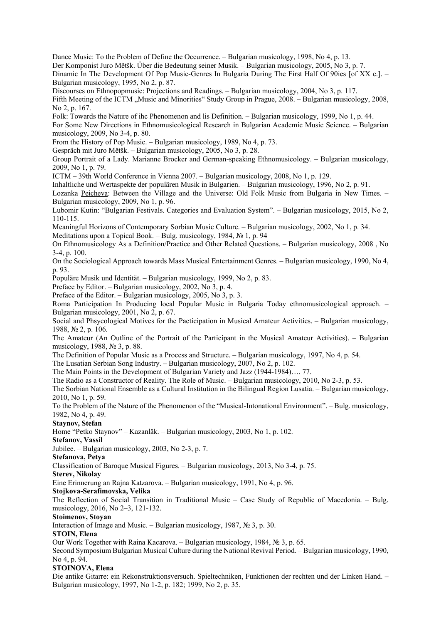Dance Music: To the Problem of Define the Occurrence. – Bulgarian musicology, 1998, No 4, p. 13. Der Komponist Juro Mětšk. Über die Bedeutung seiner Musik. – Bulgarian musicology, 2005, No 3, p. 7. Dinamic In The Development Of Pop Music-Genres In Bulgaria During The First Half Of 90ies [of XX c.]. – Bulgarian musicology, 1995, No 2, p. 87.

Discourses on Ethnopopmusic: Projections and Readings. – Bulgarian musicology, 2004, No 3, p. 117. Fifth Meeting of the ICTM "Music and Minorities" Study Group in Prague, 2008. – Bulgarian musicology, 2008, No 2, p. 167.

Folk: Towards the Nature of ihc Phenomenon and lis Definition. – Bulgarian musicology, 1999, No 1, p. 44. For Some New Directions in Ethnomusicological Research in Bulgarian Academic Music Science. – Bulgarian musicology, 2009, No 3-4, p. 80.

From the History of Pop Music. – Bulgarian musicology, 1989, No 4, p. 73.

Gespräch mit Juro Mětšk. – Bulgarian musicology, 2005, No 3, p. 28.

Group Portrait of a Lady. Marianne Brocker and German-speaking Ethnomusicology. – Bulgarian musicology, 2009, No 1, p. 79.

ICTM – 39th World Conference in Vienna 2007. – Bulgarian musicology, 2008, No 1, p. 129.

Inhaltliche und Wertaspekte der populären Musik in Bulgarien. – Bulgarian musicology, 1996, No 2, p. 91.

Lozanka Peicheva: Between the Village and the Universe: Old Folk Music from Bulgaria in New Times. – Bulgarian musicology, 2009, No 1, p. 96.

Lubomir Kutin: "Bulgarian Festivals. Categories and Evaluation System". – Bulgarian musicology, 2015, No 2, 110-115.

Meaningful Horizons of Contemporary Sorbian Music Culture. – Bulgarian musicology, 2002, No 1, p. 34.

Meditations upon a Topical Book. – Bulg. musicology, 1984, № 1, p. 94

On Ethnomusicology As a Definition/Practice and Other Related Questions. – Bulgarian musicology, 2008 , No 3-4, p. 100.

On the Sociological Approach towards Mass Musical Entertainment Genres. – Bulgarian musicology, 1990, No 4, p. 93.

Populäre Musik und Identität. – Bulgarian musicology, 1999, No 2, p. 83.

Preface by Editor. – Bulgarian musicology, 2002, No 3, p. 4.

Preface of the Editor. – Bulgarian musicology, 2005, No 3, p. 3.

Roma Participation In Producing local Popular Music in Bulgaria Today ethnomusicological approach. – Bulgarian musicology, 2001, No 2, p. 67.

Social and Phsycological Motives for the Pacticipation in Musical Amateur Activities. – Bulgarian musicology, 1988, № 2, p. 106.

The Amateur (An Outline of the Portrait of the Participant in the Musical Amateur Activities). – Bulgarian musicology, 1988, № 3, p. 88.

The Definition of Popular Music as a Process and Structure. – Bulgarian musicology, 1997, No 4, p. 54.

The Lusatian Serbian Song Industry. – Bulgarian musicology, 2007, No 2, p. 102.

The Main Points in the Development of Bulgarian Variety and Jazz (1944-1984)…. 77.

The Radio as a Constructor of Reality. The Role of Music. – Bulgarian musicology, 2010, No 2-3, p. 53.

The Sorbian National Ensemble as a Cultural Institution in the Bilingual Region Lusatia. – Bulgarian musicology, 2010, No 1, p. 59.

To the Problem of the Nature of the Phenomenon of the "Musical-Intonational Environment". – Bulg. musicology, 1982, No 4, p. 49.

# **Staynov, Stefan**

Home "Petko Staynov" – Kazanlâk. – Bulgarian musicology, 2003, No 1, p. 102.

**Stefanov, Vassil** 

Jubilee. – Bulgarian musicology, 2003, No 2-3, p. 7.

**Stefanova, Petya** 

Classification of Baroque Musical Figures. – Bulgarian musicology, 2013, No 3-4, p. 75.

## **Sterev, Nikolay**

Eine Erinnerung an Rajna Katzarova. – Bulgarian musicology, 1991, No 4, p. 96.

## **Stojkova-Serafimovska, Velika**

The Reflection of Social Transition in Traditional Music – Case Study of Republic of Macedonia. – Bulg. musicology, 2016, No 2–3, 121-132.

# **Stoimenov, Stoyan**

Interaction of Image and Music. – Bulgarian musicology, 1987, № 3, p. 30.

## **STOIN, Elena**

Our Work Together with Raina Kacarova. – Bulgarian musicology, 1984, № 3, p. 65.

Second Symposium Bulgarian Musical Culture during the National Revival Period. – Bulgarian musicology, 1990, No 4, p. 94.

# **STOINOVA, Elena**

Die antike Gitarre: ein Rekonstruktionsversuch. Spieltechniken, Funktionen der rechten und der Linken Hand. – Bulgarian musicology, 1997, No 1-2, p. 182; 1999, No 2, p. 35.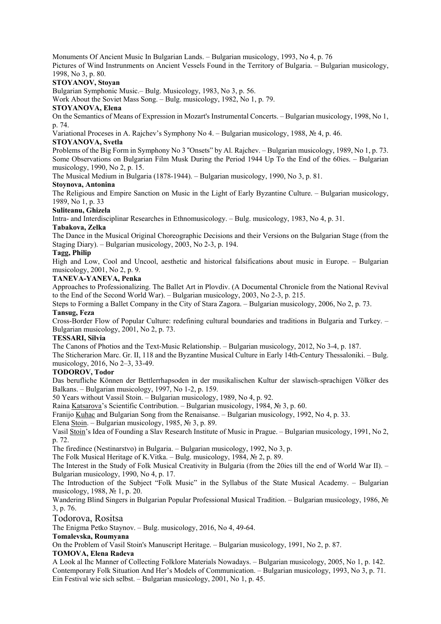Monuments Of Ancient Music In Bulgarian Lands. – Bulgarian musicology, 1993, No 4, p. 76

Pictures of Wind Instrunments on Ancient Vessels Found in the Territory of Bulgaria. – Bulgarian musicology, 1998, No 3, p. 80.

## **STOYANOV, Stoyan**

Bulgarian Symphonic Music.– Bulg. Musicology, 1983, No 3, p. 56.

Work About the Soviet Mass Song. – Bulg. musicology, 1982, No 1, p. 79.

## **STOYANOVA, Elena**

On the Semantics of Means of Expression in Mozart's Instrumental Concerts. – Bulgarian musicology, 1998, No 1, p. 74.

Variational Proceses in A. Rajchev's Symphony No 4. – Bulgarian musicology, 1988, № 4, p. 46.

## **STOYANOVA, Svetla**

Problems of the Big Form in Symphony No 3 "Onsets" by Al. Rajchev. – Bulgarian musicology, 1989, No 1, p. 73. Some Observations on Bulgarian Film Musk During the Period 1944 Up To the End of the 60ies. – Bulgarian musicology, 1990, No 2, p. 15.

The Musical Medium in Bulgaria (1878-1944). – Bulgarian musicology, 1990, No 3, p. 81.

## **Stoynova, Antonina**

The Religious and Empire Sanction on Music in the Light of Early Byzantine Culture. – Bulgarian musicology, 1989, No 1, p. 33

## **Suliteanu, Ghizela**

Intra- and Interdisciplinar Researches in Ethnomusicology. – Bulg. musicology, 1983, No 4, p. 31.

## **Tabakova, Zelka**

The Dance in the Musical Original Choreographic Decisions and their Versions on the Bulgarian Stage (from the Staging Diary). – Bulgarian musicology, 2003, No 2-3, p. 194.

## **Tagg, Philip**

High and Low, Cool and Uncool, aesthetic and historical falsifications about music in Europe. – Bulgarian musicology, 2001, No 2, p. 9.

## **TANEVA-YANEVA, Penka**

Approaches to Professionalizing. The Ballet Art in Plovdiv. (A Documental Chronicle from the National Revival to the End of the Second World War). – Bulgarian musicology, 2003, No 2-3, p. 215.

Steps to Forming a Ballet Company in the City of Stara Zagora. – Bulgarian musicology, 2006, No 2, p. 73. **Tansug, Feza** 

Cross-Border Flow of Popular Culture: redefining cultural boundaries and traditions in Bulgaria and Turkey. – Bulgarian musicology, 2001, No 2, p. 73.

# **TESSARI, Silvia**

The Canons of Photios and the Text-Music Relationship. – Bulgarian musicology, 2012, No 3-4, p. 187.

The Sticherarion Marc. Gr. II, 118 and the Byzantine Musical Culture in Early 14th-Century Thessaloniki. – Bulg. musicology, 2016, No 2–3, 33-49.

## **TODOROV, Todor**

Das berufliche Können der Bettlerrhapsoden in der musikalischen Kultur der slawisch-sprachigen Völker des Balkans. – Bulgarian musicology, 1997, No 1-2, p. 159.

50 Years without Vassil Stoin. – Bulgarian musicology, 1989, No 4, p. 92.

Raina Katsarova's Scientific Contribution. – Bulgarian musicology, 1984, № 3, p. 60.

Franijo Kuhac and Bulgarian Song from the Renaisanse. – Bulgarian musicology, 1992, No 4, p. 33.

Elena Stoin. – Bulgarian musicology, 1985, № 3, p. 89.

Vasil Stoin's Idea of Founding a Slav Research Institute of Music in Prague. – Bulgarian musicology, 1991, No 2, p. 72.

The firedince (Nestinarstvo) in Bulgaria. – Bulgarian musicology, 1992, No 3, p.

The Folk Musical Heritage of K.Vitka. – Bulg. musicology, 1984, № 2, p. 89.

The Interest in the Study of Folk Musical Creativity in Bulgaria (from the 20ies till the end of World War II). – Bulgarian musicology, 1990, No 4, p. 17.

The Introduction of the Subject "Folk Music" in the Syllabus of the State Musical Academy. – Bulgarian musicology, 1988, № 1, p. 20.

Wandering Blind Singers in Bulgarian Popular Professional Musical Tradition. – Bulgarian musicology, 1986, № 3, p. 76.

# Todorova, Rositsa

The Enigma Petko Staynov. – Bulg. musicology, 2016, No 4, 49-64.

## **Tomalevska, Roumyana**

On the Problem of Vasil Stoin's Manuscript Heritage. – Bulgarian musicology, 1991, No 2, p. 87.

## **TOMOVA, Elena Radeva**

A Look al Ihc Manner of Collecting Folklore Materials Nowadays. – Bulgarian musicology, 2005, No 1, p. 142. Contemporary Folk Situation And Her's Models of Communication. – Bulgarian musicology, 1993, No 3, p. 71. Ein Festival wie sich selbst. – Bulgarian musicology, 2001, No 1, p. 45.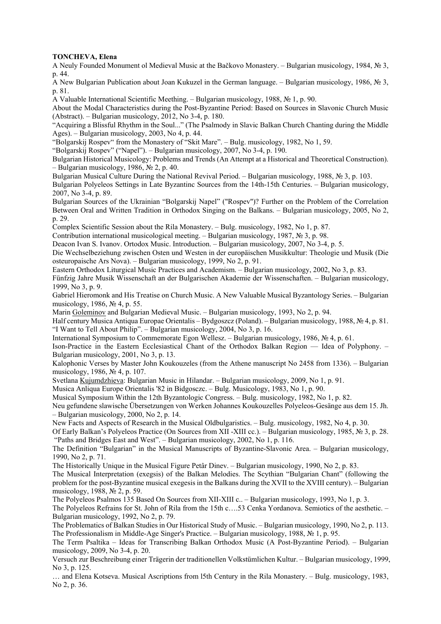## **TONCHEVA, Elena**

A Neuly Founded Monument ol Medieval Music at the Bačkovo Monastery. – Bulgarian musicology, 1984, № 3, p. 44.

A New Bulgarian Publication about Joan Kukuzel in the German language. – Bulgarian musicology, 1986, № 3, p. 81.

A Valuable International Scientific Meething. – Bulgarian musicology, 1988,  $\mathbb{N}_{\geq} 1$ , p. 90.

About the Modal Characteristics during the Post-Byzantine Period: Based on Sources in Slavonic Church Music (Abstract). – Bulgarian musicology, 2012, No 3-4, p. 180.

"Acquiring a Blissful Rhythm in the Soul..." (The Psalmody in Slavic Balkan Church Chanting during the Middle Ages). – Bulgarian musicology, 2003, No 4, p. 44.

"Bolgarskij Rospev" from the Monastery of "Skit Mare". – Bulg. musicology, 1982, No 1, 59.

"Bolgarskij Rospev" ("Napel"). – Bulgarian musicology, 2007, No 3-4, p. 190.

Bulgarian Historical Musicology: Problems and Trends (An Attempt at a Historical and Theoretical Construction). – Bulgarian musicology, 1986,  $\overline{N}$  2, p. 40.

Bulgarian Musical Culture During the National Revival Period. – Bulgarian musicology, 1988, № 3, p. 103.

Bulgarian Polyeleos Settings in Late Byzantinc Sources from the 14th-15th Centuries. – Bulgarian musicology, 2007, No 3-4, p. 89.

Bulgarian Sources of the Ukrainian "Bolgarskij Napel" ("Rospev")? Further on the Problem of the Correlation Between Oral and Written Tradition in Orthodox Singing on the Balkans. – Bulgarian musicology, 2005, No 2, p. 29.

Complex Scientific Session about the Rila Monastery. – Bulg. musicology, 1982, No 1, p. 87.

Contribution international musicological meeting. – Bulgarian musicology, 1987,  $\mathbb{N}_2$  3, p. 98.

Deacon Ivan S. Ivanov. Ortodox Music. Introduction. – Bulgarian musicology, 2007, No 3-4, p. 5.

Die Wechselbeziehung zwischen Osten und Westen in der europäischen Musikkultur: Theologie und Musik (Die osteuropaische Ars Nova). – Bulgarian musicology, 1999, No 2, p. 91.

Eastern Orthodox Liturgical Music Practices and Academism. – Bulgarian musicology, 2002, No 3, p. 83.

Fünfzig Jahre Musik Wissenschaft an der Bulgarischen Akademie der Wissenschaften. – Bulgarian musicology, 1999, No 3, p. 9.

Gabriel Hieromonk and His Treatise on Church Music. A New Valuable Musical Byzantology Series. – Bulgarian musicology, 1986, № 4, p. 55.

Marin Goleminov and Bulgarian Medieval Music. – Bulgarian musicology, 1993, No 2, p. 94.

Half century Musica Antiqua Europae Orientalis – Bydgoszcz (Poland). – Bulgarian musicology, 1988, № 4, p. 81. "I Want to Tell About Philip". – Bulgarian musicology, 2004, No 3, p. 16.

International Symposium to Commemorate Egon Wellesz. – Bulgarian musicology, 1986, № 4, p. 61.

Ison-Practice in the Eastern Ecclesiastical Chant of the Orthodox Balkan Region — Idea of Polyphony. – Bulgarian musicology, 2001, No 3, p. 13.

Kalophonic Verses by Master John Koukouzeles (from the Athene manuscript No 2458 from 1336). – Bulgarian musicology, 1986, № 4, p. 107.

Svetlana Kujumdzhieva: Bulgarian Music in Hilandar. – Bulgarian musicology, 2009, No 1, p. 91.

Musica Anliqua Europe Orientalis '82 in Bidgosczc. – Bulg. Musicology, 1983, No 1, p. 90.

Musical Symposium Within the 12th Byzantologic Congress. – Bulg. musicology, 1982, No 1, p. 82.

Neu gefundene slawische Übersetzungen von Werken Johannes Koukouzelles Polyeleos-Gesänge aus dem 15. Jh. – Bulgarian musicology, 2000, No 2, p. 14.

New Facts and Aspects of Research in the Musical Oldbulgaristics. – Bulg. musicology, 1982, No 4, p. 30.

Of Early Balkan's Polyeleos Practice (On Sources from XII -XIII cc.). – Bulgarian musicology, 1985, № 3, p. 28. "Paths and Bridges East and West". – Bulgarian musicology, 2002, No 1, p. 116.

The Definition "Bulgarian" in the Musical Manuscripts of Byzantine-Slavonic Area. – Bulgarian musicology, 1990, No 2, p. 71.

The Historically Unique in the Musical Figure Petâr Dinev. – Bulgarian musicology, 1990, No 2, p. 83.

The Musical Interpretation (exegsis) of the Balkan Melodies. The Scythian "Bulgarian Chant" (following the problem for the post-Byzantine musical exegesis in the Balkans during the XVII to the XVIII century). – Bulgarian musicology, 1988, № 2, p. 59.

The Polyeleos Psalmos 135 Based On Sources from XII-XIII c.. – Bulgarian musicology, 1993, No 1, p. 3.

The Polyeleos Refrains for St. John of Rila from the 15th c….53 Cenka Yordanova. Semiotics of the aesthetic. – Bulgarian musicology, 1992, No 2, p. 79.

The Problematics of Balkan Studies in Our Historical Study of Music. – Bulgarian musicology, 1990, No 2, p. 113. The Professionalism in Middle-Age Singer's Practice. – Bulgarian musicology, 1988, № 1, p. 95.

The Term Psaltika – Ideas for Transcribing Balkan Orthodox Music (A Post-Byzantine Period). – Bulgarian musicology, 2009, No 3-4, p. 20.

Versuch zur Beschreibung einer Trägerin der traditionellen Volkstümlichen Kultur. – Bulgarian musicology, 1999, No 3, p. 125.

… and Elena Kotseva. Musical Ascriptions from l5th Century in the Rila Monastery. – Bulg. musicology, 1983, No 2, p. 36.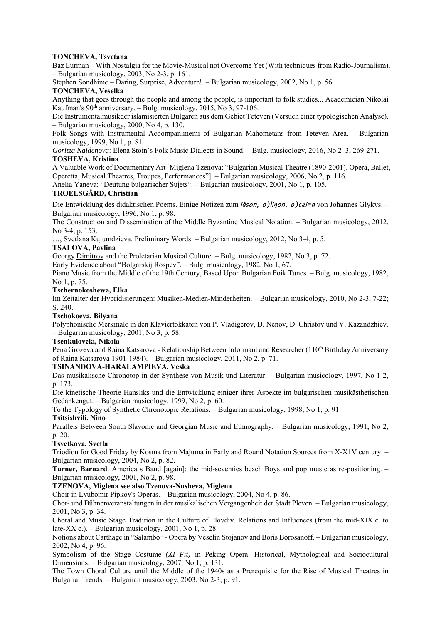## **TONCHEVA, Tsvetana**

Baz Lurman – With Nostalgia for the Movie-Musical not Overcome Yet (With techniques from Radio-Journalism). – Bulgarian musicology, 2003, No 2-3, p. 161.

Stephen Sondhime – Daring, Surprise, Adventure!. – Bulgarian musicology, 2002, No 1, p. 56.

## **TONCHEVA, Veselka**

Anything that goes through the people and among the people, is important to folk studies... Academician Nikolai Kaufman's  $90<sup>th</sup>$  anniversary. – Bulg. musicology, 2015, No 3, 97-106.

Die Instrumentalmusikder islamisierten Bulgaren aus dem Gebiet Teteven (Versuch einer typologischen Analyse). – Bulgarian musicology, 2000, No 4, p. 130.

Folk Songs with Instrumental Acoompanlmemi of Bulgarian Mahometans from Teteven Area. – Bulgarian musicology, 1999, No 1, p. 81.

*Goritza Naidenova*: Elena Stoin's Folk Music Dialects in Sound. – Bulg. musicology, 2016, No 2–3, 269-271.

# **TOSHEVA, Kristina**

A Valuable Work of Documentary Art [Miglena Tzenova: "Bulgarian Musical Theatre (1890-2001). Opera, Ballet, Operetta, Musical.Theatrcs, Troupes, Performances"]. – Bulgarian musicology, 2006, No 2, p. 116.

Anelia Yaneva: "Deutung bulgarischer Sujets". – Bulgarian musicology, 2001, No 1, p. 105.

## **TROELSGÅRD, Christian**

Die Entwicklung des didaktischen Poems. Einige Notizen zum *iàson, o)ligon, o)cei=a* von Johannes Glykys. – Bulgarian musicology, 1996, No 1, p. 98.

The Construction and Dissemination of the Middle Byzantine Musical Notation. – Bulgarian musicology, 2012, No 3-4, p. 153.

…, Svetlana Kujumdzieva. Preliminary Words. – Bulgarian musicology, 2012, No 3-4, p. 5.

## **TSALOVA, Pavlina**

Georgy Dimitrov and the Proletarian Musical Culture. – Bulg. musicology, 1982, No 3, p. 72.

Early Evidence about "Bolgarskij Rospev". – Bulg. musicology, 1982, No 1, 67.

Piano Music from the Middle of the 19th Century, Based Upon Bulgarian Foik Tunes. – Bulg. musicology, 1982, No 1, p. 75.

## **Tschernokoshewa, Elka**

Im Zeitalter der Hybridisierungen: Musiken-Medien-Minderheiten. – Bulgarian musicology, 2010, No 2-3, 7-22; S. 240.

## **Tschokoeva, Bilyana**

Polyphonische Merkmale in den Klaviertokkaten von P. Vladigerov, D. Nenov, D. Christov und V. Kazandzhiev. – Bulgarian musicology, 2001, No 3, p. 58.

#### **Tsenkulovcki, Nikola**

Pena Grozeva and Raina Katsarova - Relationship Between Informant and Researcher (110<sup>th</sup> Birthday Anniversary of Raina Katsarova 1901-1984). – Bulgarian musicology, 2011, No 2, p. 71.

## **TSINANDOVA-HARALAMPIEVA, Veska**

Das musikalische Chronotop in der Synthese von Musik und Literatur. – Bulgarian musicology, 1997, No 1-2, p. 173.

Die kinetische Theorie Hansliks und die Entwicklung einiger ihrer Aspekte im bulgarischen musikästhetischen Gedankengut. – Bulgarian musicology, 1999, No 2, p. 60.

To the Typology of Synthetic Chronotopic Relations. – Bulgarian musicology, 1998, No 1, p. 91.

## **Tsitsishvili, Nino**

Parallels Between South Slavonic and Georgian Music and Ethnography. – Bulgarian musicology, 1991, No 2, p. 20.

#### **Tsvetkova, Svetla**

Triodion for Good Friday by Kosma from Majuma in Early and Round Notation Sources from X-X1V century. – Bulgarian musicology, 2004, No 2, p. 82.

**Turner, Barnard**. America s Band [again]: the mid-seventies beach Boys and pop music as re-positioning. – Bulgarian musicology, 2001, No 2, p. 98.

## **TZENOVA, Miglena see also Tzenova-Nusheva, Miglena**

Choir in Lyubomir Pipkov's Operas. – Bulgarian musicology, 2004, No 4, p. 86.

Chor- und Bühnenveranstaltungen in der musikalischen Vergangenheit der Stadt Pleven. – Bulgarian musicology, 2001, No 3, p. 34.

Choral and Music Stage Tradition in the Culture of Plovdiv. Relations and Influences (from the mid-XIX c. to late-XX c.). – Bulgarian musicology, 2001, No 1, p. 28.

Notions about Carthage in "Salambo" - Opera by Veselin Stojanov and Boris Borosanoff. – Bulgarian musicology, 2002, No 4, p. 96.

Symbolism of the Stage Costume *(XI Fit)* in Peking Opera: Historical, Mythological and Sociocultural Dimensions. – Bulgarian musicology, 2007, No 1, p. 131.

The Town Choral Culture until the Middle of the 1940s as a Prerequisite for the Rise of Musical Theatres in Bulgaria. Trends. – Bulgarian musicology, 2003, No 2-3, p. 91.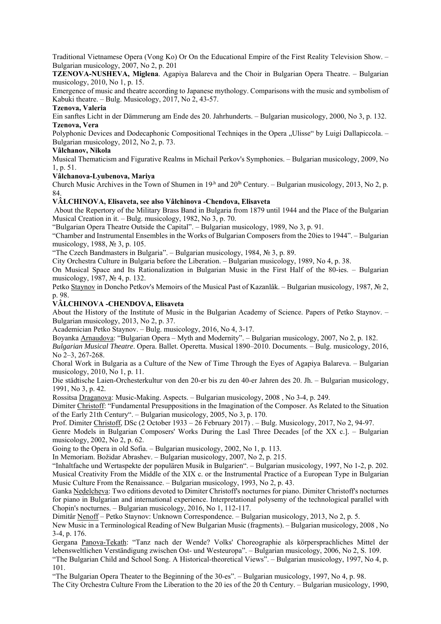Traditional Vietnamese Opera (Vong Ko) Or On the Educational Empire of the First Reality Television Show. – Bulgarian musicology, 2007, No 2, p. 201

**TZENOVA-NUSHEVA, Miglena**. Agapiya Balareva and the Choir in Bulgarian Opera Theatre. – Bulgarian musicology, 2010, No 1, p. 15.

Emergence of music and theatre according to Japanese mythology. Comparisons with the music and symbolism of Kabuki theatre. – Bulg. Musicology, 2017, No 2, 43-57.

## **Tzenova, Valeria**

Ein sanftes Licht in der Dämmerung am Ende des 20. Jahrhunderts. – Bulgarian musicology, 2000, No 3, p. 132. **Tzenova, Vera** 

Polyphonic Devices and Dodecaphonic Compositional Techniqes in the Opera "Ulisse" by Luigi Dallapiccola. – Bulgarian musicology, 2012, No 2, p. 73.

## **Vâlchanov, Nikola**

Musical Thematicism and Figurative Realms in Michail Perkov's Symphonies. – Bulgarian musicology, 2009, No 1, p. 51.

## **Vâlchanova-Lyubenova, Mariya**

Church Music Archives in the Town of Shumen in  $19<sup>h</sup>$  and  $20<sup>h</sup>$  Century. – Bulgarian musicology, 2013, No 2, p. 84.

## **VÂLCHINOVA, Elisaveta, see also Vâlchinova -Chendova, Elisaveta**

About the Repertory of the Military Brass Band in Bulgaria from 1879 until 1944 and the Place of the Bulgarian Musical Creation in it. – Bulg. musicology, 1982, No 3, p. 70.

"Bulgarian Opera Theatre Outside the Capital". – Bulgarian musicology, 1989, No 3, p. 91.

"Chamber and Instrumental Ensembles in the Works of Bulgarian Composers from the 20ies to 1944". – Bulgarian musicology, 1988, № 3, p. 105.

"The Czech Bandmasters in Bulgaria". – Bulgarian musicology, 1984, № 3, p. 89.

City Orchestra Culture in Bulgaria before the Liberation. – Bulgarian musicology, 1989, No 4, p. 38.

On Musical Space and Its Rationalization in Bulgarian Music in the First Half of the 80-ies. – Bulgarian musicology, 1987, № 4, p. 132.

Petko Staynov in Doncho Petkov's Memoirs of the Musical Past of Kazanlâk. – Bulgarian musicology, 1987, № 2, p. 98.

## **VÂLCHINOVA -CHENDOVA, Elisaveta**

About the History of the Institute of Music in the Bulgarian Academy of Science. Papers of Petko Staynov. – Bulgarian musicology, 2013, No 2, p. 37.

Academician Petko Staynov. – Bulg. musicology, 2016, No 4, 3-17.

Boyanka Arnaudova: "Bulgarian Opera – Myth and Modernity". – Bulgarian musicology, 2007, No 2, p. 182.

*Bulgarian Musical Theatre*. Opera. Ballet. Operetta. Musical 1890–2010. Documents. – Bulg. musicology, 2016, No 2–3, 267-268.

Choral Work in Bulgaria as a Culture of the New of Time Through the Eyes of Agapiya Balareva. – Bulgarian musicology, 2010, No 1, p. 11.

Die städtische Laien-Orchesterkultur von den 20-er bis zu den 40-er Jahren des 20. Jh. – Bulgarian musicology, 1991, No 3, p. 42.

Rossitsa Draganova: Music-Making. Aspects. – Bulgarian musicology, 2008 , No 3-4, p. 249.

Dimiter Christoff: "Fundamental Presuppositions in the Imagination of the Composer. As Related to the Situation of the Early 21th Century". – Bulgarian musicology, 2005, No 3, p. 170.

Prof. Dimiter Christoff, DSc (2 October 1933 – 26 February 2017) . – Bulg. Musicology, 2017, No 2, 94-97.

Genre Models in Bulgarian Composers' Works During the Lasl Three Decades [of the XX c.]. – Bulgarian musicology, 2002, No 2, p. 62.

Going to the Opera in old Sofia. – Bulgarian musicology, 2002, No 1, p. 113.

In Memoriam. Božidar Abrashev. – Bulgarian musicology, 2007, No 2, p. 215.

"Inhaltfache und Wertaspekte der populären Musik in Bulgarien". – Bulgarian musicology, 1997, No 1-2, p. 202. Musical Creativity From the Middle of the XIX c. or the Instrumental Practice of a European Type in Bulgarian Music Culture From the Renaissance. – Bulgarian musicology, 1993, No 2, p. 43.

Ganka Nedelcheva: Two editions devoted to Dimiter Christoff's nocturnes for piano. Dimiter Christoff's nocturnes for piano in Bulgarian and international experience. Interpretational polysemy of the technological parallel with Chopin's nocturnes. – Bulgarian musicology, 2016, No 1, 112-117.

Dimitâr Nenoff – Petko Staynov: Unknown Correspondence. – Bulgarian musicology, 2013, No 2, p. 5.

New Music in a Terminological Reading of New Bulgarian Music (fragments). – Bulgarian musicology, 2008 , No 3-4, p. 176.

Gergana Panova-Tekath: "Tanz nach der Wende? Volks' Choreographie als körpersprachliches Mittel der lebensweltlichen Verständigung zwischen Ost- und Westeuropa". – Bulgarian musicology, 2006, No 2, S. 109.

"The Bulgarian Child and School Song. A Historical-theoretical Views". – Bulgarian musicology, 1997, No 4, p. 101.

"The Bulgarian Opera Theater to the Beginning of the 30-es". – Bulgarian musicology, 1997, No 4, p. 98. The City Orchestra Culture From the Liberation to the 20 ies of thе 20 th Century. – Bulgarian musicology, 1990,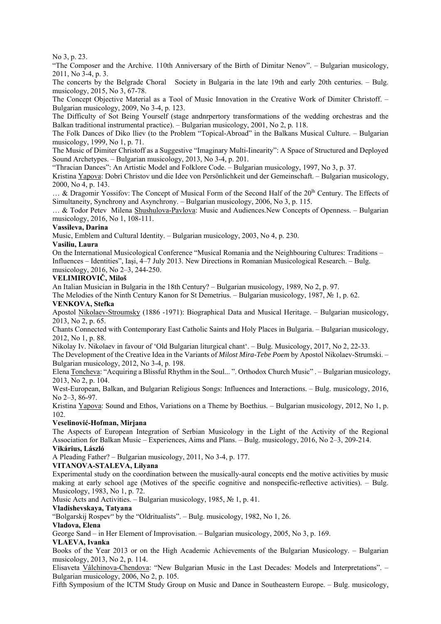## No 3, p. 23.

"The Composer and the Archive. 110th Anniversary of the Birth of Dimitar Nenov". – Bulgarian musicology, 2011, No 3-4, p. 3.

The concerts by the Belgrade Choral Society in Bulgaria in the late 19th and early 20th centuries. – Bulg. musicology, 2015, No 3, 67-78.

The Concept Objective Material as a Tool of Music Innovation in the Creative Work of Dimiter Christoff. – Bulgarian musicology, 2009, No 3-4, p. 123.

The Difficulty of Sot Being Yourself (stage andnrpertory transformations of the wedding orchestras and the Balkan traditional instrumental practice). – Bulgarian musicology, 2001, No 2, p. 118.

The Folk Dances of Diko lliev (to the Problem "Topical-Abroad" in the Balkans Musical Culture. – Bulgarian musicology, 1999, No 1, p. 71.

The Music of Dimiter Christoff as a Suggestive "Imaginary Multi-Iinearity": A Space of Structured and Deployed Sound Archetypes. – Bulgarian musicology, 2013, No 3-4, p. 201.

"Thracian Dances": An Artistic Model and Folklore Code. – Bulgarian musicology, 1997, No 3, p. 37.

Kristina Yapova: Dobri Christov und die Idee von Persönlichkeit und der Gemeinschaft. – Bulgarian musicology, 2000, No 4, p. 143.

 $\ldots$  & Dragomir Yossifov: The Concept of Musical Form of the Second Half of the 20<sup>th</sup> Century. The Effects of Simultaneity, Synchrony and Asynchrony. – Bulgarian musicology, 2006, No 3, p. 115.

… & Todor Petev Milena Shushulova-Pavlova: Music and Audiences.New Concepts of Openness. – Bulgarian musicology, 2016, No 1, 108-111.

#### **Vassileva, Darina**

Music, Emblem and Cultural Identity. – Bulgarian musicology, 2003, No 4, p. 230.

#### **Vasiliu, Laura**

On the International Musicological Conference "Musical Romania and the Neighbouring Cultures: Traditions – Influences – Identities", Iaşi, 4–7 July 2013. New Directions in Romanian Musicological Research. – Bulg. musicology, 2016, No 2–3, 244-250.

## **VELIMIROVIČ, Miloš**

An Italian Musician in Bulgaria in the 18th Century? – Bulgarian musicology, 1989, No 2, p. 97.

The Melodies of the Ninth Century Kanon for St Demetrius. – Bulgarian musicology, 1987,  $\mathbb{N}_2$  1, p. 62. **VENKOVA, Stefka** 

Apostol Nikolaev-Stroumsky (1886 -1971): Biographical Data and Musical Heritage. – Bulgarian musicology, 2013, No 2, p. 65.

Chants Connected with Contemporary East Catholic Saints and Holy Places in Bulgaria. – Bulgarian musicology, 2012, No 1, p. 88.

Nikolay Iv. Nikolaev in favour of 'Old Bulgarian liturgical chant'. – Bulg. Musicology, 2017, No 2, 22-33.

The Development of the Creative Idea in the Variants of *Milost Mira-Tebe Poem* by Apostol Nikolaev-Strumski. – Bulgarian musicology, 2012, No 3-4, p. 198.

Elena Toncheva: "Acquiring a Blissful Rhythm in the Soul... ". Orthodox Church Music" . – Bulgarian musicology, 2013, No 2, p. 104.

West-European, Balkan, and Bulgarian Religious Songs: Influences and Interactions. – Bulg. musicology, 2016, No 2–3, 86-97.

Kristina Yapova: Sound and Ethos, Variations on a Theme by Boethius. – Bulgarian musicology, 2012, No 1, p. 102.

## **Veselinović-Hofman, Mirjana**

The Aspects of European Integration of Serbian Musicology in the Light of the Activity of the Regional Association for Balkan Music – Experiences, Aims and Plans. – Bulg. musicology, 2016, No 2–3, 209-214.

## **Vikárius, László**

A Pleading Father? – Bulgarian musicology, 2011, No 3-4, p. 177.

## **VITANOVA-STALEVA, Lilyana**

Experimental study on the coordination between the musically-aural concepts end the motive activities by music making at early school age (Motives of the specific cognitive and nonspecific-reflective activities). – Bulg. Musicology, 1983, No 1, p. 72.

Music Acts and Activities. – Bulgarian musicology, 1985, № 1, p. 41.

## **Vladishevskaya, Tatyana**

"Bolgarskij Rospev" by the "Oldritualists". – Bulg. musicology, 1982, No 1, 26.

#### **Vladova, Elena**

George Sand – in Her Element of Improvisation. – Bulgarian musicology, 2005, No 3, p. 169.

#### **VLAEVA, Ivanka**

Books of the Year 2013 or on the High Academic Achievements of the Bulgarian Musicology. – Bulgarian musicology, 2013, No 2, p. 114.

Elisaveta Vâlchinova-Chendova: "New Bulgarian Music in the Last Decades: Models and Interpretations". – Bulgarian musicology, 2006, No 2, p. 105.

Fifth Symposium of the ICTM Study Group on Music and Dance in Southeastern Europe. – Bulg. musicology,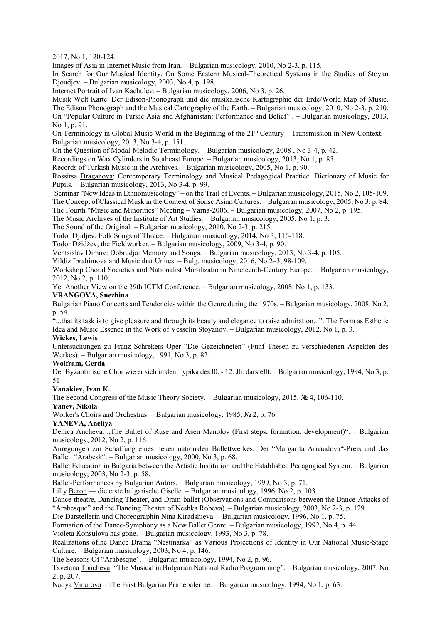2017, No 1, 120-124.

Images of Asia in Internet Music from Iran. – Bulgarian musicology, 2010, No 2-3, p. 115.

In Search for Our Musical Identity. On Some Eastern Musical-Theoretical Systems in the Studies of Stoyan Djoudjev. – Bulgarian musicology, 2003, No 4, p. 198.

Internet Portrait of Ivan Kachulev. – Bulgarian musicology, 2006, No 3, p. 26.

Musik Welt Karte. Der Edison-Phonograph und die musikalische Kartographie der Erde/World Map of Music. The Edison Phonograph and the Musical Cartography of the Earth. – Bulgarian musicology, 2010, No 2-3, p. 210. On "Popular Culture in Turkie Asia and Afghanistan: Performance and Belief" . – Bulgarian musicology, 2013, No 1, p. 91.

On Terminology in Global Music World in the Beginning of the 21<sup>th</sup> Century – Transmission in New Context. – Bulgarian musicology, 2013, No 3-4, p. 151.

On the Question of Modal-Melodic Terminology. – Bulgarian musicology, 2008 , No 3-4, p. 42.

Recordings on Wax Cylinders in Southeast Europe. – Bulgarian musicology, 2013, No 1, p. 85.

Records of Turkish Music in the Archives. – Bulgarian musicology, 2005, No 1, p. 90.

Rossitsa Draganova: Contemporary Terminology and Musical Pedagogical Practice. Dictionary of Music for Pupils. – Bulgarian musicology, 2013, No 3-4, p. 99.

Seminar "New Ideas in Ethnomusicology" – on the Trail of Events. – Bulgarian musicology, 2015, No 2, 105-109. The Concept of Classical Musk in the Context of Sonsc Asian Cultures. – Bulgarian musicology, 2005, No 3, p. 84.

The Fourth "Music and Minorities" Meeting – Varna-2006. – Bulgarian musicology, 2007, No 2, p. 195.

The Music Archives of the Institute of Art Studies. – Bulgarian musicology, 2005, No 1, p. 3.

The Sound of the Original. – Bulgarian musicology, 2010, No 2-3, p. 215.

Todor Djidjev: Folk Songs of Thrace. – Bulgarian musicology, 2014, No 3, 116-118.

Todor Džidžev, the Fieldworker. – Bulgarian musicology, 2009, No 3-4, p. 90.

Ventsislav Dimov: Dobrudja: Memory and Songs. – Bulgarian musicology, 2013, No 3-4, p. 105.

Yildiz Ibrahimova and Music that Unites. – Bulg. musicology, 2016, No 2–3, 98-109.

Workshop Choral Societies and Nationalist Mobilizatio in Nineteenth-Century Europe. – Bulgarian musicology, 2012, No 2, p. 110.

Yet Another View on the 39th ICTM Conference. – Bulgarian musicology, 2008, No 1, p. 133.

## **VRANGOVA, Snezhina**

Bulgarian Piano Concerts and Tendencies within the Genre during the 1970s. – Bulgarian musicology, 2008, No 2, p. 54.

"...that its task is to give pleasure and through its beauty and elegance to raise admiration...". The Form as Esthetic Idea and Music Essence in the Work of Vesselin Stoyanov. – Bulgarian musicology, 2012, No 1, p. 3.

# **Wickes, Lewis**

Untersuchungen zu Franz Schrekers Oper "Die Gezeichneten" (Fünf Thesen zu verschiedenen Aspekten des Werkes). – Bulgarian musicology, 1991, No 3, p. 82.

## **Wolfram, Gerda**

Der Byzantinische Chor wie er sich in den Typika des l0. - 12. Jh. darstellt. – Bulgarian musicology, 1994, No 3, p. 51

## **Yanakiev, Ivan K.**

The Second Congress of the Music Theory Society. – Bulgarian musicology, 2015, № 4, 106-110.

**Yanev, Nikola** 

Worker's Choirs and Orchestras. – Bulgarian musicology, 1985, № 2, p. 76.

## **YANEVA, Anеliya**

Denica Ancheva: "The Ballet of Ruse and Asen Manolov (First steps, formation, development)". – Bulgarian musicology, 2012, No 2, p. 116.

Anregungen zur Schaffung eines neuen nationalen Ballettwerkes. Der "Margarita Arnaudova"-Preis und das Ballett "Arabesk". – Bulgarian musicology, 2000, No 3, p. 68.

Ballet Education in Bulgaria between the Artistic Institution and the Established Pedagogical System. – Bulgarian musicology, 2003, No 2-3, p. 58.

Ballet-Performances by Bulgarian Autors. – Bulgarian musicology, 1999, No 3, p. 71.

Lilly Beron — die erste bulgarische Giselle. – Bulgarian musicology, 1996, No 2, p. 103.

Dance-theatre, Dancing Theater, and Dram-ballet (Observations and Comparisons between the Dance-Attacks of "Arabesque" and the Dancing Theater of Neshka Robeva). – Bulgarian musicology, 2003, No 2-3, p. 129.

Die Darstellerin und Choreographin Nina Kiradshieva. – Bulgarian musicology, 1996, No 1, p. 75.

Formation of the Dance-Symphony as a New Ballet Genre. – Bulgarian musicology, 1992, No 4, p. 44.

Violeta Konsulova has gone. – Bulgarian musicology, 1993, No 3, p. 78.

Realizations oflhe Dance Drama "Nestinarka" as Various Projections of Identity in Our National Music-Stage Culture. – Bulgarian musicology, 2003, No 4, p. 146.

The Seasons Of "Arabesque". – Bulgarian musicology, 1994, No 2, p. 96.

Tsvetana Toncheva: "The Musical in Bulgarian National Radio Programming". – Bulgarian musicology, 2007, No 2, p. 207.

Nadya Vinarova – The Frist Bulgarian Primebalerine. – Bulgarian musicology, 1994, No 1, p. 63.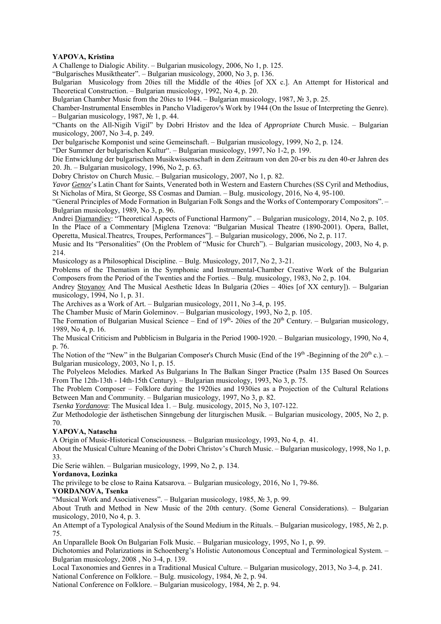## **YAPOVA, Kristina**

A Challenge to Dialogic Ability. – Bulgarian musicology, 2006, No 1, p. 125.

"Bulgarisches Musiktheater". – Bulgarian musicology, 2000, No 3, p. 136.

Bulgarian Musicology from 20ies till the Middle of the 40ies [of XX c.]. An Attempt for Historical and Theoretical Construction. – Bulgarian musicology, 1992, No 4, p. 20.

Bulgarian Chamber Music from the 20ies to 1944. – Bulgarian musicology, 1987, № 3, p. 25.

Chamber-Instrumental Ensembles in Pancho Vladigerov's Work by 1944 (On the Issue of Interpreting the Genre). – Bulgarian musicology, 1987,  $\mathcal{N}$  1, p. 44.

"Chants on the All-Nigih Vigil" by Dobri Hristov and the Idea of *Appropriate* Church Music. – Bulgarian musicology, 2007, No 3-4, p. 249.

Der bulgarische Komponist und seine Gemeinschaft. – Bulgarian musicology, 1999, No 2, p. 124.

"Der Summer der bulgarischen Kultur". – Bulgarian musicology, 1997, No 1-2, p. 199.

Die Entwicklung der bulgarischen Musikwissenschaft in dem Zeitraum von den 20-er bis zu den 40-er Jahren des 20. Jh. – Bulgarian musicology, 1996, No 2, p. 63.

Dobry Christov on Church Music. – Bulgarian musicology, 2007, No 1, p. 82.

*Yavor Genov*'s Latin Chant for Saints, Venerated both in Western and Eastern Churches (SS Cyril and Methodius, St Nicholas of Mira, St George, SS Cosmas and Damian. – Bulg. musicology, 2016, No 4, 95-100.

"General Principles of Mode Formation in Bulgarian Folk Songs and the Works of Contemporary Compositors". – Bulgarian musicology, 1989, No 3, p. 96.

Andrei Diamandiev: "Theoretical Aspects of Functional Harmony" . – Bulgarian musicology, 2014, No 2, p. 105. In the Place of a Commentary [Miglena Tzenova: "Bulgarian Musical Theatre (1890-2001). Opera, Ballet, Operetta, Musical.Theatrcs, Troupes, Performances"]. – Bulgarian musicology, 2006, No 2, p. 117.

Music and Its "Personalities" (On the Problem of "Music for Church"). – Bulgarian musicology, 2003, No 4, p. 214.

Musicology as a Philosophical Discipline. – Bulg. Musicology, 2017, No 2, 3-21.

Problems of the Thematism in the Symphonic and Instrumental-Chamber Creative Work of the Bulgarian Composers from the Period of the Twenties and the Forties. – Bulg. musicology, 1983, No 2, p. 104.

Andrey Stoyanov And The Musical Aesthetic Ideas In Bulgaria (20ies – 40ies [of XX century]). – Bulgarian musicology, 1994, No 1, p. 31.

The Archives as a Work of Art. – Bulgarian musicology, 2011, No 3-4, p. 195.

The Chamber Music of Marin Goleminov. – Bulgarian musicology, 1993, No 2, p. 105.

The Formation of Bulgarian Musical Science – End of  $19<sup>th</sup>$ - 20ies of the  $20<sup>th</sup>$  Century. – Bulgarian musicology, 1989, No 4, p. 16.

The Musical Criticism and Pubblicism in Bulgaria in the Period 1900-1920. – Bulgarian musicology, 1990, No 4, p. 76.

The Notion of the "New" in the Bulgarian Composer's Church Music (End of the 19<sup>th</sup> -Beginning of the  $20^{th}$  c.). – Bulgarian musicology, 2003, No 1, p. 15.

The Polyeleos Melodies. Marked As Bulgarians In The Balkan Singer Practice (Psalm 135 Based On Sources From The 12th-13th - 14th-15th Century). – Bulgarian musicology, 1993, No 3, p. 75.

The Problem Composer – Folklore during the 1920ies and 1930ies as a Projection of the Cultural Relations Between Man and Community. – Bulgarian musicology, 1997, No 3, p. 82.

*Tsenka Yordanova*: The Musical Idea 1. – Bulg. musicology, 2015, No 3, 107-122.

Zur Methodologie der ästhetischen Sinngebung der liturgischen Musik. – Bulgarian musicology, 2005, No 2, p. 70.

## **YAPOVA, Natascha**

A Origin of Music-Historical Consciousness. – Bulgarian musicology, 1993, No 4, p. 41.

About the Musical Culture Meaning of the Dobri Christov's Church Music. – Bulgarian musicology, 1998, No 1, p. 33.

Die Serie wählen. – Bulgarian musicology, 1999, No 2, p. 134.

## **Yordanova, Lozinka**

The privilege to be close to Raina Katsarova. – Bulgarian musicology, 2016, No 1, 79-86.

## **YORDANOVA, Tsenka**

"Musical Work and Asociativeness". – Bulgarian musicology, 1985, № 3, p. 99.

About Truth and Method in New Music of the 20th century. (Some General Considerations). – Bulgarian musicology, 2010, No 4, p. 3.

An Attempt of a Typological Analysis of the Sound Medium in the Rituals. – Bulgarian musicology, 1985, № 2, p. 75.

An Unparallele Book On Bulgarian Folk Music. – Bulgarian musicology, 1995, No 1, p. 99.

Dichotomies and Polarizations in Schoenberg's Holistic Autonomous Conceptual and Terminological System. – Bulgarian musicology, 2008 , No 3-4, p. 139.

Local Taxonomies and Genres in a Traditional Musical Culture. – Bulgarian musicology, 2013, No 3-4, p. 241.

National Conference on Folklore. – Bulg. musicology, 1984, № 2, p. 94.

National Conference on Folklore. – Bulgarian musicology, 1984, № 2, p. 94.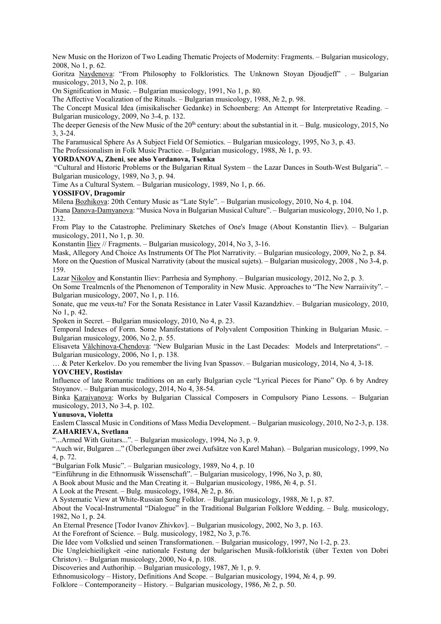New Music on the Horizon of Two Leading Thematic Projects of Modernity: Fragments. – Bulgarian musicology, 2008, No 1, p. 62.

Goritza Naydenova: "From Philosophy to Folkloristics. The Unknown Stoyan Djoudjeff" . – Bulgarian musicology, 2013, No 2, p. 108.

On Signification in Music. – Bulgarian musicology, 1991, No 1, p. 80.

The Affective Vocalization of the Rituals. – Bulgarian musicology, 1988, № 2, p. 98.

The Concept Musical Idea (imisikalischer Gedanke) in Schoenberg: An Attempt for Interpretative Reading. – Bulgarian musicology, 2009, No 3-4, p. 132.

The deeper Genesis of the New Music of the  $20<sup>lh</sup>$  century: about the substantial in it. – Bulg. musicology, 2015, No 3, 3-24.

The Faramusical Sphere As A Subject Field Of Semiotics. – Bulgarian musicology, 1995, No 3, p. 43.

The Professionalism in Folk Music Practice. – Bulgarian musicology, 1988, № 1, p. 93.

# **YORDANOVA, Zheni**, **see also Yordanova, Tsenka**

 "Cultural and Historic Problems or the Bulgarian Ritual System – the Lazar Dances in South-West Bulgaria". – Bulgarian musicology, 1989, No 3, p. 94.

Time As a Cultural System. – Bulgarian musicology, 1989, No 1, p. 66.

#### **YOSSIFOV, Dragomir**

Milena Bozhikova: 20th Century Music as "Late Style". – Bulgarian musicology, 2010, No 4, p. 104.

Diana Danova-Damyanova: "Musica Nova in Bulgarian Musical Culture". – Bulgarian musicology, 2010, No 1, p. 132.

From Play to the Catastrophe. Preliminary Sketches of One's Image (About Konstantin Iliev). – Bulgarian musicology, 2011, No 1, p. 30.

Konstantin Iliev // Fragments. – Bulgarian musicology, 2014, No 3, 3-16.

Mask, Allegory And Choice As Instruments Of The Plot Narrativity. – Bulgarian musicology, 2009, No 2, p. 84. More on the Question of Musical Narrativity (about the musical sujets). – Bulgarian musicology, 2008 , No 3-4, p. 159.

Lazar Nikolov and Konstantin Iliev: Parrhesia and Symphony. – Bulgarian musicology, 2012, No 2, p. 3.

On Some Trealmcnls of the Phenomenon of Temporality in New Music. Approaches to "The New Narraiivity". – Bulgarian musicology, 2007, No 1, p. 116.

Sonate, que me veux-tu? For the Sonata Resistance in Later Vassil Kazandzhiev. – Bulgarian musicology, 2010, No 1, p. 42.

Spoken in Secret. – Bulgarian musicology, 2010, No 4, p. 23.

Temporal Indexes of Form. Some Manifestations of Polyvalent Composition Thinking in Bulgarian Music. – Bulgarian musicology, 2006, No 2, p. 55.

Elisaveta Vâlchinova-Chendova: "New Bulgarian Music in the Last Decades: Models and Interpretations". – Bulgarian musicology, 2006, No 1, p. 138.

… & Peter Kerkelov. Do you remember the living Ivan Spassov. – Bulgarian musicology, 2014, No 4, 3-18.

## **YOVCHEV, Rostislav**

Influence of late Romantic traditions on an early Bulgarian cycle "Lyrical Pieces for Piano" Op. 6 by Andrey Stoyanov. – Bulgarian musicology, 2014, No 4, 38-54.

Binka Karaivanova: Works by Bulgarian Classical Composers in Compulsory Piano Lessons. – Bulgarian musicology, 2013, No 3-4, p. 102.

# **Yunusova, Violetta**

Easlem Classcal Music in Conditions of Mass Media Development. – Bulgarian musicology, 2010, No 2-3, p. 138. **ZAHARIEVA, Svetlana**

"...Armed With Guitars...". – Bulgarian musicology, 1994, No 3, p. 9.

"Auch wir, Bulgaren ..." (Überlegungen über zwei Aufsätze von Karel Mahan). – Bulgarian musicology, 1999, No 4, p. 72.

"Bulgarian Folk Music". – Bulgarian musicology, 1989, No 4, p. 10

"Einführung in die Ethnomusik Wissenschaft". – Bulgarian musicology, 1996, No 3, p. 80,

A Book about Music and the Man Creating it. – Bulgarian musicology, 1986, № 4, p. 51.

A Look at the Present. – Bulg. musicology, 1984,  $\mathbb{N}^2$  2, p. 86.

A Systematic View at White-Russian Song Folklor. – Bulgarian musicology, 1988, № 1, p. 87.

About the Vocal-Instrumental "Dialogue" in the Traditional Bulgarian Folklore Wedding. – Bulg. musicology, 1982, No 1, p. 24.

An Eternal Presence [Todor Ivanov Zhivkov]. – Bulgarian musicology, 2002, No 3, p. 163.

At the Forefront of Science. – Bulg. musicology, 1982, No 3, p.76.

Die Idee vom Volkslied und seinen Transformationen. – Bulgarian musicology, 1997, No 1-2, p. 23.

Die Ungleichieiligkeit -eine nationale Festung der bulgarischen Musik-folkloristik (über Texten von Dobri Christov). – Bulgarian musicology, 2000, No 4, p. 108.

Discoveries and Authorihip. – Bulgarian musicology, 1987, № 1, p. 9.

Ethnomusicology – History, Definitions And Scope. – Bulgarian musicology, 1994, № 4, p. 99.

Folklore – Contemporaneity – History. – Bulgarian musicology, 1986, № 2, p. 50.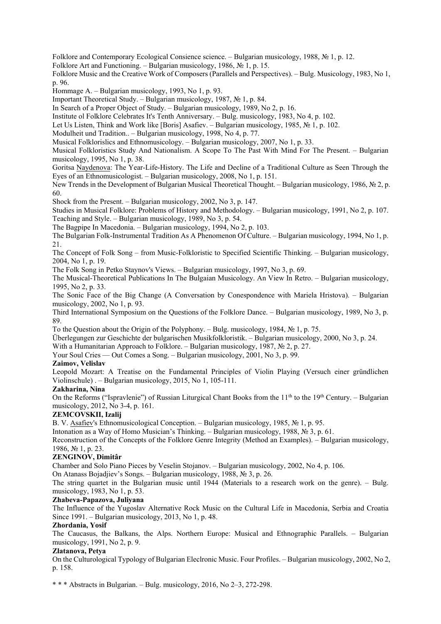Folklore and Contemporary Ecological Consience science. – Bulgarian musicology, 1988, № 1, p. 12.

Folklore Art and Functioning. – Bulgarian musicology, 1986, № 1, p. 15.

Folklore Music and the Creative Work of Composers (Parallels and Perspectives). – Bulg. Musicology, 1983, No 1, p. 96.

Hommage A. – Bulgarian musicology, 1993, No 1, p. 93.

Important Theoretical Study. – Bulgarian musicology, 1987, № 1, p. 84.

In Search of a Proper Object of Study. – Bulgarian musicology, 1989, No 2, p. 16.

Institute ol Folklore Celebrates It's Tenth Anniversary. – Bulg. musicology, 1983, No 4, p. 102.

Let Us Listen, Think and Work like [Boris] Asafiev. – Bulgarian musicology, 1985, № 1, p. 102.

Modulheit und Tradition.. – Bulgarian musicology, 1998, No 4, p. 77.

Musical Folklorislics and Ethnomusicology. – Bulgarian musicology, 2007, No 1, p. 33.

Musical Folkloristics Study And Nationalism. A Scope To The Past With Mind For The Present. – Bulgarian musicology, 1995, No 1, p. 38.

Goritsa Naydenova: The Year-Life-History. The Life and Decline of a Traditional Culture as Seen Through the Eyes of an Ethnomusicologist. – Bulgarian musicology, 2008, No 1, p. 151.

New Trends in the Development of Bulgarian Musical Theoretical Thought. – Bulgarian musicology, 1986, № 2, p. 60.

Shock from the Present. – Bulgarian musicology, 2002, No 3, p. 147.

Studies in Musical Folklore: Problems of History and Methodology. – Bulgarian musicology, 1991, No 2, p. 107. Teaching and Style. – Bulgarian musicology, 1989, No 3, p. 54.

The Bagpipe In Macedonia. – Bulgarian musicology, 1994, No 2, p. 103.

The Bulgarian Folk-Instrumental Tradition As A Phenomenon Of Culture. – Bulgarian musicology, 1994, No 1, p. 21.

The Concept of Folk Song – from Music-Folkloristic to Specified Scientific Thinking. – Bulgarian musicology, 2004, No 1, p. 19.

The Folk Song in Petko Staynov's Views. – Bulgarian musicology, 1997, No 3, p. 69.

The Musical-Theoretical Publications In The Bulgaian Musicology. An View In Retro. – Bulgarian musicology, 1995, No 2, p. 33.

The Sonic Face of the Big Change (A Conversation by Conespondence with Mariela Hristova). – Bulgarian musicology, 2002, No 1, p. 93.

Third International Symposium on the Questions of the Folklore Dance. – Bulgarian musicology, 1989, No 3, p. 89.

To the Question about the Origin of the Polyphony. – Bulg. musicology, 1984, № 1, p. 75.

Überlegungen zur Geschichte der bulgarischen Musikfolkloristik. – Bulgarian musicology, 2000, No 3, p. 24.

With a Humanitarian Approach to Folklore. – Bulgarian musicology, 1987, № 2, p. 27.

Your Soul Cries — Out Comes a Song. – Bulgarian musicology, 2001, No 3, p. 99.

## **Zaimov, Velislav**

Leopold Mozart: A Treatise on the Fundamental Principles of Violin Playing (Versuch einer gründlichen Violinschule) . – Bulgarian musicology, 2015, No 1, 105-111.

## **Zakharina, Nina**

On the Reforms ("Ispravlenie") of Russian Liturgical Chant Books from the  $11<sup>th</sup>$  to the 19<sup>th</sup> Century. – Bulgarian musicology, 2012, No 3-4, p. 161.

## **ZEMCOVSKII, Izalij**

B. V. Asafiev's Ethnomusicological Conception. – Bulgarian musicology, 1985, № 1, p. 95.

Intonation as a Way of Homo Musician's Thinking. – Bulgarian musicology, 1988, № 3, p. 61.

Reconstruction of the Concepts of the Folklore Genre Integrity (Method an Examples). – Bulgarian musicology, 1986, № 1, p. 23.

## **ZENGINOV, Dimitâr**

Chamber and Solo Piano Pieces by Veselin Stojanov. – Bulgarian musicology, 2002, No 4, p. 106.

On Atanass Bojadjiev's Songs. – Bulgarian musicology, 1988, № 3, p. 26.

The string quartet in the Bulgarian music until 1944 (Materials to a research work on the genre). – Bulg. musicology, 1983, No 1, p. 53.

## **Zhabeva-Papazova, Juliyana**

The Influence of the Yugoslav Alternative Rock Music on the Cultural Life in Macedonia, Serbia and Croatia Since 1991. – Bulgarian musicology, 2013, No 1, p. 48.

## **Zhordania, Yosif**

The Caucasus, the Balkans, the Alps. Northern Europe: Musical and Ethnographic Parallels. – Bulgarian musicology, 1991, No 2, p. 9.

## **Zlatanova, Petya**

On the Culturological Typology of Bulgarian Eleclronic Music. Four Profiles. – Bulgarian musicology, 2002, No 2, p. 158.

\* \* \* Abstracts in Bulgarian. – Bulg. musicology, 2016, No 2–3, 272-298.